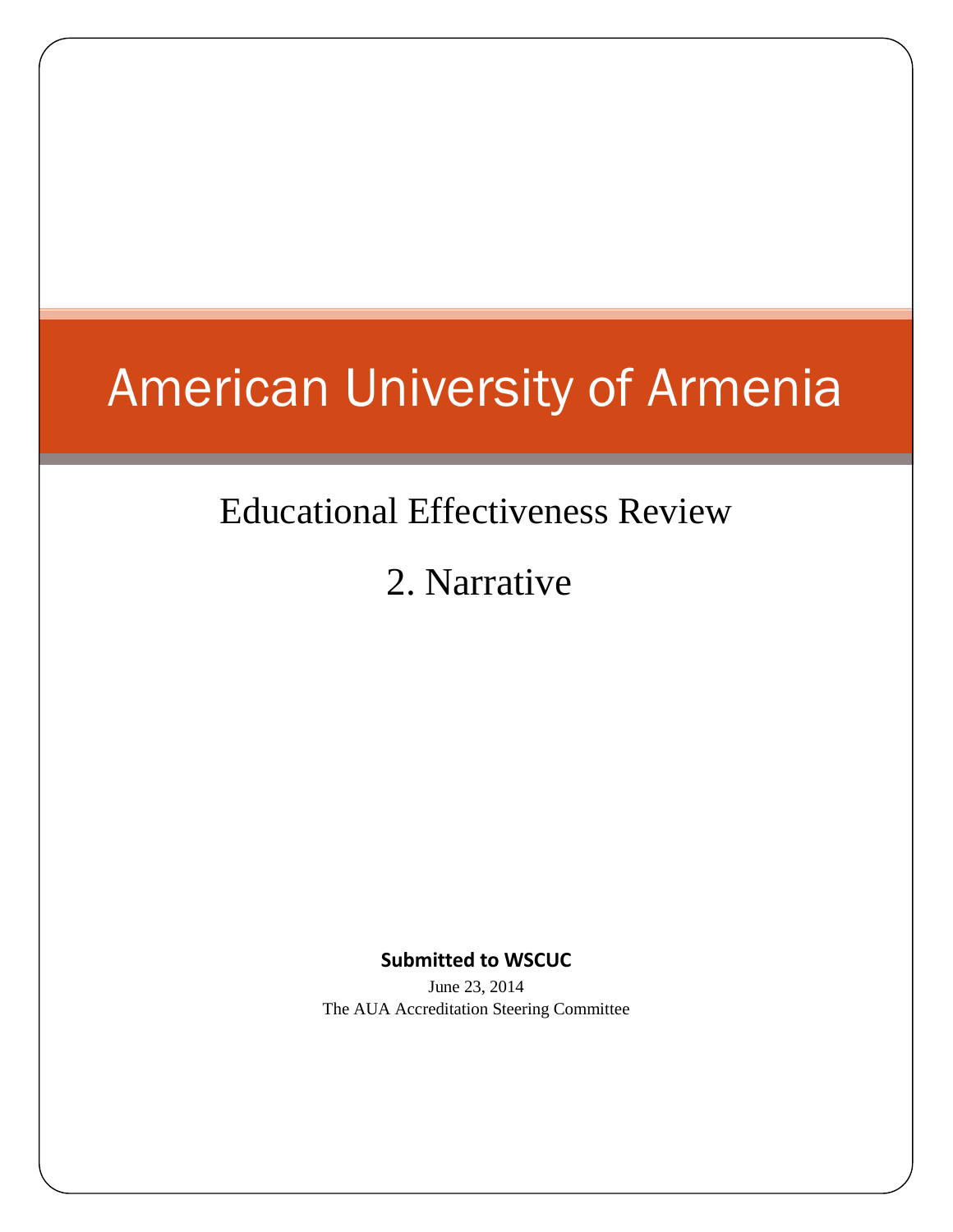# American University of Armenia

## Educational Effectiveness Review

## 2. Narrative

## **Submitted to WSCUC**

June 23, 2014 The AUA Accreditation Steering Committee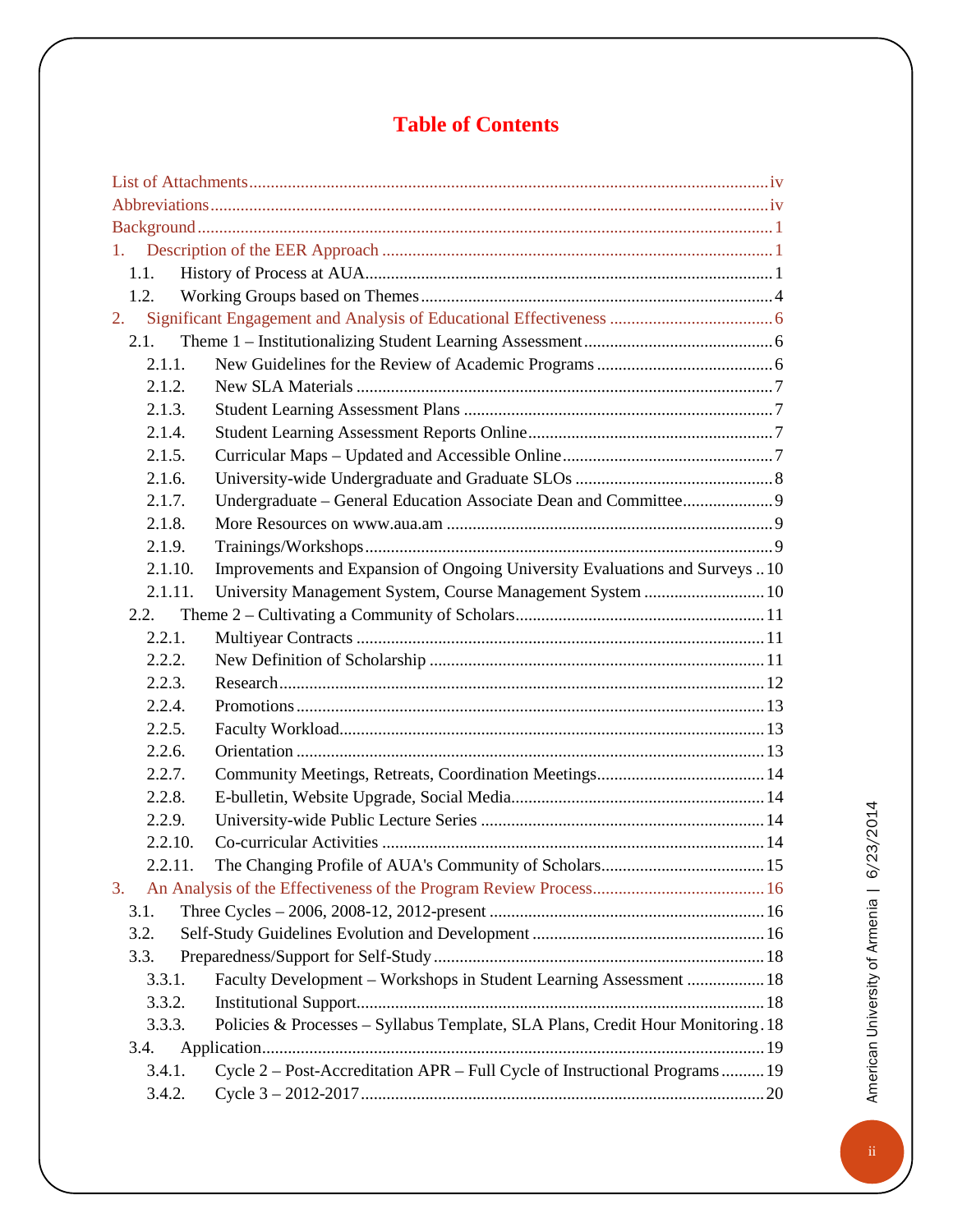## **Table of Contents**

| 1.      |                                                                                 |  |  |
|---------|---------------------------------------------------------------------------------|--|--|
| 1.1.    |                                                                                 |  |  |
| 1.2.    |                                                                                 |  |  |
| 2.      |                                                                                 |  |  |
| 2.1.    |                                                                                 |  |  |
| 2.1.1.  |                                                                                 |  |  |
| 2.1.2.  |                                                                                 |  |  |
| 2.1.3.  |                                                                                 |  |  |
| 2.1.4.  |                                                                                 |  |  |
| 2.1.5.  |                                                                                 |  |  |
| 2.1.6.  |                                                                                 |  |  |
| 2.1.7.  | Undergraduate - General Education Associate Dean and Committee 9                |  |  |
| 2.1.8.  |                                                                                 |  |  |
| 2.1.9.  |                                                                                 |  |  |
| 2.1.10. | Improvements and Expansion of Ongoing University Evaluations and Surveys  10    |  |  |
| 2.1.11. | University Management System, Course Management System  10                      |  |  |
| 2.2.    |                                                                                 |  |  |
| 2.2.1.  |                                                                                 |  |  |
| 2.2.2.  |                                                                                 |  |  |
| 2.2.3.  |                                                                                 |  |  |
| 2.2.4.  |                                                                                 |  |  |
| 2.2.5.  |                                                                                 |  |  |
| 2.2.6.  |                                                                                 |  |  |
| 2.2.7.  |                                                                                 |  |  |
| 2.2.8.  |                                                                                 |  |  |
| 2.2.9.  |                                                                                 |  |  |
| 2.2.10. |                                                                                 |  |  |
| 2.2.11  |                                                                                 |  |  |
| 3.      |                                                                                 |  |  |
| 3.1.    |                                                                                 |  |  |
| 3.2.    |                                                                                 |  |  |
| 3.3.    |                                                                                 |  |  |
| 3.3.1.  | Faculty Development - Workshops in Student Learning Assessment  18              |  |  |
| 3.3.2.  |                                                                                 |  |  |
| 3.3.3.  | Policies & Processes - Syllabus Template, SLA Plans, Credit Hour Monitoring. 18 |  |  |
| 3.4.    |                                                                                 |  |  |
| 3.4.1.  | Cycle 2 – Post-Accreditation APR – Full Cycle of Instructional Programs  19     |  |  |
| 3.4.2.  |                                                                                 |  |  |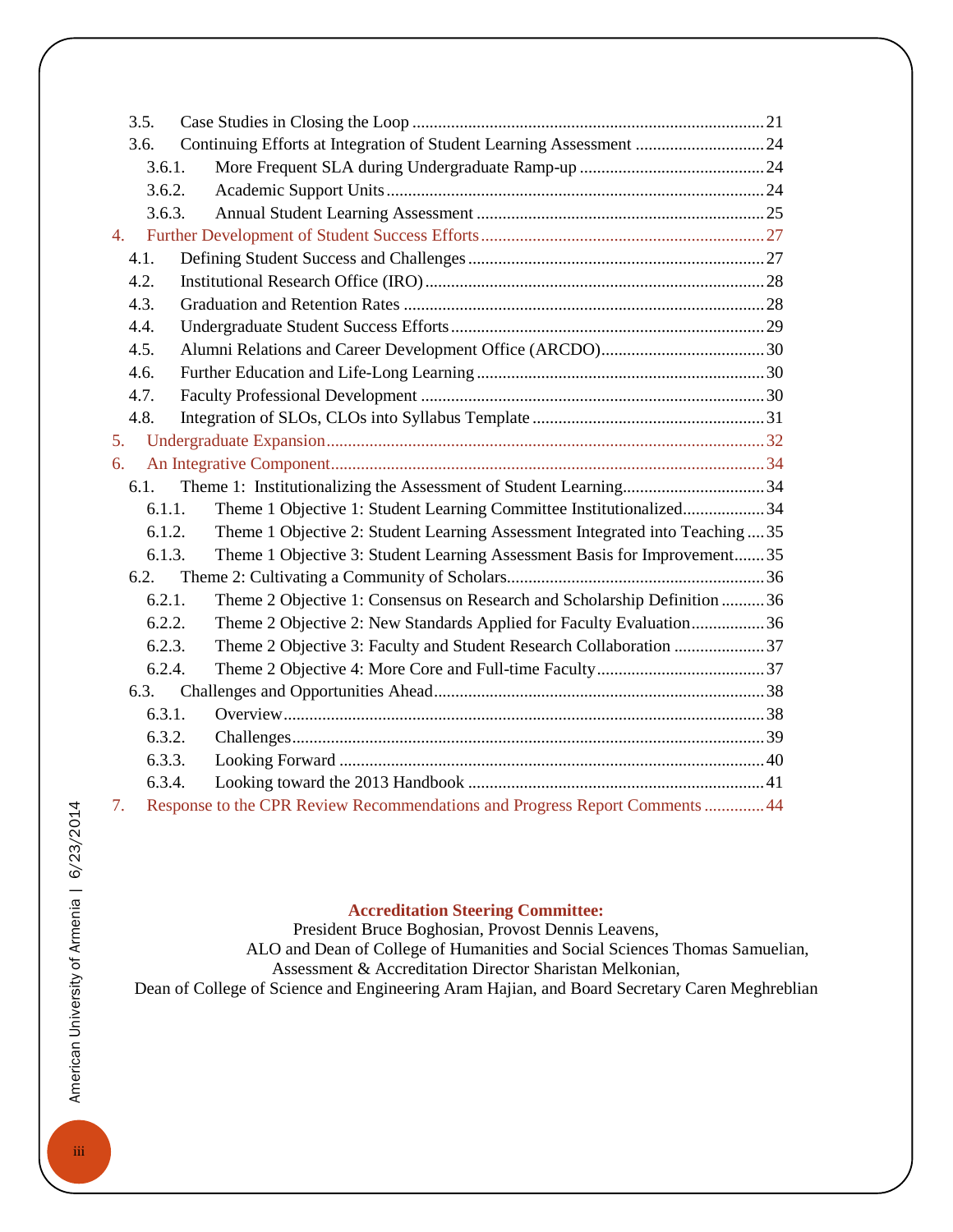| 3.5. |        |                                                                               |  |
|------|--------|-------------------------------------------------------------------------------|--|
| 3.6. |        | Continuing Efforts at Integration of Student Learning Assessment  24          |  |
|      | 3.6.1. |                                                                               |  |
|      | 3.6.2. |                                                                               |  |
|      | 3.6.3. |                                                                               |  |
| 4.   |        |                                                                               |  |
| 4.1. |        |                                                                               |  |
| 4.2. |        |                                                                               |  |
| 4.3. |        |                                                                               |  |
| 4.4. |        |                                                                               |  |
| 4.5. |        |                                                                               |  |
| 4.6. |        |                                                                               |  |
| 4.7. |        |                                                                               |  |
| 4.8. |        |                                                                               |  |
| 5.   |        |                                                                               |  |
| 6.   |        |                                                                               |  |
| 6.1. |        |                                                                               |  |
|      | 6.1.1. | Theme 1 Objective 1: Student Learning Committee Institutionalized34           |  |
|      | 6.1.2. | Theme 1 Objective 2: Student Learning Assessment Integrated into Teaching  35 |  |
|      | 6.1.3. | Theme 1 Objective 3: Student Learning Assessment Basis for Improvement 35     |  |
| 6.2. |        |                                                                               |  |
|      | 6.2.1. | Theme 2 Objective 1: Consensus on Research and Scholarship Definition  36     |  |
|      | 6.2.2. | Theme 2 Objective 2: New Standards Applied for Faculty Evaluation36           |  |
|      | 6.2.3. | Theme 2 Objective 3: Faculty and Student Research Collaboration 37            |  |
|      | 6.2.4. |                                                                               |  |
| 6.3. |        |                                                                               |  |
|      | 6.3.1. |                                                                               |  |
|      | 6.3.2. |                                                                               |  |
|      | 6.3.3. |                                                                               |  |
|      | 6.3.4. |                                                                               |  |
| 7.   |        | Response to the CPR Review Recommendations and Progress Report Comments 44    |  |

### **Accreditation Steering Committee:**

President Bruce Boghosian, Provost Dennis Leavens,

 ALO and Dean of College of Humanities and Social Sciences Thomas Samuelian, Assessment & Accreditation Director Sharistan Melkonian, Dean of College of Science and Engineering Aram Hajian, and Board Secretary Caren Meghreblian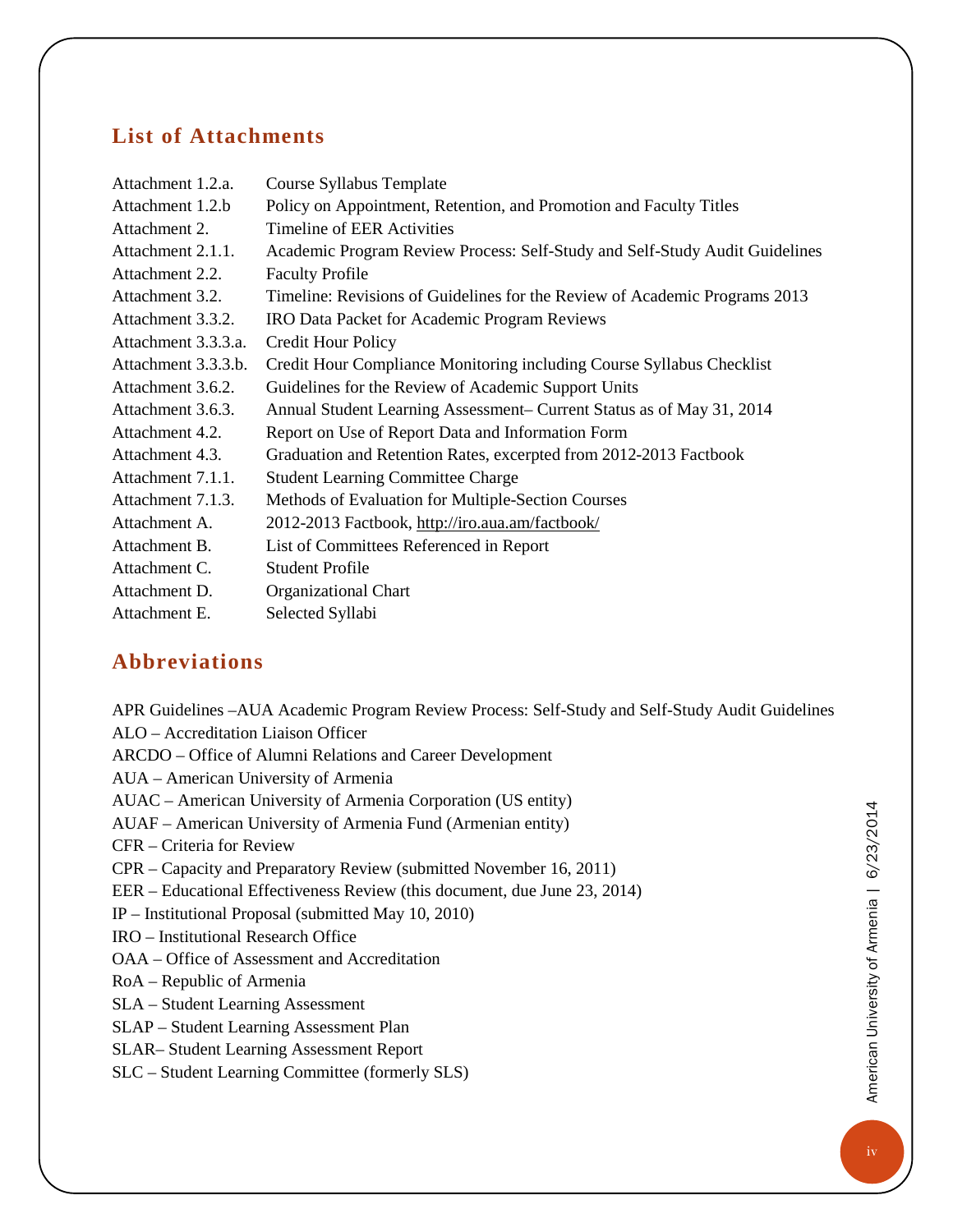### <span id="page-3-0"></span>**List of Attachments**

| Attachment 1.2.a.   | Course Syllabus Template                                                    |
|---------------------|-----------------------------------------------------------------------------|
| Attachment 1.2.b    | Policy on Appointment, Retention, and Promotion and Faculty Titles          |
| Attachment 2.       | <b>Timeline of EER Activities</b>                                           |
| Attachment 2.1.1.   | Academic Program Review Process: Self-Study and Self-Study Audit Guidelines |
| Attachment 2.2.     | <b>Faculty Profile</b>                                                      |
| Attachment 3.2.     | Timeline: Revisions of Guidelines for the Review of Academic Programs 2013  |
| Attachment 3.3.2.   | <b>IRO Data Packet for Academic Program Reviews</b>                         |
| Attachment 3.3.3.a. | <b>Credit Hour Policy</b>                                                   |
| Attachment 3.3.3.b. | Credit Hour Compliance Monitoring including Course Syllabus Checklist       |
| Attachment 3.6.2.   | Guidelines for the Review of Academic Support Units                         |
| Attachment 3.6.3.   | Annual Student Learning Assessment– Current Status as of May 31, 2014       |
| Attachment 4.2.     | Report on Use of Report Data and Information Form                           |
| Attachment 4.3.     | Graduation and Retention Rates, excerpted from 2012-2013 Factbook           |
| Attachment 7.1.1.   | <b>Student Learning Committee Charge</b>                                    |
| Attachment 7.1.3.   | Methods of Evaluation for Multiple-Section Courses                          |
| Attachment A.       | 2012-2013 Factbook, http://iro.aua.am/factbook/                             |
| Attachment B.       | List of Committees Referenced in Report                                     |
| Attachment C.       | <b>Student Profile</b>                                                      |
| Attachment D.       | Organizational Chart                                                        |
| Attachment E.       | Selected Syllabi                                                            |

## <span id="page-3-1"></span>**Abbreviations**

APR Guidelines –AUA Academic Program Review Process: Self-Study and Self-Study Audit Guidelines ALO – Accreditation Liaison Officer ARCDO – Office of Alumni Relations and Career Development AUA – American University of Armenia AUAC – American University of Armenia Corporation (US entity) AUAF – American University of Armenia Fund (Armenian entity) CFR – Criteria for Review CPR – Capacity and Preparatory Review (submitted November 16, 2011) EER – Educational Effectiveness Review (this document, due June 23, 2014) IP – Institutional Proposal (submitted May 10, 2010) IRO – Institutional Research Office OAA – Office of Assessment and Accreditation RoA – Republic of Armenia SLA – Student Learning Assessment SLAP – Student Learning Assessment Plan SLAR– Student Learning Assessment Report SLC – Student Learning Committee (formerly SLS)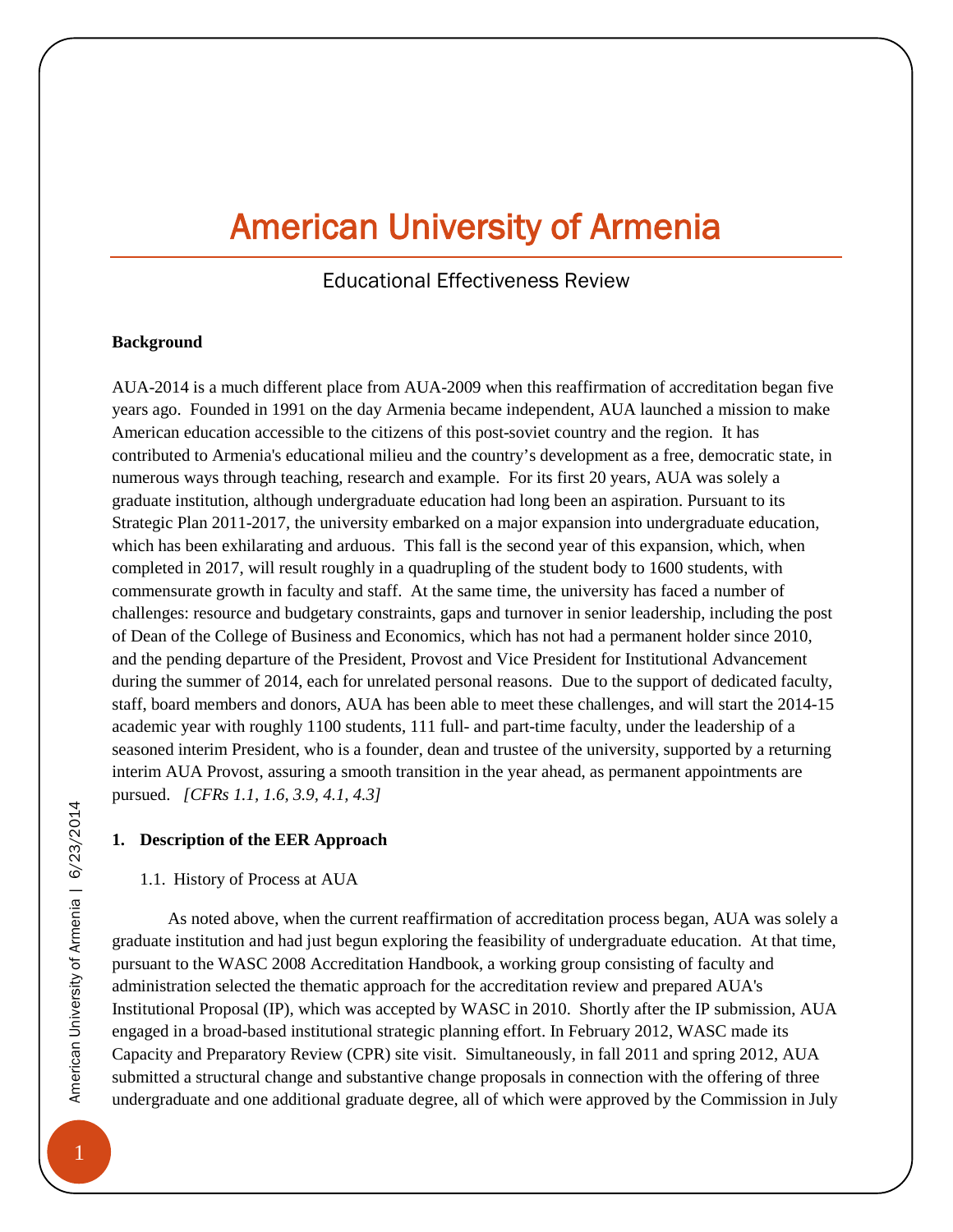## American University of Armenia

## Educational Effectiveness Review

#### <span id="page-4-0"></span>**Background**

AUA-2014 is a much different place from AUA-2009 when this reaffirmation of accreditation began five years ago. Founded in 1991 on the day Armenia became independent, AUA launched a mission to make American education accessible to the citizens of this post-soviet country and the region. It has contributed to Armenia's educational milieu and the country's development as a free, democratic state, in numerous ways through teaching, research and example. For its first 20 years, AUA was solely a graduate institution, although undergraduate education had long been an aspiration. Pursuant to its Strategic Plan 2011-2017, the university embarked on a major expansion into undergraduate education, which has been exhilarating and arduous. This fall is the second year of this expansion, which, when completed in 2017, will result roughly in a quadrupling of the student body to 1600 students, with commensurate growth in faculty and staff. At the same time, the university has faced a number of challenges: resource and budgetary constraints, gaps and turnover in senior leadership, including the post of Dean of the College of Business and Economics, which has not had a permanent holder since 2010, and the pending departure of the President, Provost and Vice President for Institutional Advancement during the summer of 2014, each for unrelated personal reasons. Due to the support of dedicated faculty, staff, board members and donors, AUA has been able to meet these challenges, and will start the 2014-15 academic year with roughly 1100 students, 111 full- and part-time faculty, under the leadership of a seasoned interim President, who is a founder, dean and trustee of the university, supported by a returning interim AUA Provost, assuring a smooth transition in the year ahead, as permanent appointments are pursued. *[CFRs 1.1, 1.6, 3.9, 4.1, 4.3]*

#### <span id="page-4-1"></span>**1. Description of the EER Approach**

#### <span id="page-4-2"></span>1.1. History of Process at AUA

As noted above, when the current reaffirmation of accreditation process began, AUA was solely a graduate institution and had just begun exploring the feasibility of undergraduate education. At that time, pursuant to the WASC 2008 Accreditation Handbook, a working group consisting of faculty and administration selected the thematic approach for the accreditation review and prepared AUA's Institutional Proposal (IP), which was accepted by WASC in 2010. Shortly after the IP submission, AUA engaged in a broad-based institutional strategic planning effort. In February 2012, WASC made its Capacity and Preparatory Review (CPR) site visit. Simultaneously, in fall 2011 and spring 2012, AUA submitted a structural change and substantive change proposals in connection with the offering of three undergraduate and one additional graduate degree, all of which were approved by the Commission in July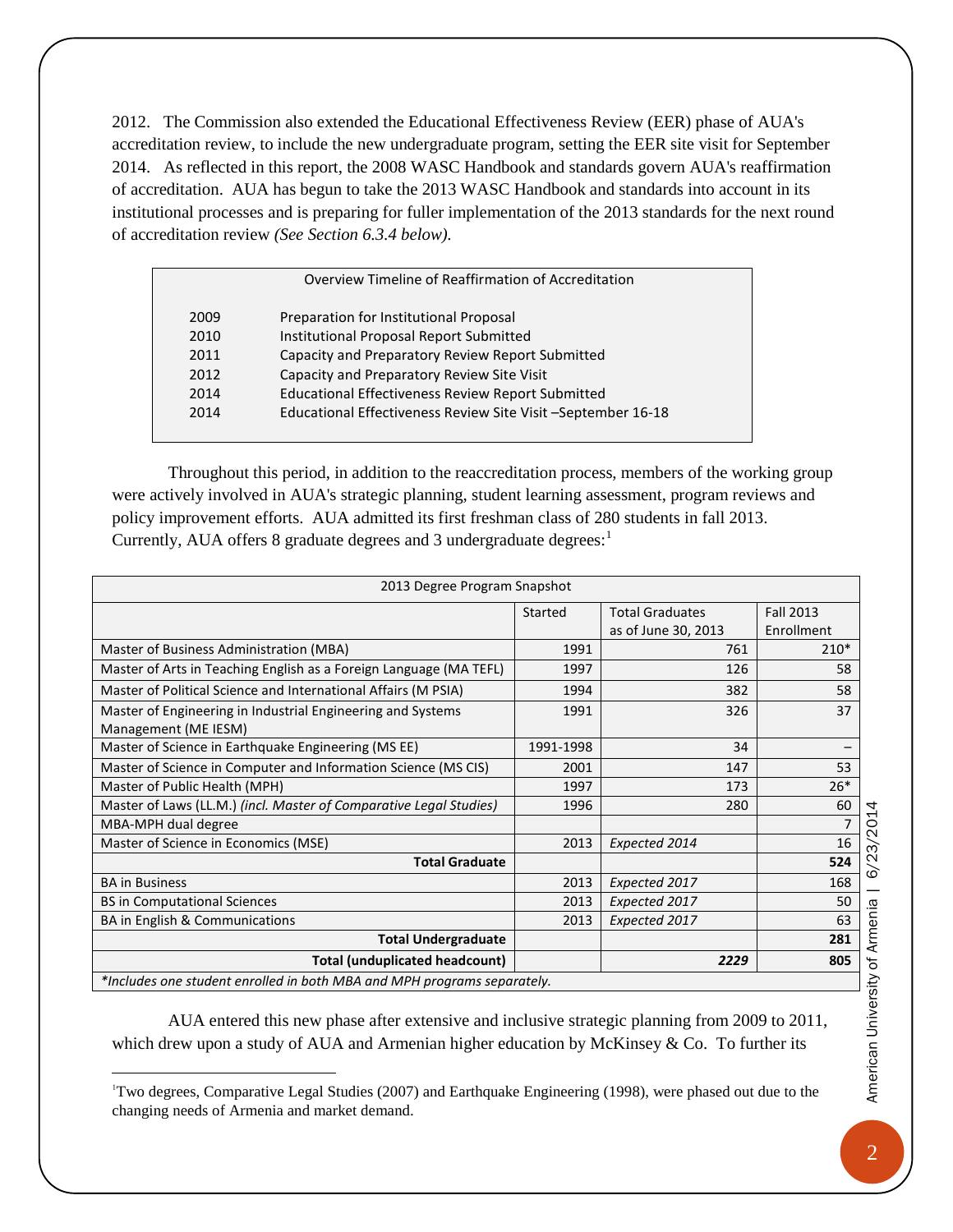2012. The Commission also extended the Educational Effectiveness Review (EER) phase of AUA's accreditation review, to include the new undergraduate program, setting the EER site visit for September 2014. As reflected in this report, the 2008 WASC Handbook and standards govern AUA's reaffirmation of accreditation. AUA has begun to take the 2013 WASC Handbook and standards into account in its institutional processes and is preparing for fuller implementation of the 2013 standards for the next round of accreditation review *(See Section 6.3.4 below).* 

| Overview Timeline of Reaffirmation of Accreditation |                                                              |  |
|-----------------------------------------------------|--------------------------------------------------------------|--|
| 2009                                                | Preparation for Institutional Proposal                       |  |
| 2010                                                | <b>Institutional Proposal Report Submitted</b>               |  |
| 2011                                                | Capacity and Preparatory Review Report Submitted             |  |
| 2012                                                | Capacity and Preparatory Review Site Visit                   |  |
| 2014                                                | <b>Educational Effectiveness Review Report Submitted</b>     |  |
| 2014                                                | Educational Effectiveness Review Site Visit -September 16-18 |  |
|                                                     |                                                              |  |

Throughout this period, in addition to the reaccreditation process, members of the working group were actively involved in AUA's strategic planning, student learning assessment, program reviews and policy improvement efforts. AUA admitted its first freshman class of 280 students in fall 2013. Currently, AUA offers 8 graduate degrees and 3 undergraduate degrees: $<sup>1</sup>$  $<sup>1</sup>$  $<sup>1</sup>$ </sup>

| 2013 Degree Program Snapshot                                            |           |                        |                  |
|-------------------------------------------------------------------------|-----------|------------------------|------------------|
|                                                                         | Started   | <b>Total Graduates</b> | <b>Fall 2013</b> |
|                                                                         |           | as of June 30, 2013    | Enrollment       |
| Master of Business Administration (MBA)                                 | 1991      | 761                    | $210*$           |
| Master of Arts in Teaching English as a Foreign Language (MA TEFL)      | 1997      | 126                    | 58               |
| Master of Political Science and International Affairs (M PSIA)          | 1994      | 382                    | 58               |
| Master of Engineering in Industrial Engineering and Systems             | 1991      | 326                    | 37               |
| Management (ME IESM)                                                    |           |                        |                  |
| Master of Science in Earthquake Engineering (MS EE)                     | 1991-1998 | 34                     |                  |
| Master of Science in Computer and Information Science (MS CIS)          | 2001      | 147                    | 53               |
| Master of Public Health (MPH)                                           | 1997      | 173                    | $26*$            |
| Master of Laws (LL.M.) (incl. Master of Comparative Legal Studies)      | 1996      | 280                    | 60               |
| MBA-MPH dual degree                                                     |           |                        | $\overline{7}$   |
| Master of Science in Economics (MSE)                                    | 2013      | Expected 2014          | 16               |
| <b>Total Graduate</b>                                                   |           |                        | 524              |
| <b>BA in Business</b>                                                   | 2013      | Expected 2017          | 168              |
| <b>BS in Computational Sciences</b>                                     | 2013      | Expected 2017          | 50               |
| BA in English & Communications                                          | 2013      | Expected 2017          | 63               |
| <b>Total Undergraduate</b>                                              |           |                        | 281              |
| <b>Total (unduplicated headcount)</b>                                   |           | 2229                   | 805              |
| *Includes one student enrolled in both MBA and MPH programs separately. |           |                        |                  |

AUA entered this new phase after extensive and inclusive strategic planning from 2009 to 2011, which drew upon a study of AUA and Armenian higher education by McKinsey  $\&$  Co. To further its

<span id="page-5-0"></span><sup>|&</sup>lt;br>|<br>| Two degrees, Comparative Legal Studies (2007) and Earthquake Engineering (1998), were phased out due to the changing needs of Armenia and market demand.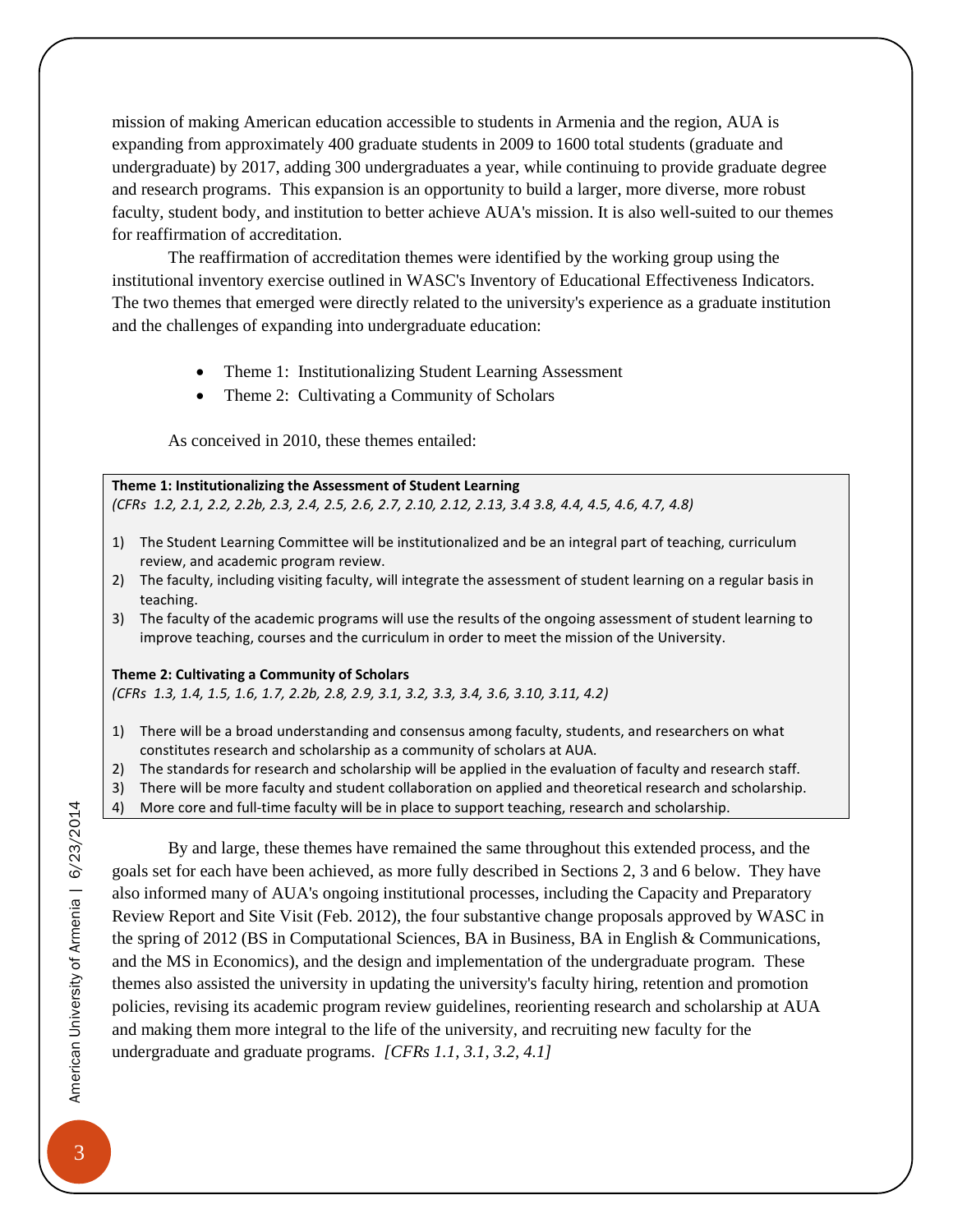mission of making American education accessible to students in Armenia and the region, AUA is expanding from approximately 400 graduate students in 2009 to 1600 total students (graduate and undergraduate) by 2017, adding 300 undergraduates a year, while continuing to provide graduate degree and research programs. This expansion is an opportunity to build a larger, more diverse, more robust faculty, student body, and institution to better achieve AUA's mission. It is also well-suited to our themes for reaffirmation of accreditation.

The reaffirmation of accreditation themes were identified by the working group using the institutional inventory exercise outlined in WASC's Inventory of Educational Effectiveness Indicators. The two themes that emerged were directly related to the university's experience as a graduate institution and the challenges of expanding into undergraduate education:

- Theme 1: Institutionalizing Student Learning Assessment
- Theme 2: Cultivating a Community of Scholars

As conceived in 2010, these themes entailed:

**Theme 1: Institutionalizing the Assessment of Student Learning**  *(CFRs 1.2, 2.1, 2.2, 2.2b, 2.3, 2.4, 2.5, 2.6, 2.7, 2.10, 2.12, 2.13, 3.4 3.8, 4.4, 4.5, 4.6, 4.7, 4.8)*

- 1) The Student Learning Committee will be institutionalized and be an integral part of teaching, curriculum review, and academic program review.
- 2) The faculty, including visiting faculty, will integrate the assessment of student learning on a regular basis in teaching.
- 3) The faculty of the academic programs will use the results of the ongoing assessment of student learning to improve teaching, courses and the curriculum in order to meet the mission of the University.

#### **Theme 2: Cultivating a Community of Scholars**

*(CFRs 1.3, 1.4, 1.5, 1.6, 1.7, 2.2b, 2.8, 2.9, 3.1, 3.2, 3.3, 3.4, 3.6, 3.10, 3.11, 4.2)*

- 1) There will be a broad understanding and consensus among faculty, students, and researchers on what constitutes research and scholarship as a community of scholars at AUA.
- 2) The standards for research and scholarship will be applied in the evaluation of faculty and research staff.
- 3) There will be more faculty and student collaboration on applied and theoretical research and scholarship.
- 4) More core and full-time faculty will be in place to support teaching, research and scholarship.

By and large, these themes have remained the same throughout this extended process, and the goals set for each have been achieved, as more fully described in Sections 2, 3 and 6 below. They have also informed many of AUA's ongoing institutional processes, including the Capacity and Preparatory Review Report and Site Visit (Feb. 2012), the four substantive change proposals approved by WASC in the spring of 2012 (BS in Computational Sciences, BA in Business, BA in English & Communications, and the MS in Economics), and the design and implementation of the undergraduate program. These themes also assisted the university in updating the university's faculty hiring, retention and promotion policies, revising its academic program review guidelines, reorienting research and scholarship at AUA and making them more integral to the life of the university, and recruiting new faculty for the undergraduate and graduate programs. *[CFRs 1.1, 3.1, 3.2, 4.1]*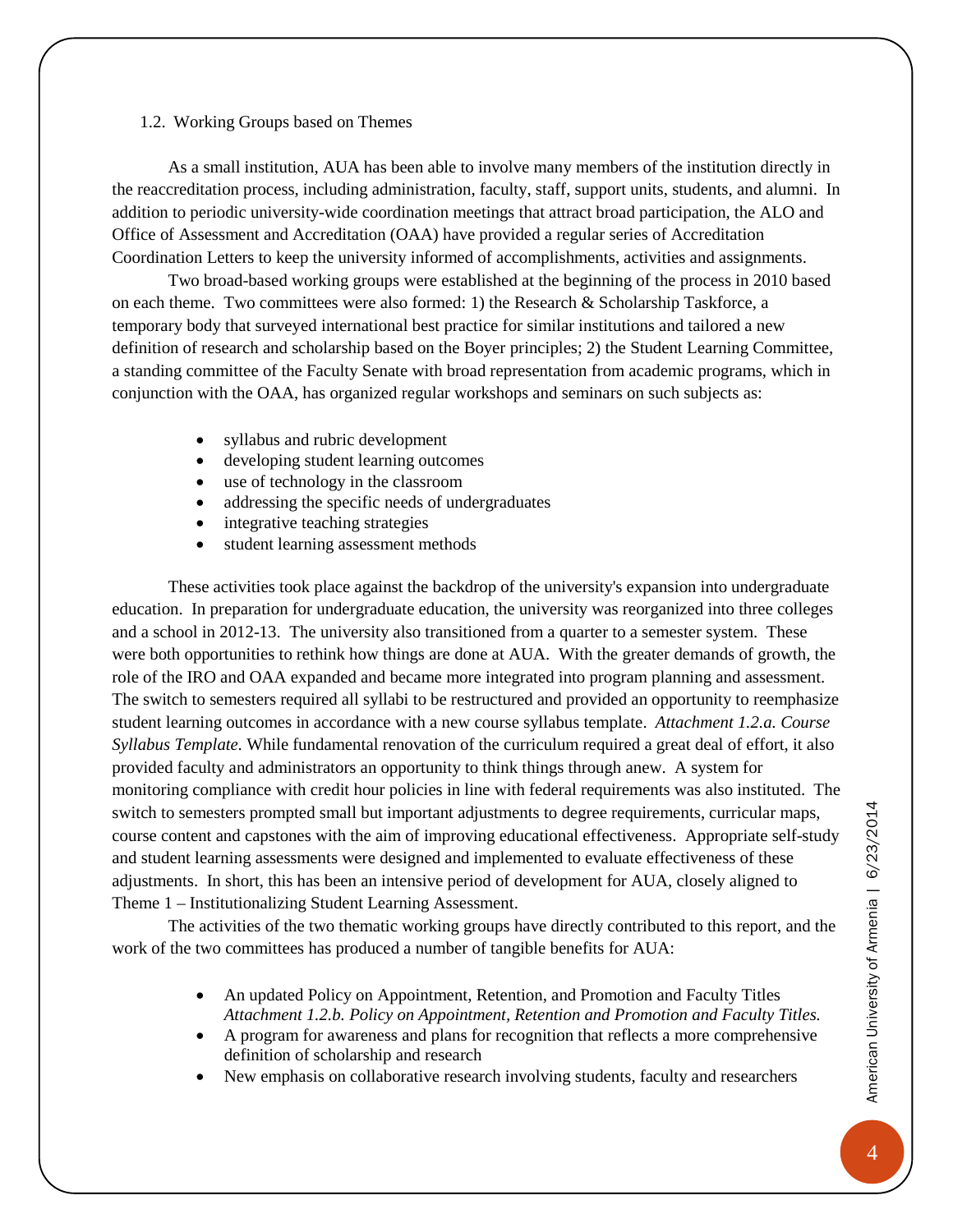#### <span id="page-7-0"></span>1.2. Working Groups based on Themes

As a small institution, AUA has been able to involve many members of the institution directly in the reaccreditation process, including administration, faculty, staff, support units, students, and alumni. In addition to periodic university-wide coordination meetings that attract broad participation, the ALO and Office of Assessment and Accreditation (OAA) have provided a regular series of Accreditation Coordination Letters to keep the university informed of accomplishments, activities and assignments.

Two broad-based working groups were established at the beginning of the process in 2010 based on each theme. Two committees were also formed: 1) the Research & Scholarship Taskforce, a temporary body that surveyed international best practice for similar institutions and tailored a new definition of research and scholarship based on the Boyer principles; 2) the Student Learning Committee, a standing committee of the Faculty Senate with broad representation from academic programs, which in conjunction with the OAA, has organized regular workshops and seminars on such subjects as:

- syllabus and rubric development
- developing student learning outcomes
- use of technology in the classroom
- addressing the specific needs of undergraduates
- integrative teaching strategies
- student learning assessment methods

These activities took place against the backdrop of the university's expansion into undergraduate education. In preparation for undergraduate education, the university was reorganized into three colleges and a school in 2012-13. The university also transitioned from a quarter to a semester system. These were both opportunities to rethink how things are done at AUA. With the greater demands of growth, the role of the IRO and OAA expanded and became more integrated into program planning and assessment. The switch to semesters required all syllabi to be restructured and provided an opportunity to reemphasize student learning outcomes in accordance with a new course syllabus template. *Attachment 1.2.a. Course Syllabus Template.* While fundamental renovation of the curriculum required a great deal of effort, it also provided faculty and administrators an opportunity to think things through anew. A system for monitoring compliance with credit hour policies in line with federal requirements was also instituted. The switch to semesters prompted small but important adjustments to degree requirements, curricular maps, course content and capstones with the aim of improving educational effectiveness. Appropriate self-study and student learning assessments were designed and implemented to evaluate effectiveness of these adjustments. In short, this has been an intensive period of development for AUA, closely aligned to Theme 1 – Institutionalizing Student Learning Assessment.

The activities of the two thematic working groups have directly contributed to this report, and the work of the two committees has produced a number of tangible benefits for AUA:

- An updated Policy on Appointment, Retention, and Promotion and Faculty Titles *Attachment 1.2.b. Policy on Appointment, Retention and Promotion and Faculty Titles.*
- A program for awareness and plans for recognition that reflects a more comprehensive definition of scholarship and research
- New emphasis on collaborative research involving students, faculty and researchers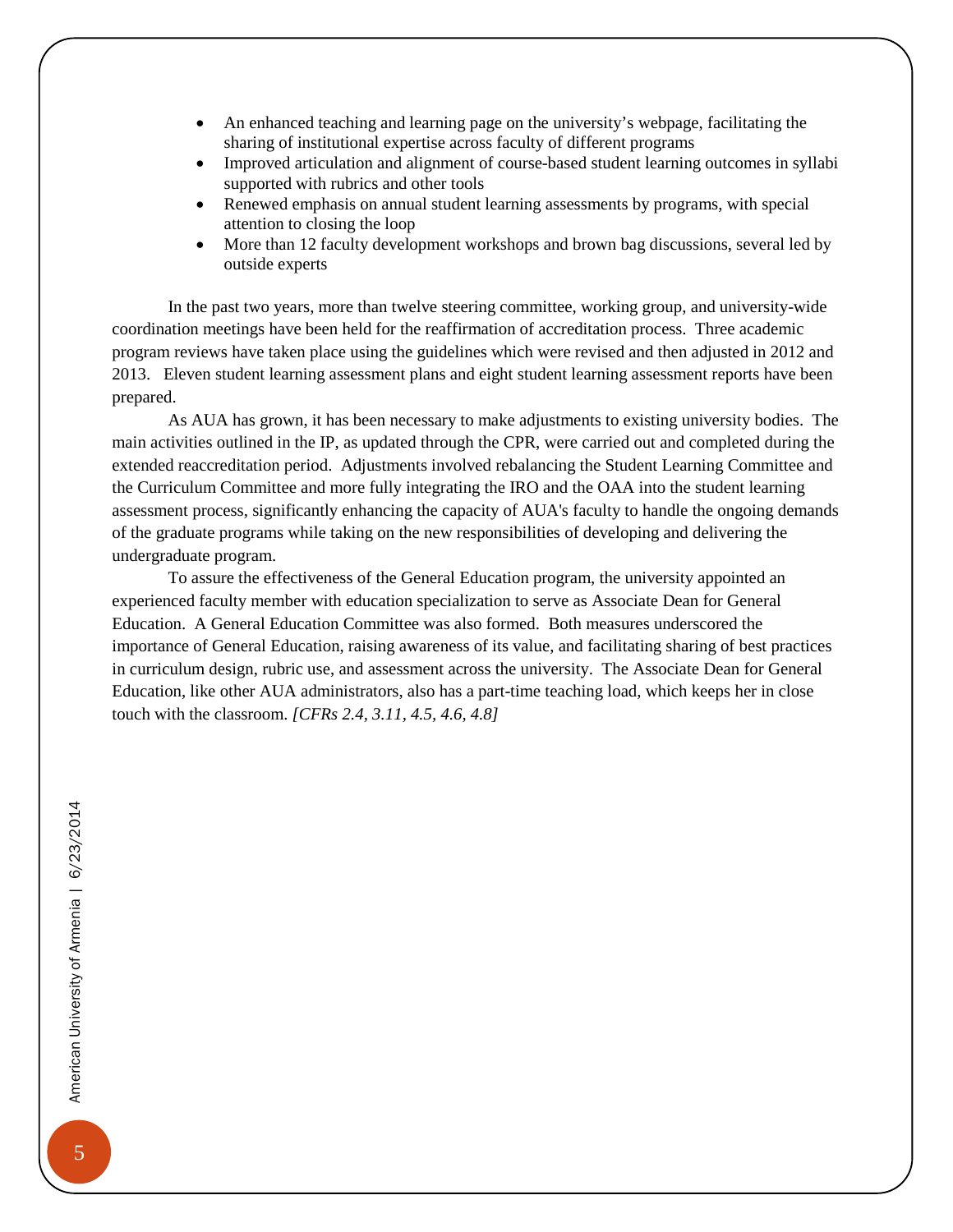- An enhanced teaching and learning page on the university's webpage, facilitating the sharing of institutional expertise across faculty of different programs
- Improved articulation and alignment of course-based student learning outcomes in syllabi supported with rubrics and other tools
- Renewed emphasis on annual student learning assessments by programs, with special attention to closing the loop
- More than 12 faculty development workshops and brown bag discussions, several led by outside experts

In the past two years, more than twelve steering committee, working group, and university-wide coordination meetings have been held for the reaffirmation of accreditation process. Three academic program reviews have taken place using the guidelines which were revised and then adjusted in 2012 and 2013. Eleven student learning assessment plans and eight student learning assessment reports have been prepared.

As AUA has grown, it has been necessary to make adjustments to existing university bodies. The main activities outlined in the IP, as updated through the CPR, were carried out and completed during the extended reaccreditation period. Adjustments involved rebalancing the Student Learning Committee and the Curriculum Committee and more fully integrating the IRO and the OAA into the student learning assessment process, significantly enhancing the capacity of AUA's faculty to handle the ongoing demands of the graduate programs while taking on the new responsibilities of developing and delivering the undergraduate program.

To assure the effectiveness of the General Education program, the university appointed an experienced faculty member with education specialization to serve as Associate Dean for General Education. A General Education Committee was also formed. Both measures underscored the importance of General Education, raising awareness of its value, and facilitating sharing of best practices in curriculum design, rubric use, and assessment across the university. The Associate Dean for General Education, like other AUA administrators, also has a part-time teaching load, which keeps her in close touch with the classroom. *[CFRs 2.4, 3.11, 4.5, 4.6, 4.8]*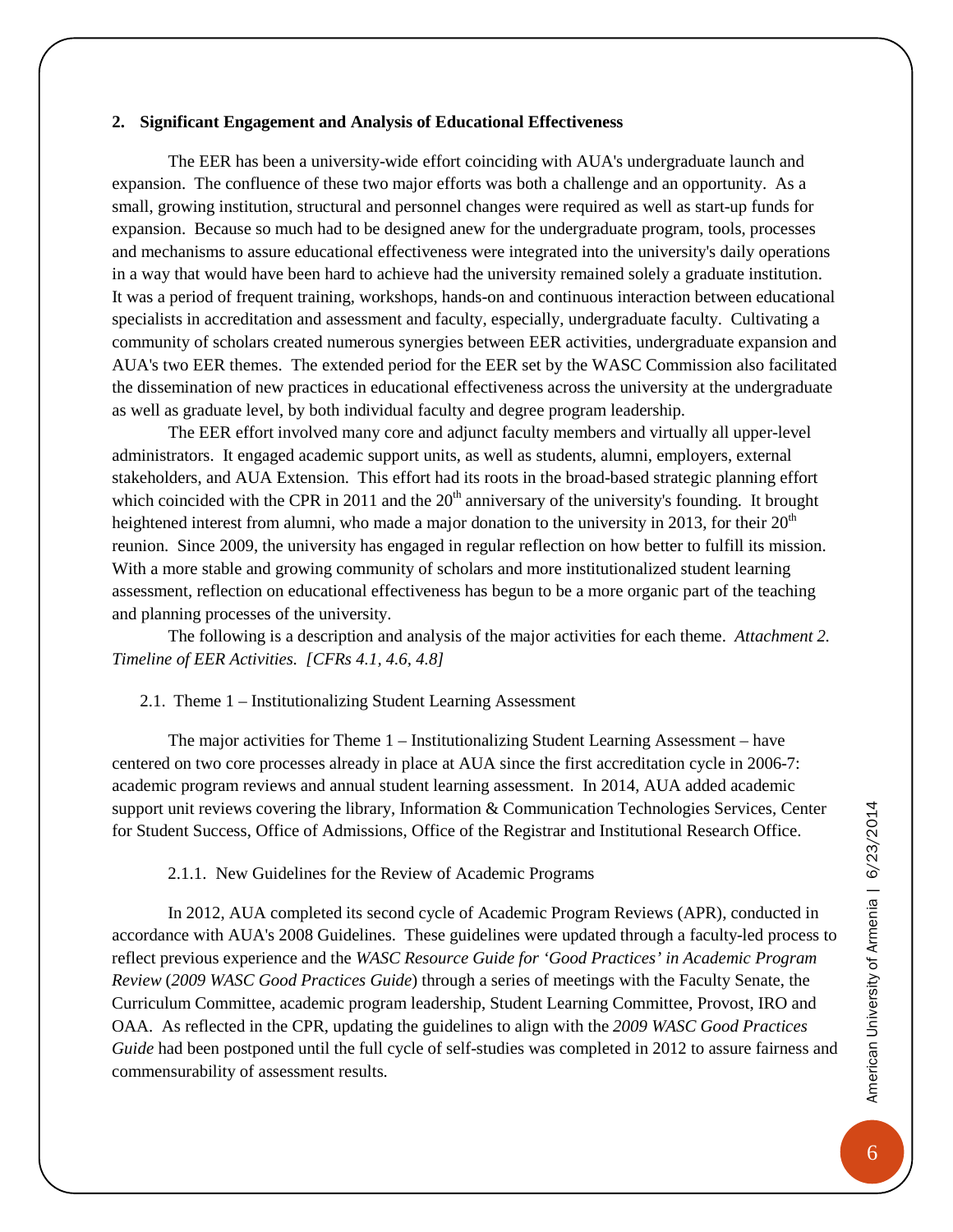#### <span id="page-9-0"></span>**2. Significant Engagement and Analysis of Educational Effectiveness**

The EER has been a university-wide effort coinciding with AUA's undergraduate launch and expansion. The confluence of these two major efforts was both a challenge and an opportunity. As a small, growing institution, structural and personnel changes were required as well as start-up funds for expansion. Because so much had to be designed anew for the undergraduate program, tools, processes and mechanisms to assure educational effectiveness were integrated into the university's daily operations in a way that would have been hard to achieve had the university remained solely a graduate institution. It was a period of frequent training, workshops, hands-on and continuous interaction between educational specialists in accreditation and assessment and faculty, especially, undergraduate faculty. Cultivating a community of scholars created numerous synergies between EER activities, undergraduate expansion and AUA's two EER themes. The extended period for the EER set by the WASC Commission also facilitated the dissemination of new practices in educational effectiveness across the university at the undergraduate as well as graduate level, by both individual faculty and degree program leadership.

The EER effort involved many core and adjunct faculty members and virtually all upper-level administrators. It engaged academic support units, as well as students, alumni, employers, external stakeholders, and AUA Extension. This effort had its roots in the broad-based strategic planning effort which coincided with the CPR in 2011 and the  $20<sup>th</sup>$  anniversary of the university's founding. It brought heightened interest from alumni, who made a major donation to the university in 2013, for their  $20<sup>th</sup>$ reunion. Since 2009, the university has engaged in regular reflection on how better to fulfill its mission. With a more stable and growing community of scholars and more institutionalized student learning assessment, reflection on educational effectiveness has begun to be a more organic part of the teaching and planning processes of the university.

The following is a description and analysis of the major activities for each theme. *Attachment 2. Timeline of EER Activities. [CFRs 4.1, 4.6, 4.8]*

#### <span id="page-9-1"></span>2.1. Theme 1 – Institutionalizing Student Learning Assessment

The major activities for Theme 1 – Institutionalizing Student Learning Assessment – have centered on two core processes already in place at AUA since the first accreditation cycle in 2006-7: academic program reviews and annual student learning assessment. In 2014, AUA added academic support unit reviews covering the library, Information & Communication Technologies Services, Center for Student Success, Office of Admissions, Office of the Registrar and Institutional Research Office.

#### 2.1.1. New Guidelines for the Review of Academic Programs

<span id="page-9-2"></span>In 2012, AUA completed its second cycle of Academic Program Reviews (APR), conducted in accordance with AUA's 2008 Guidelines. These guidelines were updated through a faculty-led process to reflect previous experience and the *WASC Resource Guide for 'Good Practices' in Academic Program Review* (*2009 WASC Good Practices Guide*) through a series of meetings with the Faculty Senate, the Curriculum Committee, academic program leadership, Student Learning Committee, Provost, IRO and OAA. As reflected in the CPR, updating the guidelines to align with the *2009 WASC Good Practices Guide* had been postponed until the full cycle of self-studies was completed in 2012 to assure fairness and commensurability of assessment results.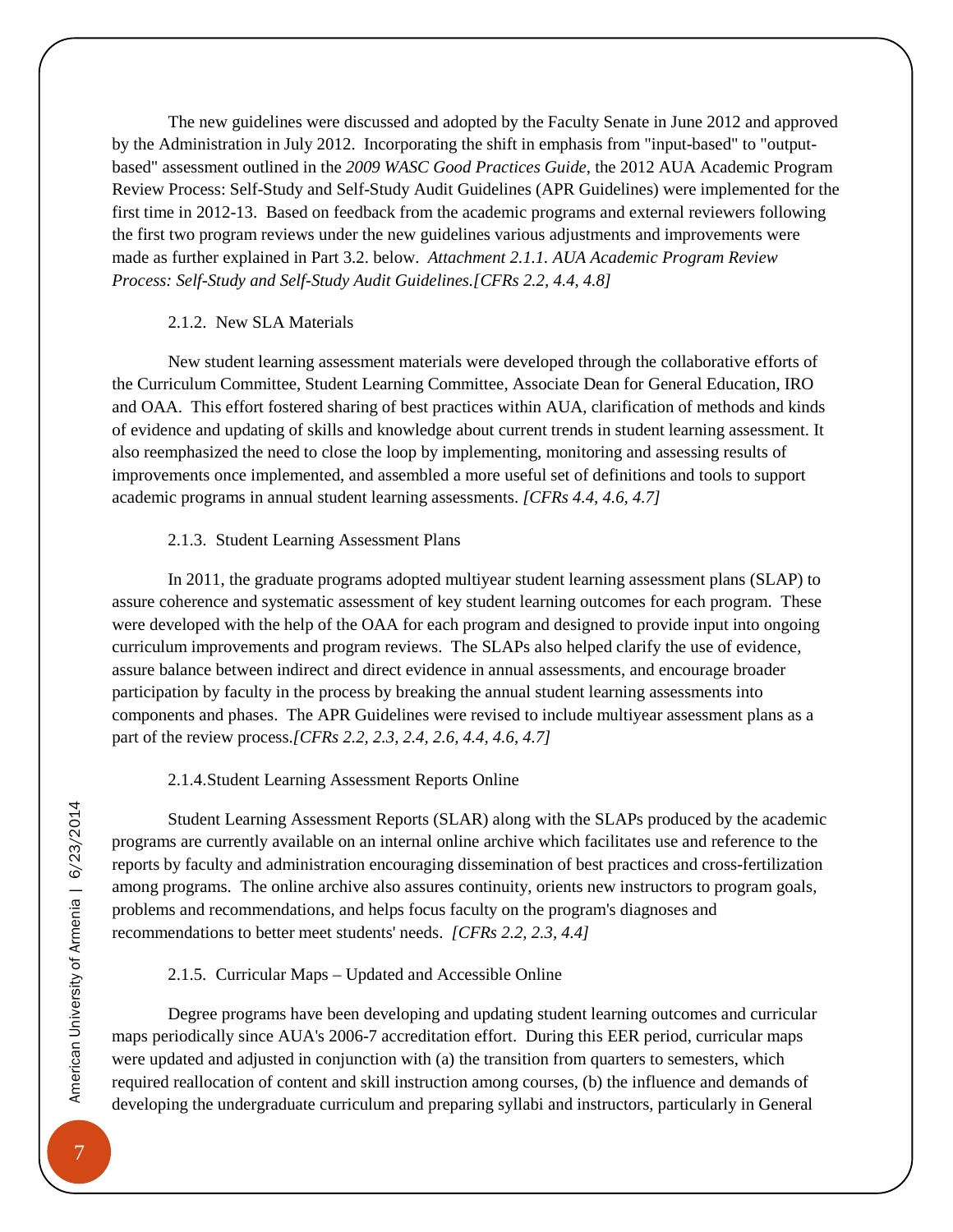The new guidelines were discussed and adopted by the Faculty Senate in June 2012 and approved by the Administration in July 2012. Incorporating the shift in emphasis from "input-based" to "outputbased" assessment outlined in the *2009 WASC Good Practices Guide*, the 2012 AUA Academic Program Review Process: Self-Study and Self-Study Audit Guidelines (APR Guidelines) were implemented for the first time in 2012-13. Based on feedback from the academic programs and external reviewers following the first two program reviews under the new guidelines various adjustments and improvements were made as further explained in Part 3.2. below. *Attachment 2.1.1. AUA Academic Program Review Process: Self-Study and Self-Study Audit Guidelines.[CFRs 2.2, 4.4, 4.8]*

#### 2.1.2. New SLA Materials

<span id="page-10-0"></span>New student learning assessment materials were developed through the collaborative efforts of the Curriculum Committee, Student Learning Committee, Associate Dean for General Education, IRO and OAA. This effort fostered sharing of best practices within AUA, clarification of methods and kinds of evidence and updating of skills and knowledge about current trends in student learning assessment. It also reemphasized the need to close the loop by implementing, monitoring and assessing results of improvements once implemented, and assembled a more useful set of definitions and tools to support academic programs in annual student learning assessments. *[CFRs 4.4, 4.6, 4.7]*

#### 2.1.3. Student Learning Assessment Plans

<span id="page-10-1"></span>In 2011, the graduate programs adopted multiyear student learning assessment plans (SLAP) to assure coherence and systematic assessment of key student learning outcomes for each program. These were developed with the help of the OAA for each program and designed to provide input into ongoing curriculum improvements and program reviews. The SLAPs also helped clarify the use of evidence, assure balance between indirect and direct evidence in annual assessments, and encourage broader participation by faculty in the process by breaking the annual student learning assessments into components and phases. The APR Guidelines were revised to include multiyear assessment plans as a part of the review process.*[CFRs 2.2, 2.3, 2.4, 2.6, 4.4, 4.6, 4.7]*

#### 2.1.4.Student Learning Assessment Reports Online

<span id="page-10-2"></span>Student Learning Assessment Reports (SLAR) along with the SLAPs produced by the academic programs are currently available on an internal online archive which facilitates use and reference to the reports by faculty and administration encouraging dissemination of best practices and cross-fertilization among programs. The online archive also assures continuity, orients new instructors to program goals, problems and recommendations, and helps focus faculty on the program's diagnoses and recommendations to better meet students' needs. *[CFRs 2.2, 2.3, 4.4]*

2.1.5. Curricular Maps – Updated and Accessible Online

<span id="page-10-3"></span>Degree programs have been developing and updating student learning outcomes and curricular maps periodically since AUA's 2006-7 accreditation effort. During this EER period, curricular maps were updated and adjusted in conjunction with (a) the transition from quarters to semesters, which required reallocation of content and skill instruction among courses, (b) the influence and demands of developing the undergraduate curriculum and preparing syllabi and instructors, particularly in General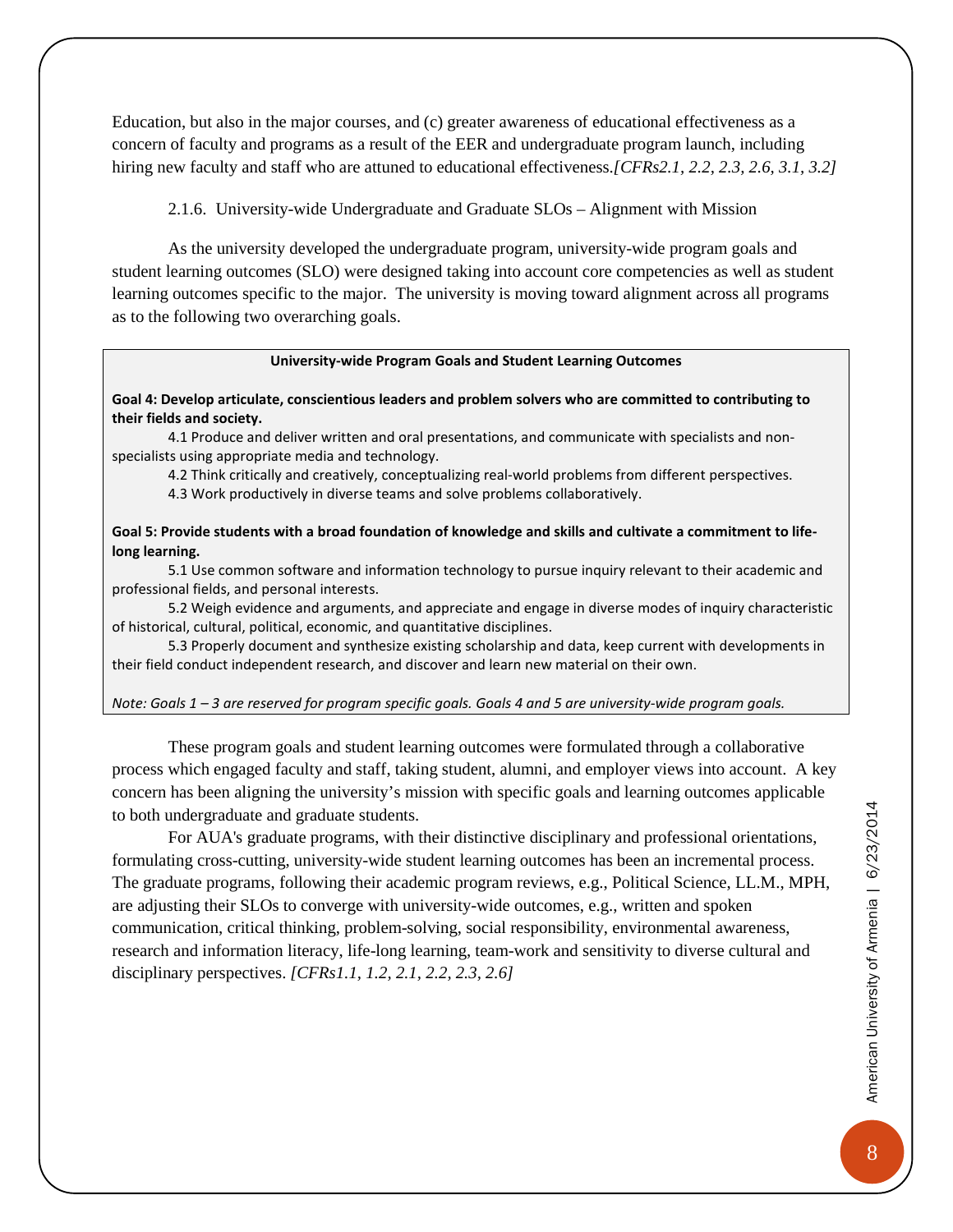Education, but also in the major courses, and (c) greater awareness of educational effectiveness as a concern of faculty and programs as a result of the EER and undergraduate program launch, including hiring new faculty and staff who are attuned to educational effectiveness.*[CFRs2.1, 2.2, 2.3, 2.6, 3.1, 3.2]* 

2.1.6. University-wide Undergraduate and Graduate SLOs – Alignment with Mission

<span id="page-11-0"></span>As the university developed the undergraduate program, university-wide program goals and student learning outcomes (SLO) were designed taking into account core competencies as well as student learning outcomes specific to the major. The university is moving toward alignment across all programs as to the following two overarching goals.

#### **University-wide Program Goals and Student Learning Outcomes**

#### **Goal 4: Develop articulate, conscientious leaders and problem solvers who are committed to contributing to their fields and society.**

4.1 Produce and deliver written and oral presentations, and communicate with specialists and nonspecialists using appropriate media and technology.

4.2 Think critically and creatively, conceptualizing real-world problems from different perspectives.

4.3 Work productively in diverse teams and solve problems collaboratively.

**Goal 5: Provide students with a broad foundation of knowledge and skills and cultivate a commitment to lifelong learning.** 

5.1 Use common software and information technology to pursue inquiry relevant to their academic and professional fields, and personal interests.

5.2 Weigh evidence and arguments, and appreciate and engage in diverse modes of inquiry characteristic of historical, cultural, political, economic, and quantitative disciplines.

5.3 Properly document and synthesize existing scholarship and data, keep current with developments in their field conduct independent research, and discover and learn new material on their own.

*Note: Goals 1 – 3 are reserved for program specific goals. Goals 4 and 5 are university-wide program goals.*

These program goals and student learning outcomes were formulated through a collaborative process which engaged faculty and staff, taking student, alumni, and employer views into account. A key concern has been aligning the university's mission with specific goals and learning outcomes applicable to both undergraduate and graduate students.

For AUA's graduate programs, with their distinctive disciplinary and professional orientations, formulating cross-cutting, university-wide student learning outcomes has been an incremental process. The graduate programs, following their academic program reviews, e.g., Political Science, LL.M., MPH, are adjusting their SLOs to converge with university-wide outcomes, e.g., written and spoken communication, critical thinking, problem-solving, social responsibility, environmental awareness, research and information literacy, life-long learning, team-work and sensitivity to diverse cultural and disciplinary perspectives. *[CFRs1.1, 1.2, 2.1, 2.2, 2.3, 2.6]*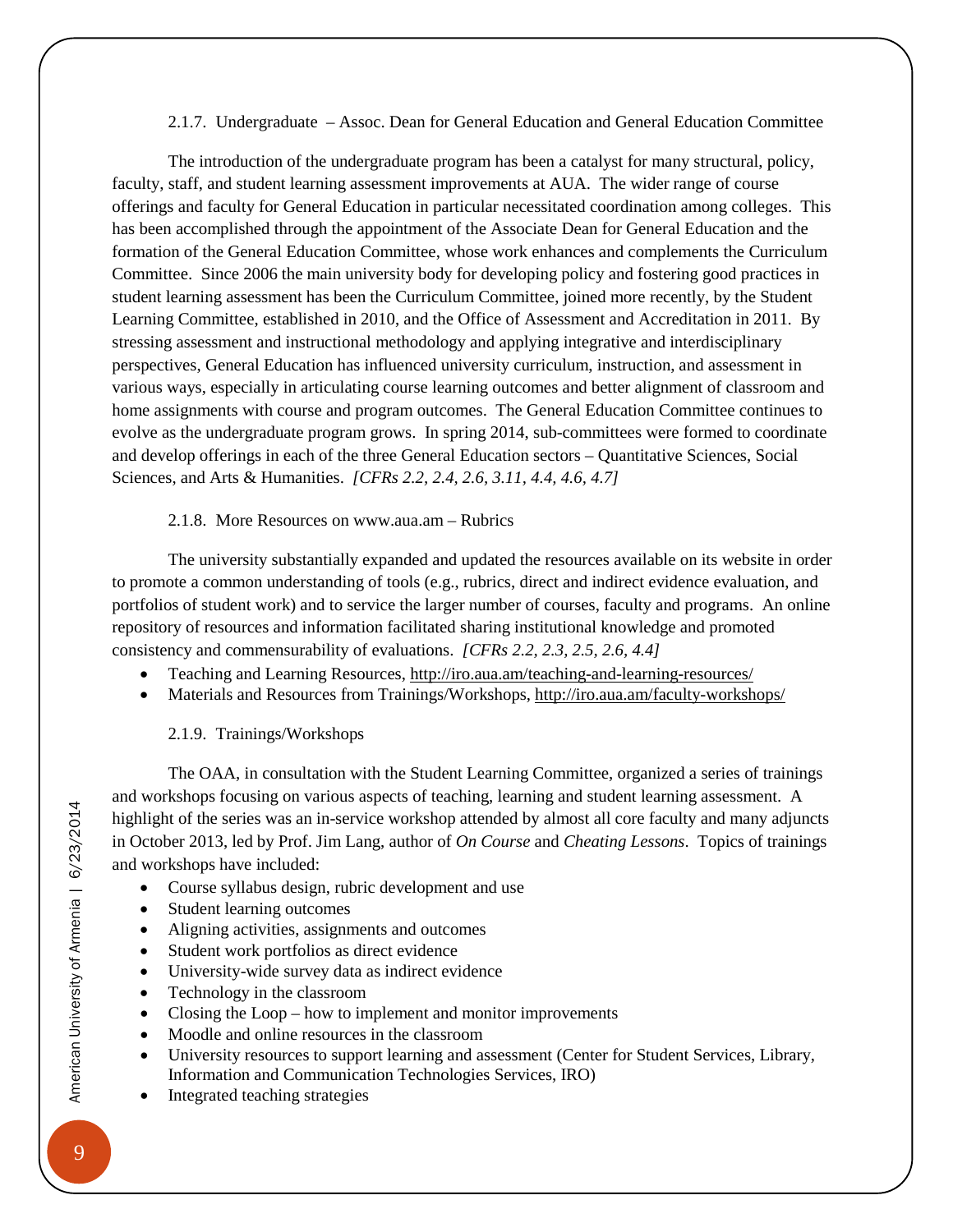2.1.7. Undergraduate – Assoc. Dean for General Education and General Education Committee

<span id="page-12-0"></span>The introduction of the undergraduate program has been a catalyst for many structural, policy, faculty, staff, and student learning assessment improvements at AUA. The wider range of course offerings and faculty for General Education in particular necessitated coordination among colleges. This has been accomplished through the appointment of the Associate Dean for General Education and the formation of the General Education Committee, whose work enhances and complements the Curriculum Committee. Since 2006 the main university body for developing policy and fostering good practices in student learning assessment has been the Curriculum Committee, joined more recently, by the Student Learning Committee, established in 2010, and the Office of Assessment and Accreditation in 2011. By stressing assessment and instructional methodology and applying integrative and interdisciplinary perspectives, General Education has influenced university curriculum, instruction, and assessment in various ways, especially in articulating course learning outcomes and better alignment of classroom and home assignments with course and program outcomes. The General Education Committee continues to evolve as the undergraduate program grows. In spring 2014, sub-committees were formed to coordinate and develop offerings in each of the three General Education sectors – Quantitative Sciences, Social Sciences, and Arts & Humanities. *[CFRs 2.2, 2.4, 2.6, 3.11, 4.4, 4.6, 4.7]*

2.1.8. More Resources on www.aua.am – Rubrics

The university substantially expanded and updated the resources available on its website in order to promote a common understanding of tools (e.g., rubrics, direct and indirect evidence evaluation, and portfolios of student work) and to service the larger number of courses, faculty and programs. An online repository of resources and information facilitated sharing institutional knowledge and promoted consistency and commensurability of evaluations. *[CFRs 2.2, 2.3, 2.5, 2.6, 4.4]*

- Teaching and Learning Resources, <http://iro.aua.am/teaching-and-learning-resources/>
- Materials and Resources from Trainings/Workshops,<http://iro.aua.am/faculty-workshops/>

### 2.1.9. Trainings/Workshops

<span id="page-12-1"></span>The OAA, in consultation with the Student Learning Committee, organized a series of trainings and workshops focusing on various aspects of teaching, learning and student learning assessment. A highlight of the series was an in-service workshop attended by almost all core faculty and many adjuncts in October 2013, led by Prof. Jim Lang, author of *On Course* and *Cheating Lessons*. Topics of trainings and workshops have included:

- Course syllabus design, rubric development and use
- Student learning outcomes
- Aligning activities, assignments and outcomes
- Student work portfolios as direct evidence
- University-wide survey data as indirect evidence
- Technology in the classroom
- Closing the Loop how to implement and monitor improvements
- Moodle and online resources in the classroom
- University resources to support learning and assessment (Center for Student Services, Library, Information and Communication Technologies Services, IRO)
- Integrated teaching strategies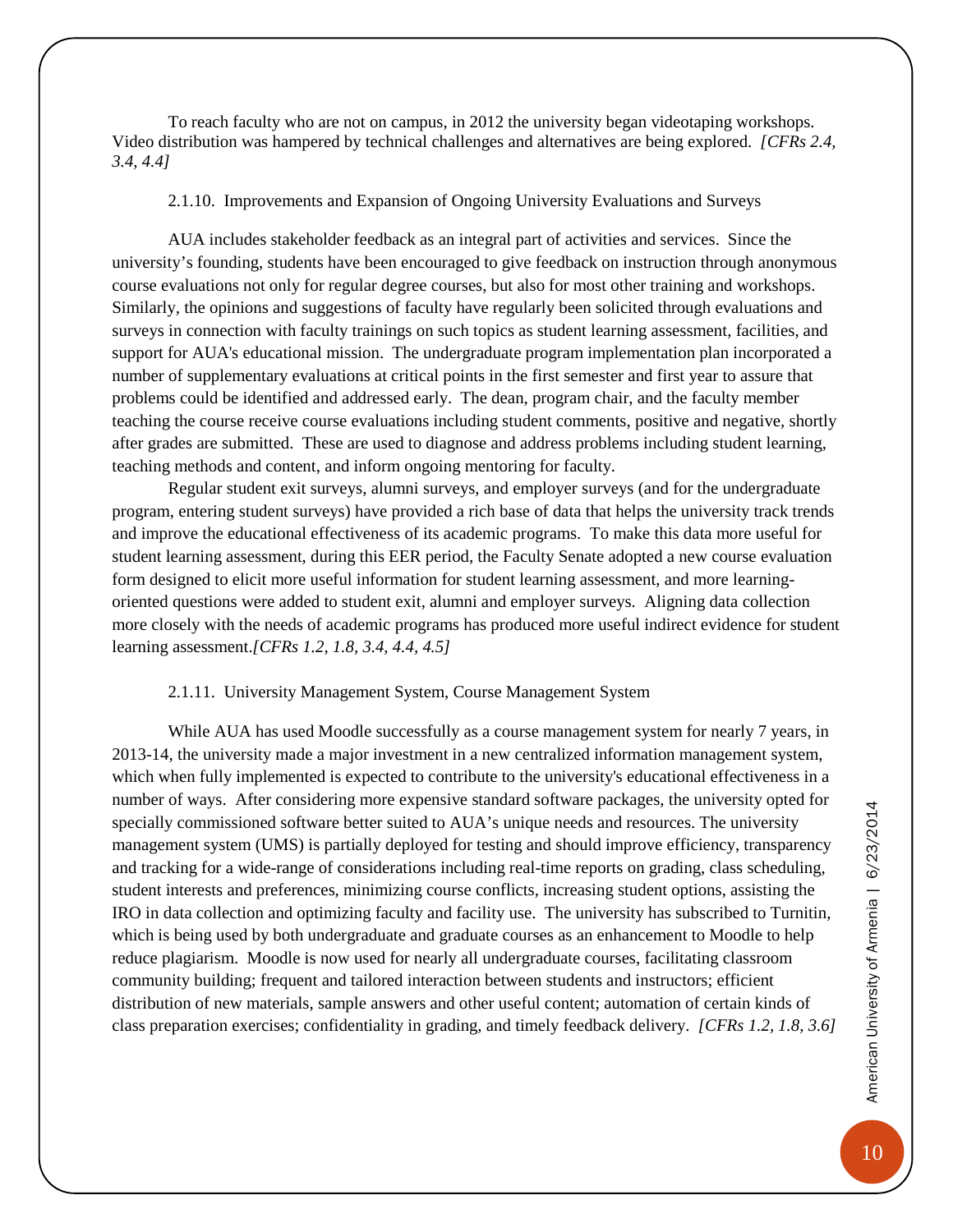To reach faculty who are not on campus, in 2012 the university began videotaping workshops. Video distribution was hampered by technical challenges and alternatives are being explored. *[CFRs 2.4, 3.4, 4.4]*

2.1.10. Improvements and Expansion of Ongoing University Evaluations and Surveys

<span id="page-13-0"></span>AUA includes stakeholder feedback as an integral part of activities and services. Since the university's founding, students have been encouraged to give feedback on instruction through anonymous course evaluations not only for regular degree courses, but also for most other training and workshops. Similarly, the opinions and suggestions of faculty have regularly been solicited through evaluations and surveys in connection with faculty trainings on such topics as student learning assessment, facilities, and support for AUA's educational mission. The undergraduate program implementation plan incorporated a number of supplementary evaluations at critical points in the first semester and first year to assure that problems could be identified and addressed early. The dean, program chair, and the faculty member teaching the course receive course evaluations including student comments, positive and negative, shortly after grades are submitted. These are used to diagnose and address problems including student learning, teaching methods and content, and inform ongoing mentoring for faculty.

Regular student exit surveys, alumni surveys, and employer surveys (and for the undergraduate program, entering student surveys) have provided a rich base of data that helps the university track trends and improve the educational effectiveness of its academic programs. To make this data more useful for student learning assessment, during this EER period, the Faculty Senate adopted a new course evaluation form designed to elicit more useful information for student learning assessment, and more learningoriented questions were added to student exit, alumni and employer surveys. Aligning data collection more closely with the needs of academic programs has produced more useful indirect evidence for student learning assessment.*[CFRs 1.2, 1.8, 3.4, 4.4, 4.5]*

#### 2.1.11. University Management System, Course Management System

<span id="page-13-1"></span>While AUA has used Moodle successfully as a course management system for nearly 7 years, in 2013-14, the university made a major investment in a new centralized information management system, which when fully implemented is expected to contribute to the university's educational effectiveness in a number of ways. After considering more expensive standard software packages, the university opted for specially commissioned software better suited to AUA's unique needs and resources. The university management system (UMS) is partially deployed for testing and should improve efficiency, transparency and tracking for a wide-range of considerations including real-time reports on grading, class scheduling, student interests and preferences, minimizing course conflicts, increasing student options, assisting the IRO in data collection and optimizing faculty and facility use. The university has subscribed to Turnitin, which is being used by both undergraduate and graduate courses as an enhancement to Moodle to help reduce plagiarism. Moodle is now used for nearly all undergraduate courses, facilitating classroom community building; frequent and tailored interaction between students and instructors; efficient distribution of new materials, sample answers and other useful content; automation of certain kinds of class preparation exercises; confidentiality in grading, and timely feedback delivery. *[CFRs 1.2, 1.8, 3.6]*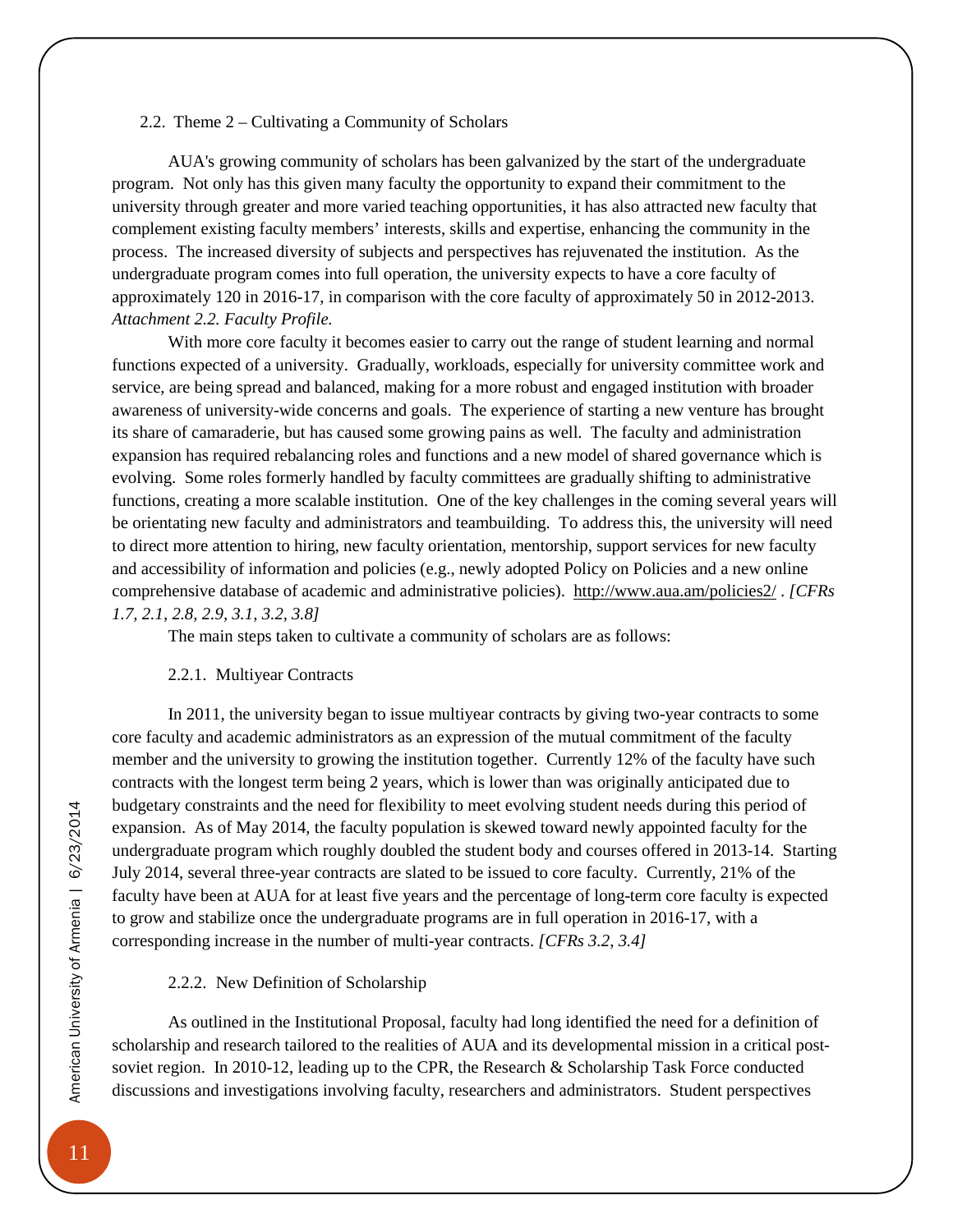#### <span id="page-14-0"></span>2.2. Theme 2 – Cultivating a Community of Scholars

AUA's growing community of scholars has been galvanized by the start of the undergraduate program. Not only has this given many faculty the opportunity to expand their commitment to the university through greater and more varied teaching opportunities, it has also attracted new faculty that complement existing faculty members' interests, skills and expertise, enhancing the community in the process. The increased diversity of subjects and perspectives has rejuvenated the institution. As the undergraduate program comes into full operation, the university expects to have a core faculty of approximately 120 in 2016-17, in comparison with the core faculty of approximately 50 in 2012-2013. *Attachment 2.2. Faculty Profile.*

With more core faculty it becomes easier to carry out the range of student learning and normal functions expected of a university. Gradually, workloads, especially for university committee work and service, are being spread and balanced, making for a more robust and engaged institution with broader awareness of university-wide concerns and goals. The experience of starting a new venture has brought its share of camaraderie, but has caused some growing pains as well. The faculty and administration expansion has required rebalancing roles and functions and a new model of shared governance which is evolving. Some roles formerly handled by faculty committees are gradually shifting to administrative functions, creating a more scalable institution. One of the key challenges in the coming several years will be orientating new faculty and administrators and teambuilding. To address this, the university will need to direct more attention to hiring, new faculty orientation, mentorship, support services for new faculty and accessibility of information and policies (e.g., newly adopted Policy on Policies and a new online comprehensive database of academic and administrative policies).<http://www.aua.am/policies2/> . *[CFRs 1.7, 2.1, 2.8, 2.9, 3.1, 3.2, 3.8]*

The main steps taken to cultivate a community of scholars are as follows:

#### 2.2.1. Multiyear Contracts

<span id="page-14-1"></span>In 2011, the university began to issue multiyear contracts by giving two-year contracts to some core faculty and academic administrators as an expression of the mutual commitment of the faculty member and the university to growing the institution together. Currently 12% of the faculty have such contracts with the longest term being 2 years, which is lower than was originally anticipated due to budgetary constraints and the need for flexibility to meet evolving student needs during this period of expansion. As of May 2014, the faculty population is skewed toward newly appointed faculty for the undergraduate program which roughly doubled the student body and courses offered in 2013-14. Starting July 2014, several three-year contracts are slated to be issued to core faculty. Currently, 21% of the faculty have been at AUA for at least five years and the percentage of long-term core faculty is expected to grow and stabilize once the undergraduate programs are in full operation in 2016-17, with a corresponding increase in the number of multi-year contracts. *[CFRs 3.2, 3.4]*

#### 2.2.2. New Definition of Scholarship

<span id="page-14-2"></span>As outlined in the Institutional Proposal, faculty had long identified the need for a definition of scholarship and research tailored to the realities of AUA and its developmental mission in a critical postsoviet region. In 2010-12, leading up to the CPR, the Research & Scholarship Task Force conducted discussions and investigations involving faculty, researchers and administrators. Student perspectives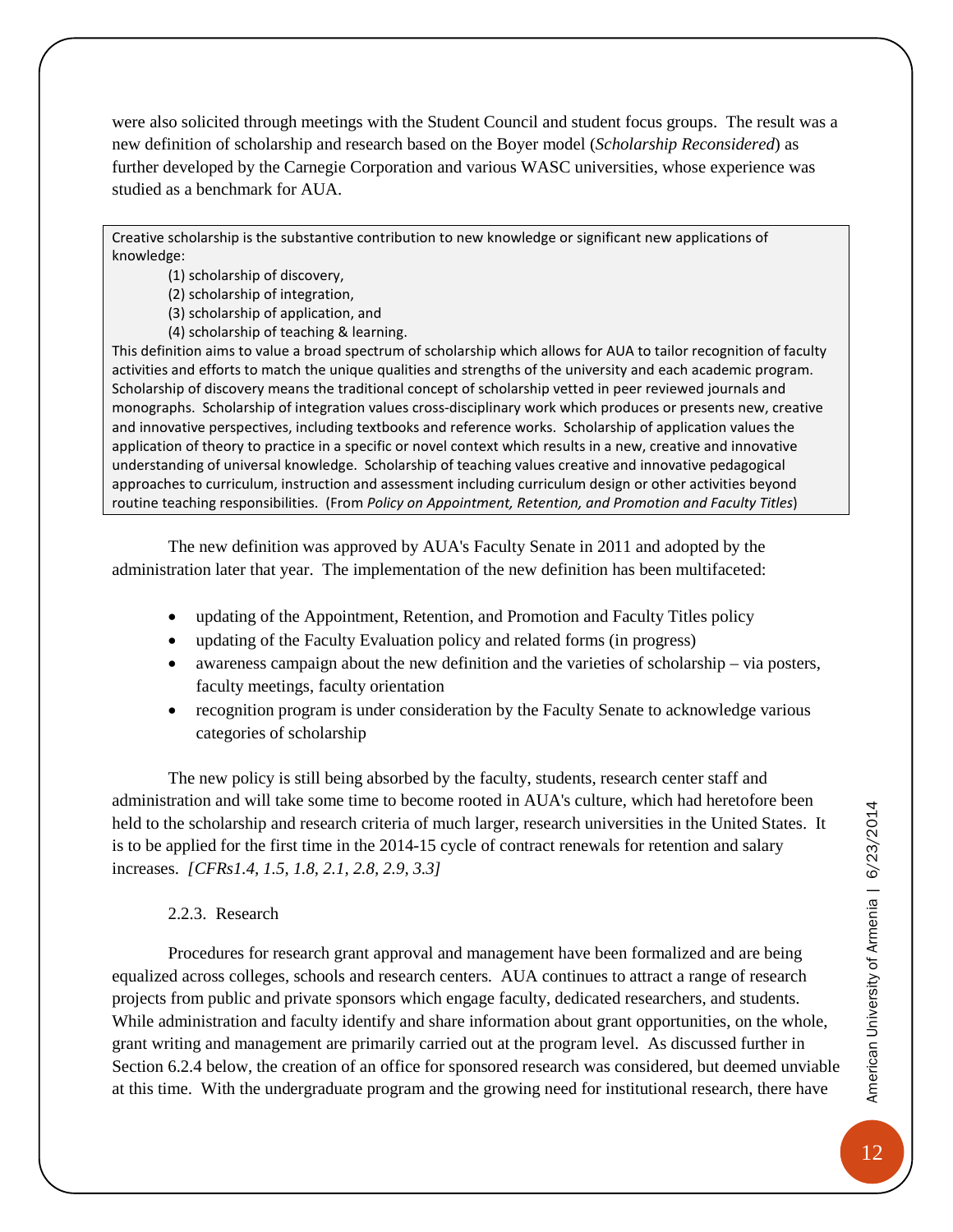were also solicited through meetings with the Student Council and student focus groups. The result was a new definition of scholarship and research based on the Boyer model (*Scholarship Reconsidered*) as further developed by the Carnegie Corporation and various WASC universities, whose experience was studied as a benchmark for AUA.

Creative scholarship is the substantive contribution to new knowledge or significant new applications of knowledge:

(1) scholarship of discovery,

(2) scholarship of integration,

(3) scholarship of application, and

(4) scholarship of teaching & learning.

This definition aims to value a broad spectrum of scholarship which allows for AUA to tailor recognition of faculty activities and efforts to match the unique qualities and strengths of the university and each academic program. Scholarship of discovery means the traditional concept of scholarship vetted in peer reviewed journals and monographs. Scholarship of integration values cross-disciplinary work which produces or presents new, creative and innovative perspectives, including textbooks and reference works. Scholarship of application values the application of theory to practice in a specific or novel context which results in a new, creative and innovative understanding of universal knowledge. Scholarship of teaching values creative and innovative pedagogical approaches to curriculum, instruction and assessment including curriculum design or other activities beyond routine teaching responsibilities. (From *Policy on Appointment, Retention, and Promotion and Faculty Titles*)

The new definition was approved by AUA's Faculty Senate in 2011 and adopted by the administration later that year. The implementation of the new definition has been multifaceted:

- updating of the Appointment, Retention, and Promotion and Faculty Titles policy
- updating of the Faculty Evaluation policy and related forms (in progress)
- awareness campaign about the new definition and the varieties of scholarship via posters, faculty meetings, faculty orientation
- recognition program is under consideration by the Faculty Senate to acknowledge various categories of scholarship

The new policy is still being absorbed by the faculty, students, research center staff and administration and will take some time to become rooted in AUA's culture, which had heretofore been held to the scholarship and research criteria of much larger, research universities in the United States. It is to be applied for the first time in the 2014-15 cycle of contract renewals for retention and salary increases. *[CFRs1.4, 1.5, 1.8, 2.1, 2.8, 2.9, 3.3]*

#### 2.2.3. Research

<span id="page-15-0"></span>Procedures for research grant approval and management have been formalized and are being equalized across colleges, schools and research centers. AUA continues to attract a range of research projects from public and private sponsors which engage faculty, dedicated researchers, and students. While administration and faculty identify and share information about grant opportunities, on the whole, grant writing and management are primarily carried out at the program level. As discussed further in Section 6.2.4 below, the creation of an office for sponsored research was considered, but deemed unviable at this time. With the undergraduate program and the growing need for institutional research, there have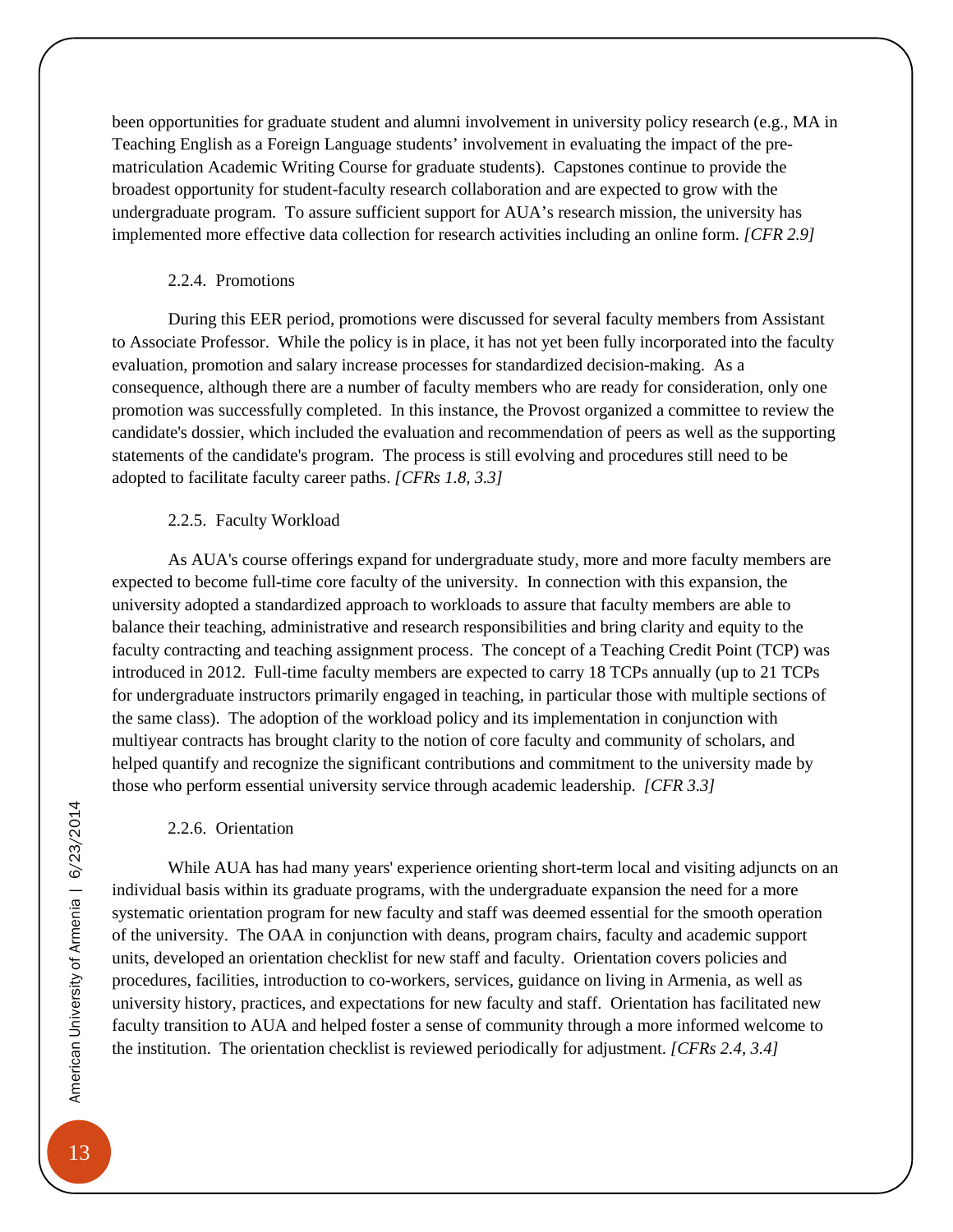been opportunities for graduate student and alumni involvement in university policy research (e.g., MA in Teaching English as a Foreign Language students' involvement in evaluating the impact of the prematriculation Academic Writing Course for graduate students). Capstones continue to provide the broadest opportunity for student-faculty research collaboration and are expected to grow with the undergraduate program. To assure sufficient support for AUA's research mission, the university has implemented more effective data collection for research activities including an online form. *[CFR 2.9]*

#### 2.2.4. Promotions

<span id="page-16-0"></span>During this EER period, promotions were discussed for several faculty members from Assistant to Associate Professor. While the policy is in place, it has not yet been fully incorporated into the faculty evaluation, promotion and salary increase processes for standardized decision-making. As a consequence, although there are a number of faculty members who are ready for consideration, only one promotion was successfully completed. In this instance, the Provost organized a committee to review the candidate's dossier, which included the evaluation and recommendation of peers as well as the supporting statements of the candidate's program. The process is still evolving and procedures still need to be adopted to facilitate faculty career paths. *[CFRs 1.8, 3.3]*

#### 2.2.5. Faculty Workload

<span id="page-16-1"></span>As AUA's course offerings expand for undergraduate study, more and more faculty members are expected to become full-time core faculty of the university. In connection with this expansion, the university adopted a standardized approach to workloads to assure that faculty members are able to balance their teaching, administrative and research responsibilities and bring clarity and equity to the faculty contracting and teaching assignment process. The concept of a Teaching Credit Point (TCP) was introduced in 2012. Full-time faculty members are expected to carry 18 TCPs annually (up to 21 TCPs for undergraduate instructors primarily engaged in teaching, in particular those with multiple sections of the same class). The adoption of the workload policy and its implementation in conjunction with multiyear contracts has brought clarity to the notion of core faculty and community of scholars, and helped quantify and recognize the significant contributions and commitment to the university made by those who perform essential university service through academic leadership. *[CFR 3.3]*

#### 2.2.6. Orientation

<span id="page-16-2"></span>While AUA has had many years' experience orienting short-term local and visiting adjuncts on an individual basis within its graduate programs, with the undergraduate expansion the need for a more systematic orientation program for new faculty and staff was deemed essential for the smooth operation of the university. The OAA in conjunction with deans, program chairs, faculty and academic support units, developed an orientation checklist for new staff and faculty. Orientation covers policies and procedures, facilities, introduction to co-workers, services, guidance on living in Armenia, as well as university history, practices, and expectations for new faculty and staff. Orientation has facilitated new faculty transition to AUA and helped foster a sense of community through a more informed welcome to the institution. The orientation checklist is reviewed periodically for adjustment. *[CFRs 2.4, 3.4]*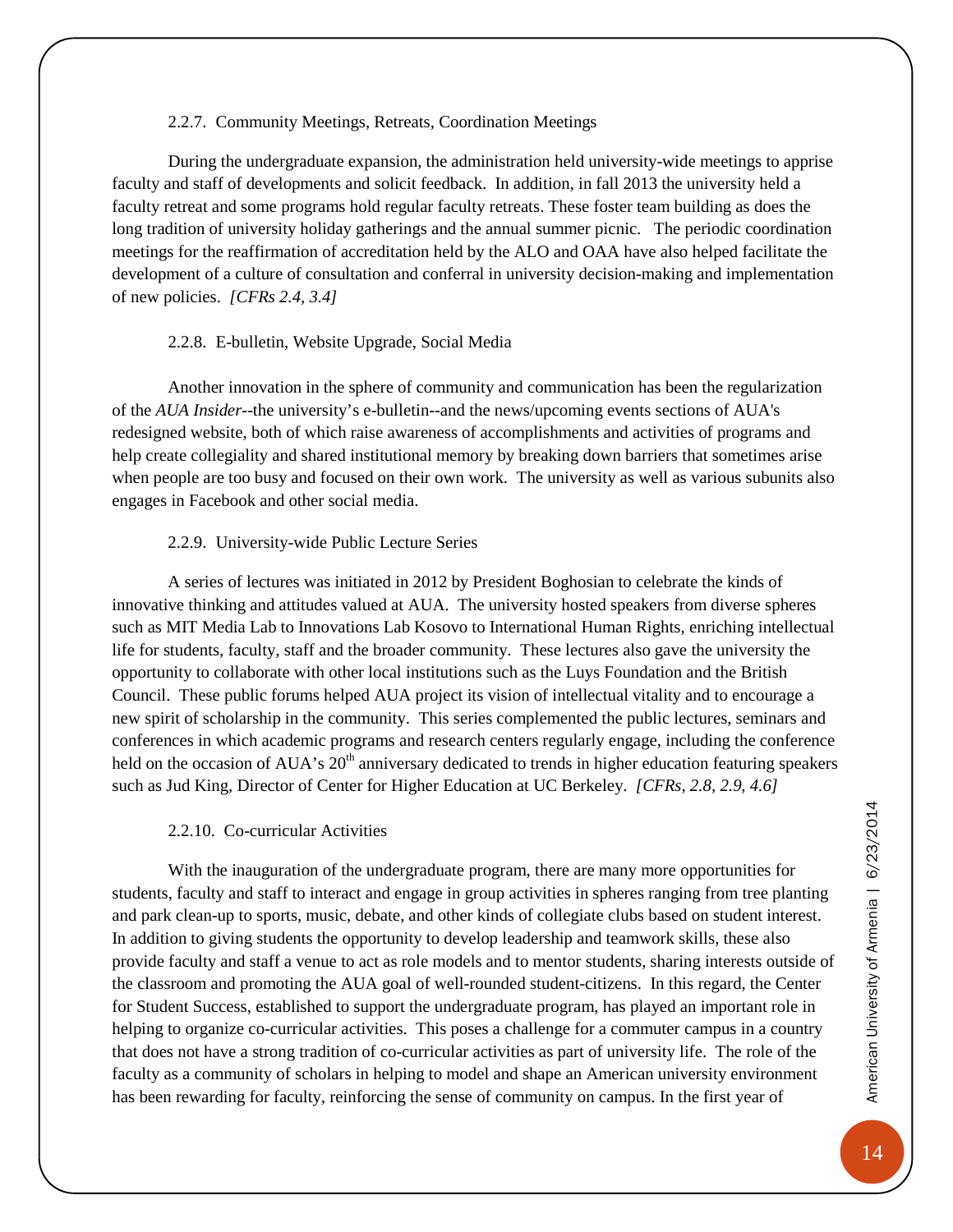#### 2.2.7. Community Meetings, Retreats, Coordination Meetings

<span id="page-17-0"></span>During the undergraduate expansion, the administration held university-wide meetings to apprise faculty and staff of developments and solicit feedback. In addition, in fall 2013 the university held a faculty retreat and some programs hold regular faculty retreats. These foster team building as does the long tradition of university holiday gatherings and the annual summer picnic. The periodic coordination meetings for the reaffirmation of accreditation held by the ALO and OAA have also helped facilitate the development of a culture of consultation and conferral in university decision-making and implementation of new policies. *[CFRs 2.4, 3.4]*

#### 2.2.8. E-bulletin, Website Upgrade, Social Media

<span id="page-17-1"></span>Another innovation in the sphere of community and communication has been the regularization of the *AUA Insider*--the university's e-bulletin--and the news/upcoming events sections of AUA's redesigned website, both of which raise awareness of accomplishments and activities of programs and help create collegiality and shared institutional memory by breaking down barriers that sometimes arise when people are too busy and focused on their own work. The university as well as various subunits also engages in Facebook and other social media.

#### 2.2.9. University-wide Public Lecture Series

<span id="page-17-2"></span>A series of lectures was initiated in 2012 by President Boghosian to celebrate the kinds of innovative thinking and attitudes valued at AUA. The university hosted speakers from diverse spheres such as MIT Media Lab to Innovations Lab Kosovo to International Human Rights, enriching intellectual life for students, faculty, staff and the broader community. These lectures also gave the university the opportunity to collaborate with other local institutions such as the Luys Foundation and the British Council. These public forums helped AUA project its vision of intellectual vitality and to encourage a new spirit of scholarship in the community. This series complemented the public lectures, seminars and conferences in which academic programs and research centers regularly engage, including the conference held on the occasion of AUA's 20<sup>th</sup> anniversary dedicated to trends in higher education featuring speakers such as Jud King, Director of Center for Higher Education at UC Berkeley. *[CFRs, 2.8, 2.9, 4.6]*

#### 2.2.10. Co-curricular Activities

<span id="page-17-3"></span>With the inauguration of the undergraduate program, there are many more opportunities for students, faculty and staff to interact and engage in group activities in spheres ranging from tree planting and park clean-up to sports, music, debate, and other kinds of collegiate clubs based on student interest. In addition to giving students the opportunity to develop leadership and teamwork skills, these also provide faculty and staff a venue to act as role models and to mentor students, sharing interests outside of the classroom and promoting the AUA goal of well-rounded student-citizens. In this regard, the Center for Student Success, established to support the undergraduate program, has played an important role in helping to organize co-curricular activities. This poses a challenge for a commuter campus in a country that does not have a strong tradition of co-curricular activities as part of university life. The role of the faculty as a community of scholars in helping to model and shape an American university environment has been rewarding for faculty, reinforcing the sense of community on campus. In the first year of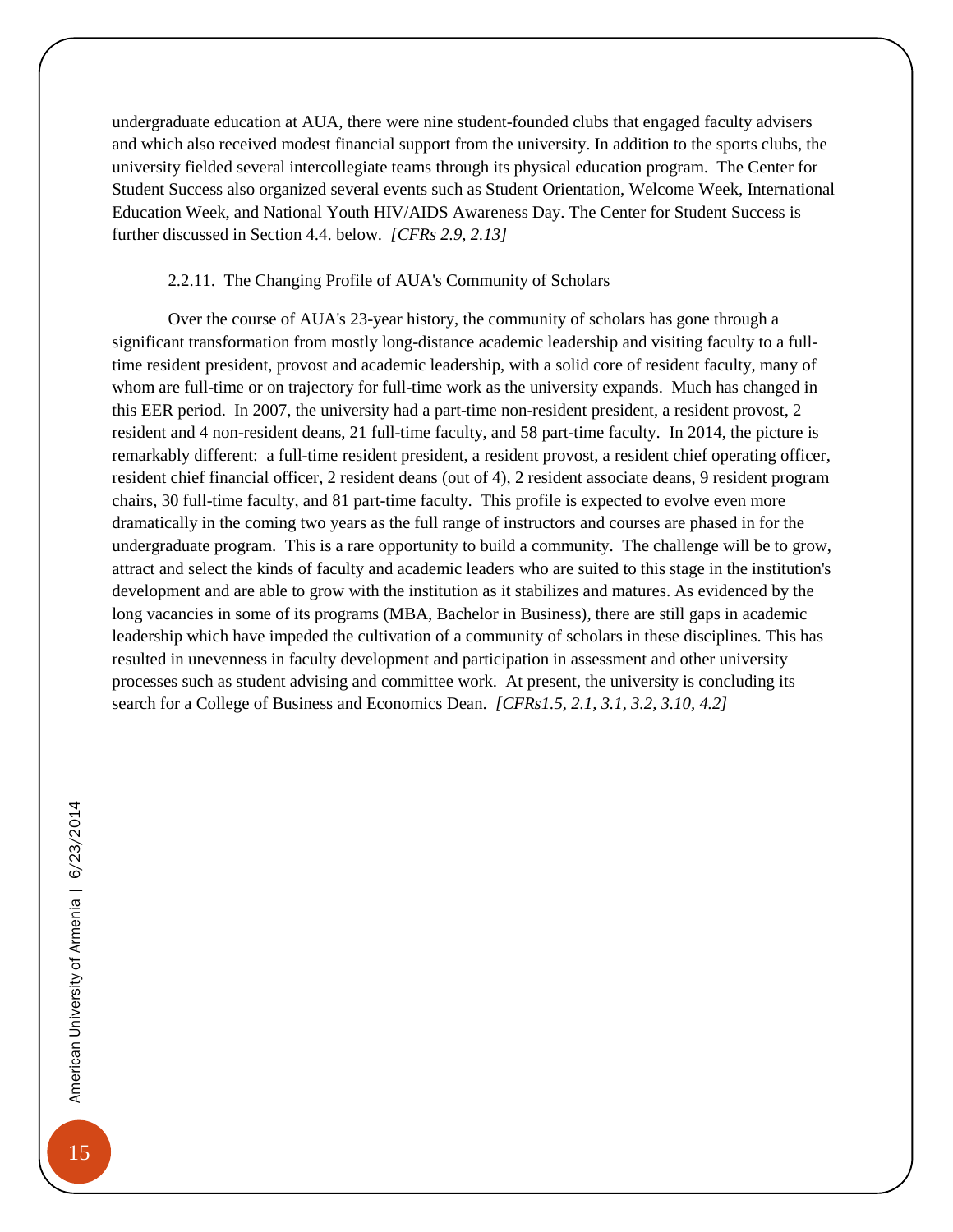undergraduate education at AUA, there were nine student-founded clubs that engaged faculty advisers and which also received modest financial support from the university. In addition to the sports clubs, the university fielded several intercollegiate teams through its physical education program. The Center for Student Success also organized several events such as Student Orientation, Welcome Week, International Education Week, and National Youth HIV/AIDS Awareness Day. The Center for Student Success is further discussed in Section 4.4. below. *[CFRs 2.9, 2.13]*

#### 2.2.11. The Changing Profile of AUA's Community of Scholars

<span id="page-18-0"></span>Over the course of AUA's 23-year history, the community of scholars has gone through a significant transformation from mostly long-distance academic leadership and visiting faculty to a fulltime resident president, provost and academic leadership, with a solid core of resident faculty, many of whom are full-time or on trajectory for full-time work as the university expands. Much has changed in this EER period. In 2007, the university had a part-time non-resident president, a resident provost, 2 resident and 4 non-resident deans, 21 full-time faculty, and 58 part-time faculty. In 2014, the picture is remarkably different: a full-time resident president, a resident provost, a resident chief operating officer, resident chief financial officer, 2 resident deans (out of 4), 2 resident associate deans, 9 resident program chairs, 30 full-time faculty, and 81 part-time faculty. This profile is expected to evolve even more dramatically in the coming two years as the full range of instructors and courses are phased in for the undergraduate program. This is a rare opportunity to build a community. The challenge will be to grow, attract and select the kinds of faculty and academic leaders who are suited to this stage in the institution's development and are able to grow with the institution as it stabilizes and matures. As evidenced by the long vacancies in some of its programs (MBA, Bachelor in Business), there are still gaps in academic leadership which have impeded the cultivation of a community of scholars in these disciplines. This has resulted in unevenness in faculty development and participation in assessment and other university processes such as student advising and committee work. At present, the university is concluding its search for a College of Business and Economics Dean. *[CFRs1.5, 2.1, 3.1, 3.2, 3.10, 4.2]*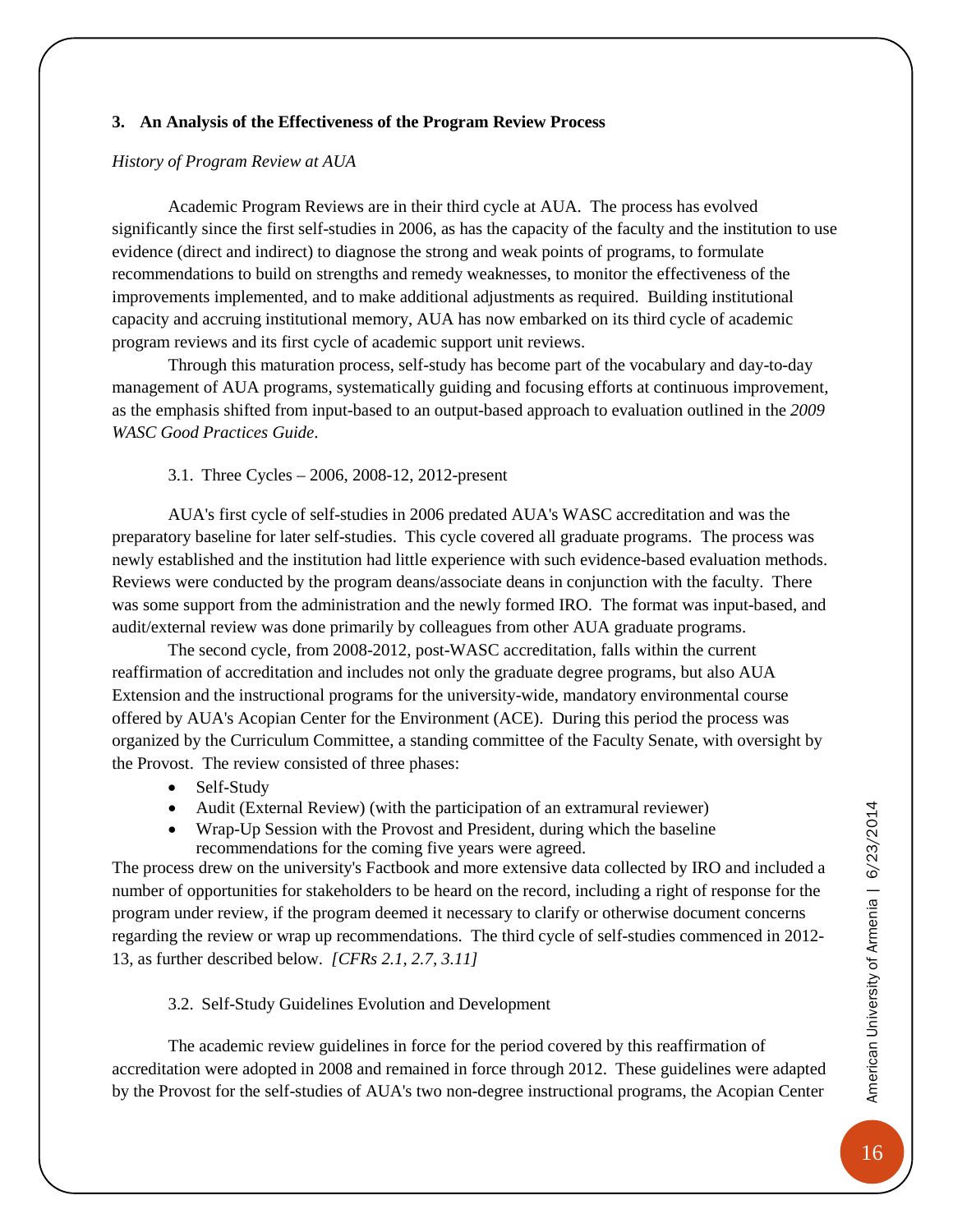#### <span id="page-19-0"></span>**3. An Analysis of the Effectiveness of the Program Review Process**

#### *History of Program Review at AUA*

Academic Program Reviews are in their third cycle at AUA. The process has evolved significantly since the first self-studies in 2006, as has the capacity of the faculty and the institution to use evidence (direct and indirect) to diagnose the strong and weak points of programs, to formulate recommendations to build on strengths and remedy weaknesses, to monitor the effectiveness of the improvements implemented, and to make additional adjustments as required. Building institutional capacity and accruing institutional memory, AUA has now embarked on its third cycle of academic program reviews and its first cycle of academic support unit reviews.

Through this maturation process, self-study has become part of the vocabulary and day-to-day management of AUA programs, systematically guiding and focusing efforts at continuous improvement, as the emphasis shifted from input-based to an output-based approach to evaluation outlined in the *2009 WASC Good Practices Guide*.

#### 3.1. Three Cycles – 2006, 2008-12, 2012-present

<span id="page-19-1"></span>AUA's first cycle of self-studies in 2006 predated AUA's WASC accreditation and was the preparatory baseline for later self-studies. This cycle covered all graduate programs. The process was newly established and the institution had little experience with such evidence-based evaluation methods. Reviews were conducted by the program deans/associate deans in conjunction with the faculty. There was some support from the administration and the newly formed IRO. The format was input-based, and audit/external review was done primarily by colleagues from other AUA graduate programs.

The second cycle, from 2008-2012, post-WASC accreditation, falls within the current reaffirmation of accreditation and includes not only the graduate degree programs, but also AUA Extension and the instructional programs for the university-wide, mandatory environmental course offered by AUA's Acopian Center for the Environment (ACE). During this period the process was organized by the Curriculum Committee, a standing committee of the Faculty Senate, with oversight by the Provost. The review consisted of three phases:

- Self-Study
- Audit (External Review) (with the participation of an extramural reviewer)
- Wrap-Up Session with the Provost and President, during which the baseline recommendations for the coming five years were agreed.

The process drew on the university's Factbook and more extensive data collected by IRO and included a number of opportunities for stakeholders to be heard on the record, including a right of response for the program under review, if the program deemed it necessary to clarify or otherwise document concerns regarding the review or wrap up recommendations. The third cycle of self-studies commenced in 2012- 13, as further described below. *[CFRs 2.1, 2.7, 3.11]*

#### 3.2. Self-Study Guidelines Evolution and Development

<span id="page-19-2"></span>The academic review guidelines in force for the period covered by this reaffirmation of accreditation were adopted in 2008 and remained in force through 2012. These guidelines were adapted by the Provost for the self-studies of AUA's two non-degree instructional programs, the Acopian Center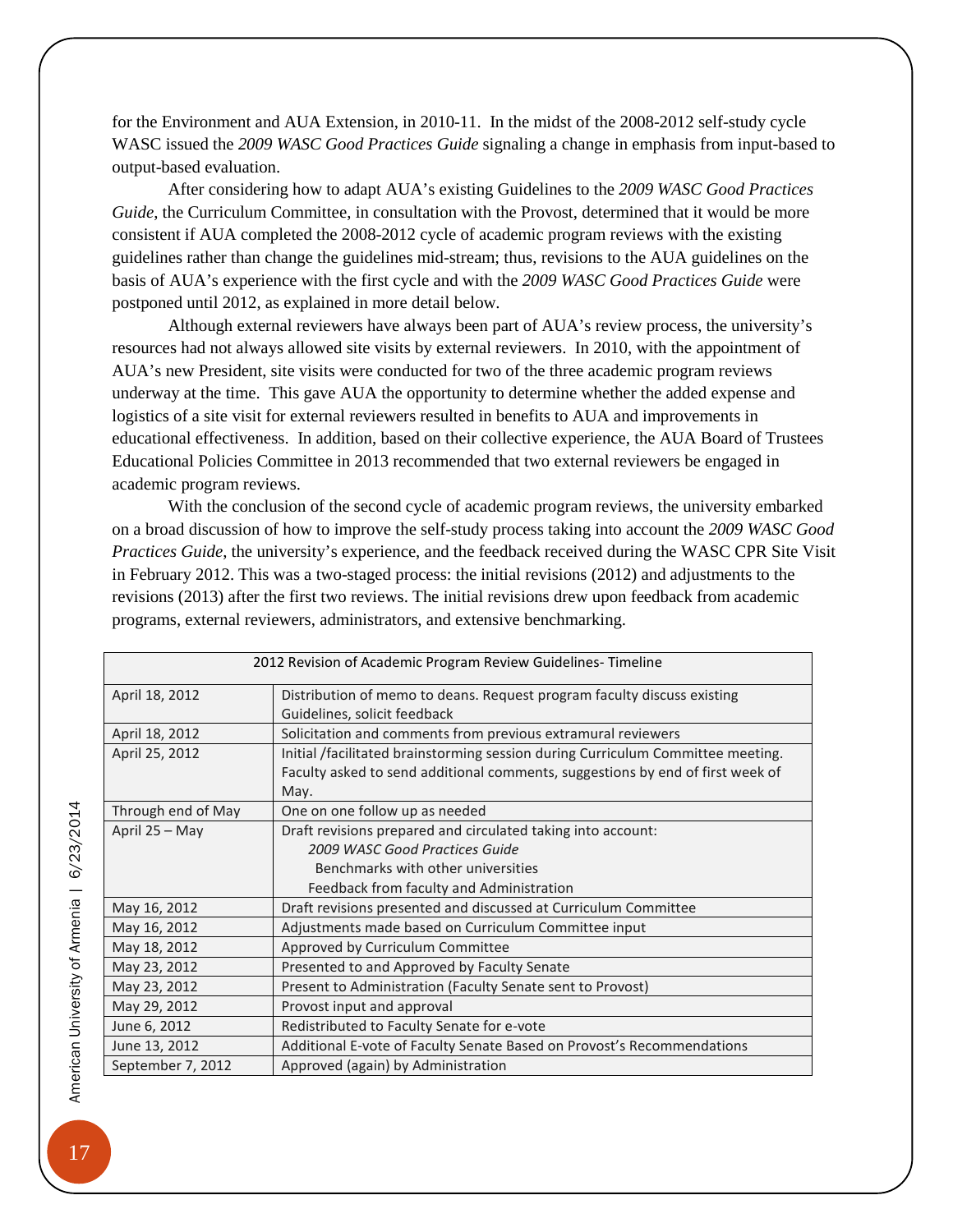for the Environment and AUA Extension, in 2010-11. In the midst of the 2008-2012 self-study cycle WASC issued the *2009 WASC Good Practices Guide* signaling a change in emphasis from input-based to output-based evaluation.

After considering how to adapt AUA's existing Guidelines to the *2009 WASC Good Practices Guide*, the Curriculum Committee, in consultation with the Provost, determined that it would be more consistent if AUA completed the 2008-2012 cycle of academic program reviews with the existing guidelines rather than change the guidelines mid-stream; thus, revisions to the AUA guidelines on the basis of AUA's experience with the first cycle and with the *2009 WASC Good Practices Guide* were postponed until 2012, as explained in more detail below.

Although external reviewers have always been part of AUA's review process, the university's resources had not always allowed site visits by external reviewers. In 2010, with the appointment of AUA's new President, site visits were conducted for two of the three academic program reviews underway at the time. This gave AUA the opportunity to determine whether the added expense and logistics of a site visit for external reviewers resulted in benefits to AUA and improvements in educational effectiveness. In addition, based on their collective experience, the AUA Board of Trustees Educational Policies Committee in 2013 recommended that two external reviewers be engaged in academic program reviews.

With the conclusion of the second cycle of academic program reviews, the university embarked on a broad discussion of how to improve the self-study process taking into account the *2009 WASC Good Practices Guide*, the university's experience, and the feedback received during the WASC CPR Site Visit in February 2012. This was a two-staged process: the initial revisions (2012) and adjustments to the revisions (2013) after the first two reviews. The initial revisions drew upon feedback from academic programs, external reviewers, administrators, and extensive benchmarking.

| 2012 Revision of Academic Program Review Guidelines-Timeline |                                                                                                                                                                           |  |
|--------------------------------------------------------------|---------------------------------------------------------------------------------------------------------------------------------------------------------------------------|--|
| April 18, 2012                                               | Distribution of memo to deans. Request program faculty discuss existing<br>Guidelines, solicit feedback                                                                   |  |
| April 18, 2012                                               | Solicitation and comments from previous extramural reviewers                                                                                                              |  |
| April 25, 2012                                               | Initial /facilitated brainstorming session during Curriculum Committee meeting.<br>Faculty asked to send additional comments, suggestions by end of first week of<br>May. |  |
| Through end of May                                           | One on one follow up as needed                                                                                                                                            |  |
| April 25 - May                                               | Draft revisions prepared and circulated taking into account:                                                                                                              |  |
|                                                              | 2009 WASC Good Practices Guide                                                                                                                                            |  |
|                                                              | Benchmarks with other universities                                                                                                                                        |  |
|                                                              | Feedback from faculty and Administration                                                                                                                                  |  |
| May 16, 2012                                                 | Draft revisions presented and discussed at Curriculum Committee                                                                                                           |  |
| May 16, 2012                                                 | Adjustments made based on Curriculum Committee input                                                                                                                      |  |
| May 18, 2012                                                 | Approved by Curriculum Committee                                                                                                                                          |  |
| May 23, 2012                                                 | Presented to and Approved by Faculty Senate                                                                                                                               |  |
| May 23, 2012                                                 | Present to Administration (Faculty Senate sent to Provost)                                                                                                                |  |
| May 29, 2012                                                 | Provost input and approval                                                                                                                                                |  |
| June 6, 2012                                                 | Redistributed to Faculty Senate for e-vote                                                                                                                                |  |
| June 13, 2012                                                | Additional E-vote of Faculty Senate Based on Provost's Recommendations                                                                                                    |  |
| September 7, 2012                                            | Approved (again) by Administration                                                                                                                                        |  |

17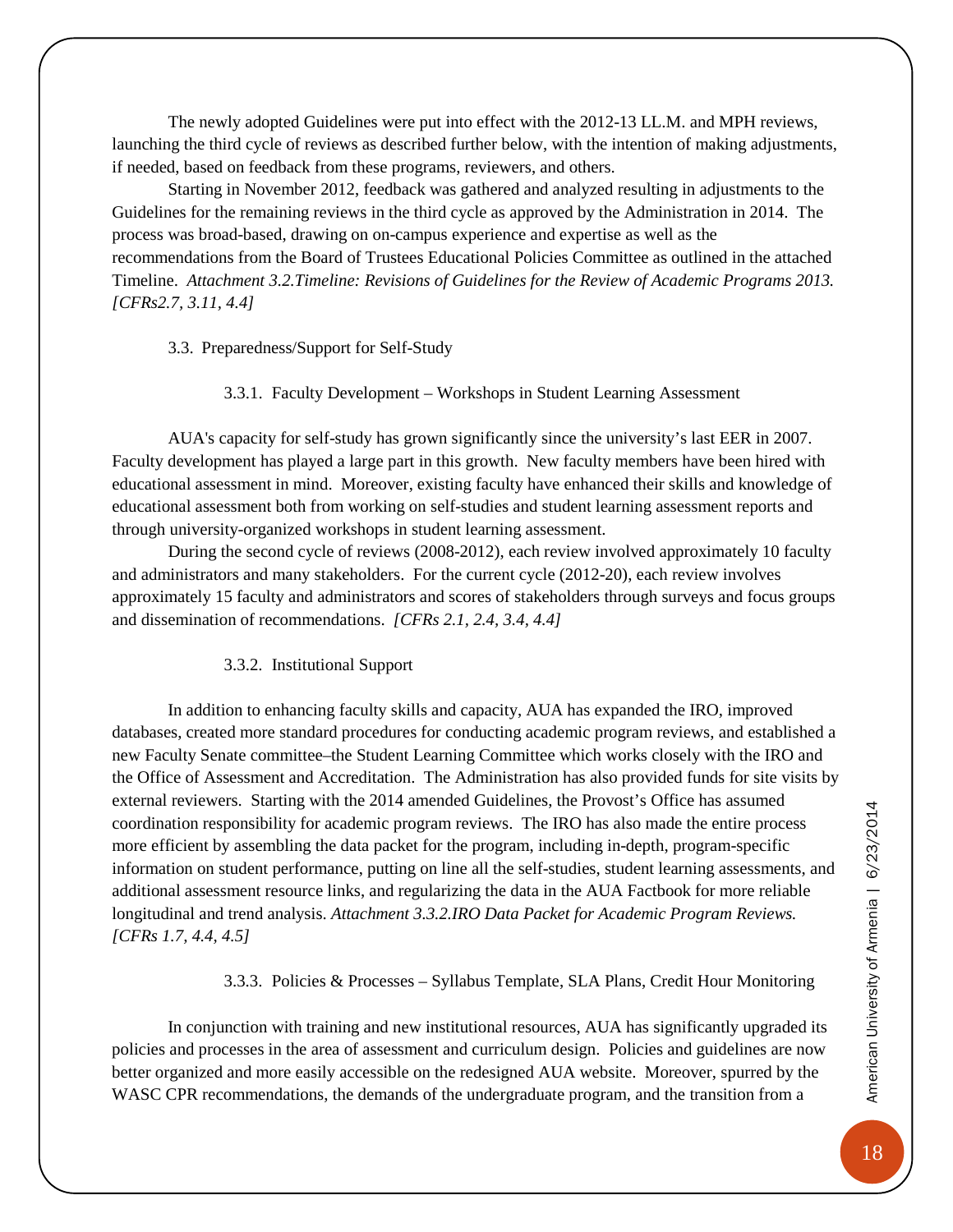The newly adopted Guidelines were put into effect with the 2012-13 LL.M. and MPH reviews, launching the third cycle of reviews as described further below, with the intention of making adjustments, if needed, based on feedback from these programs, reviewers, and others.

Starting in November 2012, feedback was gathered and analyzed resulting in adjustments to the Guidelines for the remaining reviews in the third cycle as approved by the Administration in 2014. The process was broad-based, drawing on on-campus experience and expertise as well as the recommendations from the Board of Trustees Educational Policies Committee as outlined in the attached Timeline. *Attachment 3.2.Timeline: Revisions of Guidelines for the Review of Academic Programs 2013. [CFRs2.7, 3.11, 4.4]*

<span id="page-21-0"></span>3.3. Preparedness/Support for Self-Study

3.3.1. Faculty Development – Workshops in Student Learning Assessment

<span id="page-21-1"></span>AUA's capacity for self-study has grown significantly since the university's last EER in 2007. Faculty development has played a large part in this growth. New faculty members have been hired with educational assessment in mind. Moreover, existing faculty have enhanced their skills and knowledge of educational assessment both from working on self-studies and student learning assessment reports and through university-organized workshops in student learning assessment.

During the second cycle of reviews (2008-2012), each review involved approximately 10 faculty and administrators and many stakeholders. For the current cycle (2012-20), each review involves approximately 15 faculty and administrators and scores of stakeholders through surveys and focus groups and dissemination of recommendations. *[CFRs 2.1, 2.4, 3.4, 4.4]*

#### 3.3.2. Institutional Support

<span id="page-21-2"></span>In addition to enhancing faculty skills and capacity, AUA has expanded the IRO, improved databases, created more standard procedures for conducting academic program reviews, and established a new Faculty Senate committee–the Student Learning Committee which works closely with the IRO and the Office of Assessment and Accreditation. The Administration has also provided funds for site visits by external reviewers. Starting with the 2014 amended Guidelines, the Provost's Office has assumed coordination responsibility for academic program reviews. The IRO has also made the entire process more efficient by assembling the data packet for the program, including in-depth, program-specific information on student performance, putting on line all the self-studies, student learning assessments, and additional assessment resource links, and regularizing the data in the AUA Factbook for more reliable longitudinal and trend analysis. *Attachment 3.3.2.IRO Data Packet for Academic Program Reviews. [CFRs 1.7, 4.4, 4.5]*

3.3.3. Policies & Processes – Syllabus Template, SLA Plans, Credit Hour Monitoring

<span id="page-21-3"></span>In conjunction with training and new institutional resources, AUA has significantly upgraded its policies and processes in the area of assessment and curriculum design. Policies and guidelines are now better organized and more easily accessible on the redesigned AUA website. Moreover, spurred by the WASC CPR recommendations, the demands of the undergraduate program, and the transition from a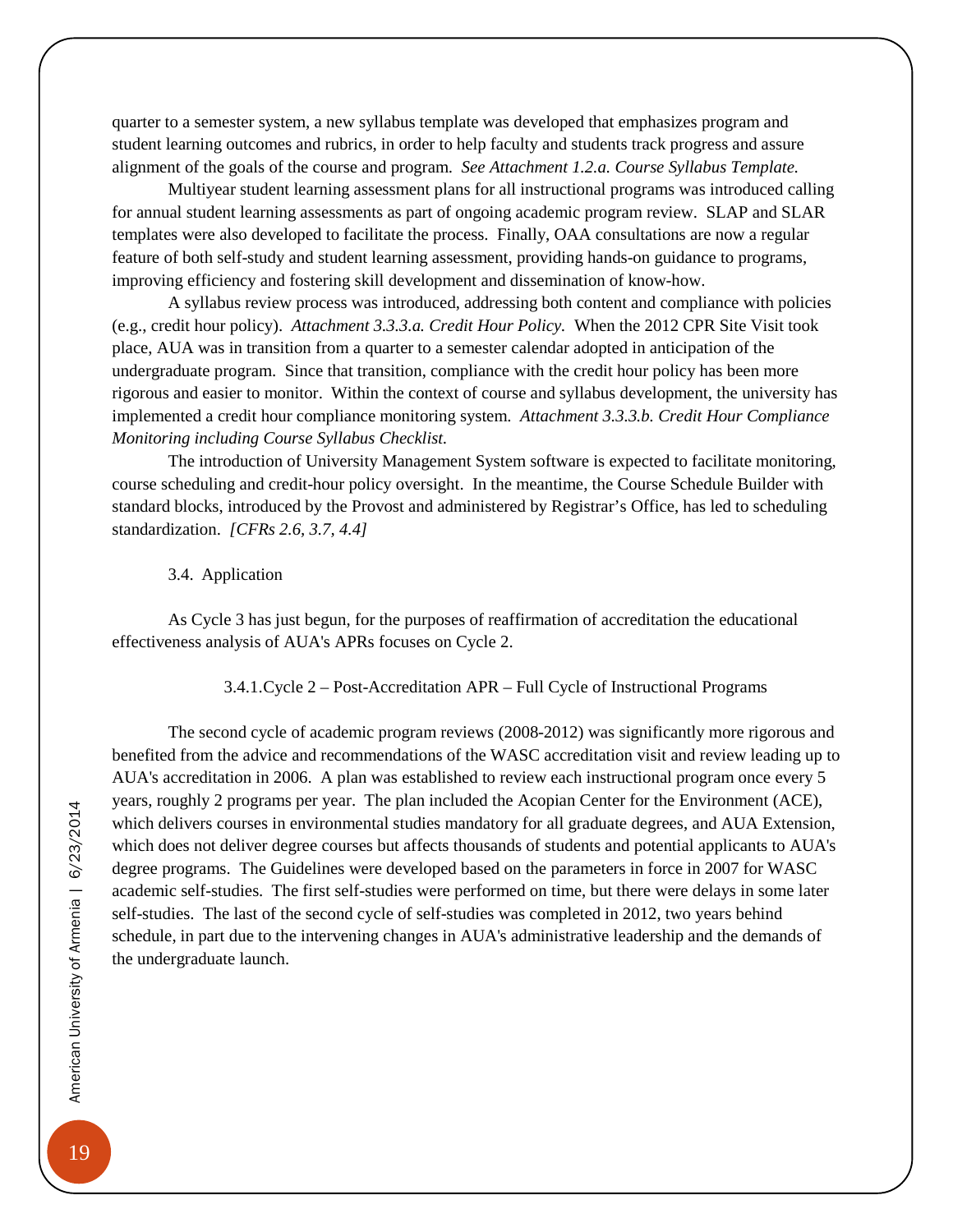quarter to a semester system, a new syllabus template was developed that emphasizes program and student learning outcomes and rubrics, in order to help faculty and students track progress and assure alignment of the goals of the course and program. *See Attachment 1.2.a. Course Syllabus Template.*

Multiyear student learning assessment plans for all instructional programs was introduced calling for annual student learning assessments as part of ongoing academic program review. SLAP and SLAR templates were also developed to facilitate the process. Finally, OAA consultations are now a regular feature of both self-study and student learning assessment, providing hands-on guidance to programs, improving efficiency and fostering skill development and dissemination of know-how.

A syllabus review process was introduced, addressing both content and compliance with policies (e.g., credit hour policy). *Attachment 3.3.3.a. Credit Hour Policy.* When the 2012 CPR Site Visit took place, AUA was in transition from a quarter to a semester calendar adopted in anticipation of the undergraduate program. Since that transition, compliance with the credit hour policy has been more rigorous and easier to monitor. Within the context of course and syllabus development, the university has implemented a credit hour compliance monitoring system. *Attachment 3.3.3.b. Credit Hour Compliance Monitoring including Course Syllabus Checklist.* 

The introduction of University Management System software is expected to facilitate monitoring, course scheduling and credit-hour policy oversight. In the meantime, the Course Schedule Builder with standard blocks, introduced by the Provost and administered by Registrar's Office, has led to scheduling standardization. *[CFRs 2.6, 3.7, 4.4]*

#### 3.4. Application

<span id="page-22-0"></span>As Cycle 3 has just begun, for the purposes of reaffirmation of accreditation the educational effectiveness analysis of AUA's APRs focuses on Cycle 2.

#### 3.4.1.Cycle 2 – Post-Accreditation APR – Full Cycle of Instructional Programs

<span id="page-22-1"></span>The second cycle of academic program reviews (2008-2012) was significantly more rigorous and benefited from the advice and recommendations of the WASC accreditation visit and review leading up to AUA's accreditation in 2006. A plan was established to review each instructional program once every 5 years, roughly 2 programs per year. The plan included the Acopian Center for the Environment (ACE), which delivers courses in environmental studies mandatory for all graduate degrees, and AUA Extension, which does not deliver degree courses but affects thousands of students and potential applicants to AUA's degree programs. The Guidelines were developed based on the parameters in force in 2007 for WASC academic self-studies. The first self-studies were performed on time, but there were delays in some later self-studies. The last of the second cycle of self-studies was completed in 2012, two years behind schedule, in part due to the intervening changes in AUA's administrative leadership and the demands of the undergraduate launch.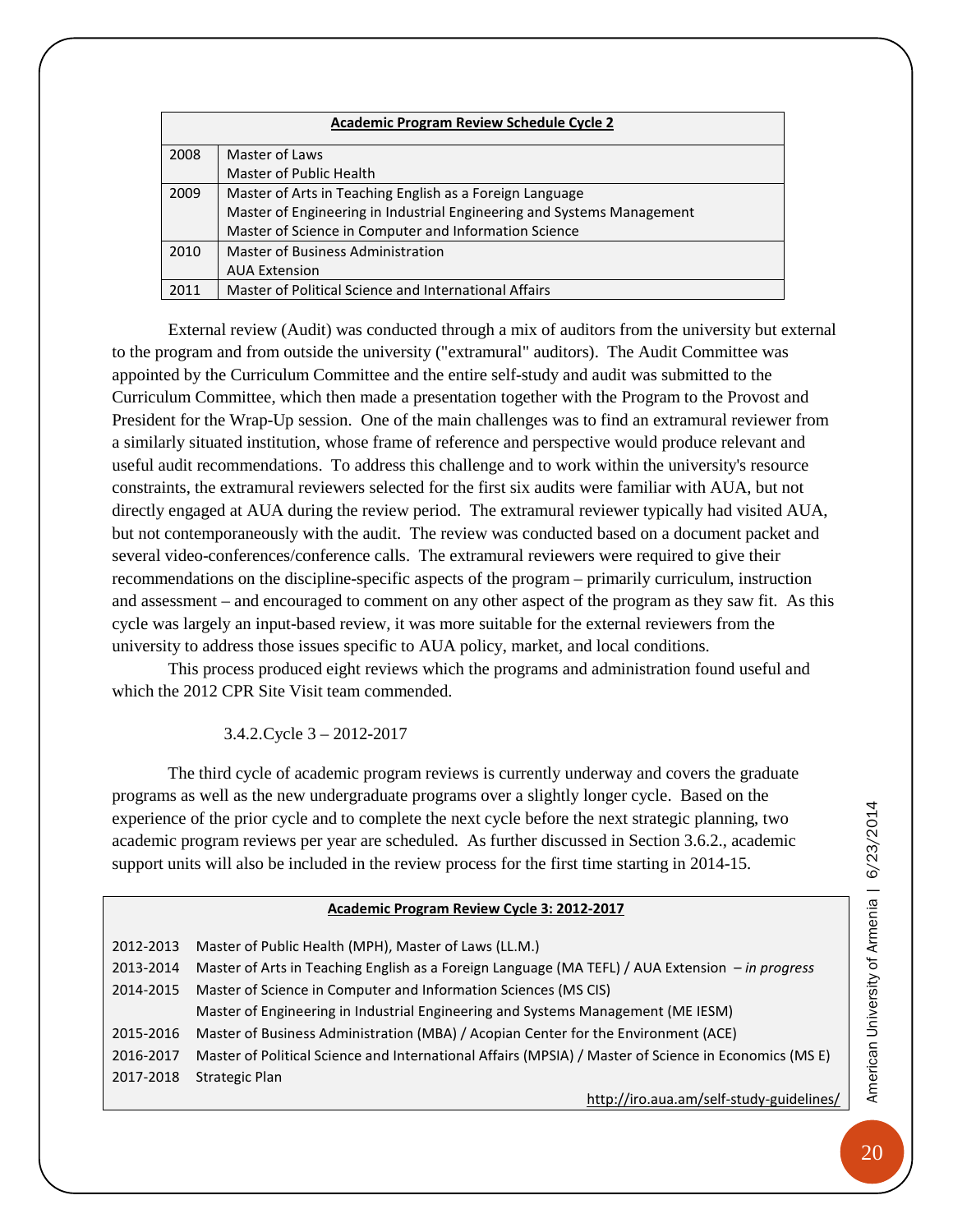| <b>Academic Program Review Schedule Cycle 2</b> |                                                                        |  |
|-------------------------------------------------|------------------------------------------------------------------------|--|
| 2008                                            | Master of Laws                                                         |  |
|                                                 | Master of Public Health                                                |  |
| 2009                                            | Master of Arts in Teaching English as a Foreign Language               |  |
|                                                 | Master of Engineering in Industrial Engineering and Systems Management |  |
|                                                 | Master of Science in Computer and Information Science                  |  |
| 2010                                            | Master of Business Administration                                      |  |
|                                                 | <b>AUA Extension</b>                                                   |  |
| 2011                                            | Master of Political Science and International Affairs                  |  |

External review (Audit) was conducted through a mix of auditors from the university but external to the program and from outside the university ("extramural" auditors). The Audit Committee was appointed by the Curriculum Committee and the entire self-study and audit was submitted to the Curriculum Committee, which then made a presentation together with the Program to the Provost and President for the Wrap-Up session. One of the main challenges was to find an extramural reviewer from a similarly situated institution, whose frame of reference and perspective would produce relevant and useful audit recommendations. To address this challenge and to work within the university's resource constraints, the extramural reviewers selected for the first six audits were familiar with AUA, but not directly engaged at AUA during the review period. The extramural reviewer typically had visited AUA, but not contemporaneously with the audit. The review was conducted based on a document packet and several video-conferences/conference calls. The extramural reviewers were required to give their recommendations on the discipline-specific aspects of the program – primarily curriculum, instruction and assessment – and encouraged to comment on any other aspect of the program as they saw fit. As this cycle was largely an input-based review, it was more suitable for the external reviewers from the university to address those issues specific to AUA policy, market, and local conditions.

This process produced eight reviews which the programs and administration found useful and which the 2012 CPR Site Visit team commended.

3.4.2.Cycle 3 – 2012-2017

<span id="page-23-0"></span>The third cycle of academic program reviews is currently underway and covers the graduate programs as well as the new undergraduate programs over a slightly longer cycle. Based on the experience of the prior cycle and to complete the next cycle before the next strategic planning, two academic program reviews per year are scheduled. As further discussed in Section 3.6.2., academic support units will also be included in the review process for the first time starting in 2014-15.

| Academic Program Review Cycle 3: 2012-2017 |                                                                                                       |  |
|--------------------------------------------|-------------------------------------------------------------------------------------------------------|--|
|                                            |                                                                                                       |  |
| 2012-2013                                  | Master of Public Health (MPH), Master of Laws (LL.M.)                                                 |  |
| 2013-2014                                  | Master of Arts in Teaching English as a Foreign Language (MA TEFL) / AUA Extension - in progress      |  |
| 2014-2015                                  | Master of Science in Computer and Information Sciences (MS CIS)                                       |  |
|                                            | Master of Engineering in Industrial Engineering and Systems Management (ME IESM)                      |  |
| 2015-2016                                  | Master of Business Administration (MBA) / Acopian Center for the Environment (ACE)                    |  |
| 2016-2017                                  | Master of Political Science and International Affairs (MPSIA) / Master of Science in Economics (MS E) |  |
| 2017-2018                                  | Strategic Plan                                                                                        |  |
|                                            | http://iro.aua.am/self-study-guidelines/                                                              |  |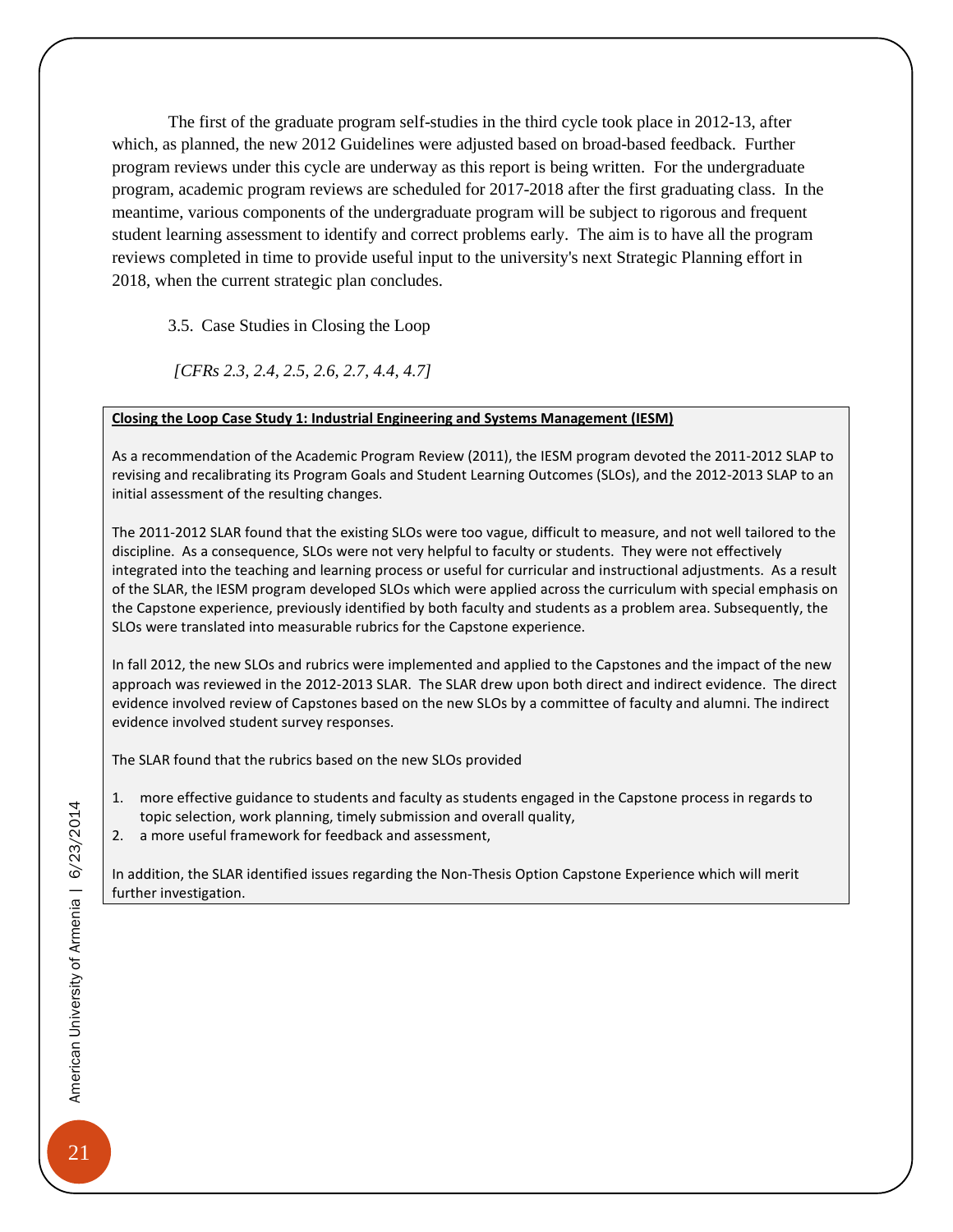The first of the graduate program self-studies in the third cycle took place in 2012-13, after which, as planned, the new 2012 Guidelines were adjusted based on broad-based feedback. Further program reviews under this cycle are underway as this report is being written. For the undergraduate program, academic program reviews are scheduled for 2017-2018 after the first graduating class. In the meantime, various components of the undergraduate program will be subject to rigorous and frequent student learning assessment to identify and correct problems early. The aim is to have all the program reviews completed in time to provide useful input to the university's next Strategic Planning effort in 2018, when the current strategic plan concludes.

<span id="page-24-0"></span>3.5. Case Studies in Closing the Loop

*[CFRs 2.3, 2.4, 2.5, 2.6, 2.7, 4.4, 4.7]*

#### **Closing the Loop Case Study 1: Industrial Engineering and Systems Management (IESM)**

As a recommendation of the Academic Program Review (2011), the IESM program devoted the 2011-2012 SLAP to revising and recalibrating its Program Goals and Student Learning Outcomes (SLOs), and the 2012-2013 SLAP to an initial assessment of the resulting changes.

The 2011-2012 SLAR found that the existing SLOs were too vague, difficult to measure, and not well tailored to the discipline. As a consequence, SLOs were not very helpful to faculty or students. They were not effectively integrated into the teaching and learning process or useful for curricular and instructional adjustments. As a result of the SLAR, the IESM program developed SLOs which were applied across the curriculum with special emphasis on the Capstone experience, previously identified by both faculty and students as a problem area. Subsequently, the SLOs were translated into measurable rubrics for the Capstone experience.

In fall 2012, the new SLOs and rubrics were implemented and applied to the Capstones and the impact of the new approach was reviewed in the 2012-2013 SLAR. The SLAR drew upon both direct and indirect evidence. The direct evidence involved review of Capstones based on the new SLOs by a committee of faculty and alumni. The indirect evidence involved student survey responses.

The SLAR found that the rubrics based on the new SLOs provided

- 1. more effective guidance to students and faculty as students engaged in the Capstone process in regards to topic selection, work planning, timely submission and overall quality,
- 2. a more useful framework for feedback and assessment,

In addition, the SLAR identified issues regarding the Non-Thesis Option Capstone Experience which will merit further investigation.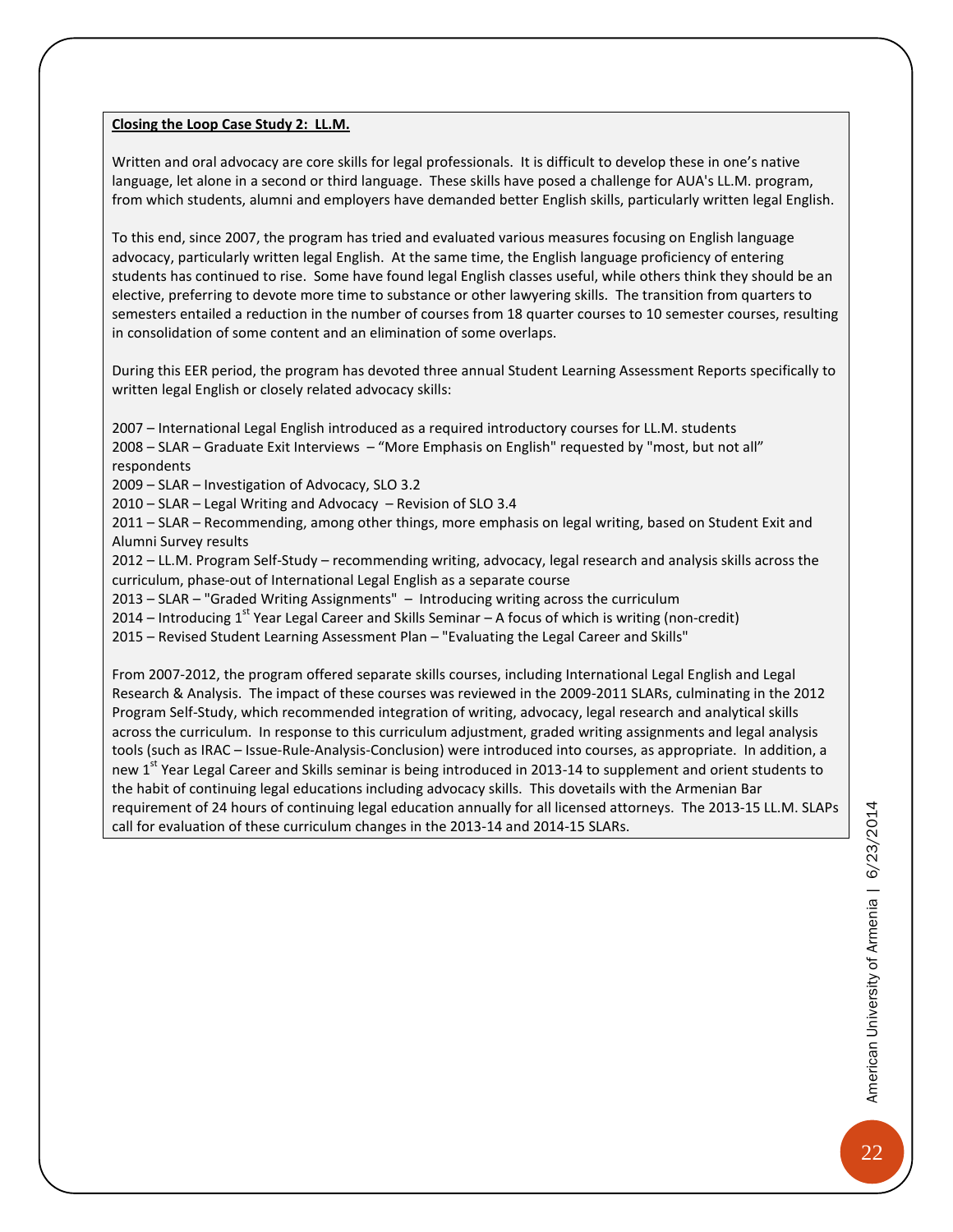#### **Closing the Loop Case Study 2: LL.M.**

Written and oral advocacy are core skills for legal professionals. It is difficult to develop these in one's native language, let alone in a second or third language. These skills have posed a challenge for AUA's LL.M. program, from which students, alumni and employers have demanded better English skills, particularly written legal English.

To this end, since 2007, the program has tried and evaluated various measures focusing on English language advocacy, particularly written legal English. At the same time, the English language proficiency of entering students has continued to rise. Some have found legal English classes useful, while others think they should be an elective, preferring to devote more time to substance or other lawyering skills. The transition from quarters to semesters entailed a reduction in the number of courses from 18 quarter courses to 10 semester courses, resulting in consolidation of some content and an elimination of some overlaps.

During this EER period, the program has devoted three annual Student Learning Assessment Reports specifically to written legal English or closely related advocacy skills:

2007 – International Legal English introduced as a required introductory courses for LL.M. students 2008 – SLAR – Graduate Exit Interviews – "More Emphasis on English" requested by "most, but not all" respondents

2009 – SLAR – Investigation of Advocacy, SLO 3.2

2010 – SLAR – Legal Writing and Advocacy – Revision of SLO 3.4

2011 – SLAR – Recommending, among other things, more emphasis on legal writing, based on Student Exit and Alumni Survey results

2012 – LL.M. Program Self-Study – recommending writing, advocacy, legal research and analysis skills across the curriculum, phase-out of International Legal English as a separate course

2013 – SLAR – "Graded Writing Assignments" – Introducing writing across the curriculum

2014 – Introducing 1<sup>st</sup> Year Legal Career and Skills Seminar – A focus of which is writing (non-credit)

2015 – Revised Student Learning Assessment Plan – "Evaluating the Legal Career and Skills"

From 2007-2012, the program offered separate skills courses, including International Legal English and Legal Research & Analysis. The impact of these courses was reviewed in the 2009-2011 SLARs, culminating in the 2012 Program Self-Study, which recommended integration of writing, advocacy, legal research and analytical skills across the curriculum. In response to this curriculum adjustment, graded writing assignments and legal analysis tools (such as IRAC – Issue-Rule-Analysis-Conclusion) were introduced into courses, as appropriate. In addition, a new 1<sup>st</sup> Year Legal Career and Skills seminar is being introduced in 2013-14 to supplement and orient students to the habit of continuing legal educations including advocacy skills. This dovetails with the Armenian Bar requirement of 24 hours of continuing legal education annually for all licensed attorneys. The 2013-15 LL.M. SLAPs call for evaluation of these curriculum changes in the 2013-14 and 2014-15 SLARs.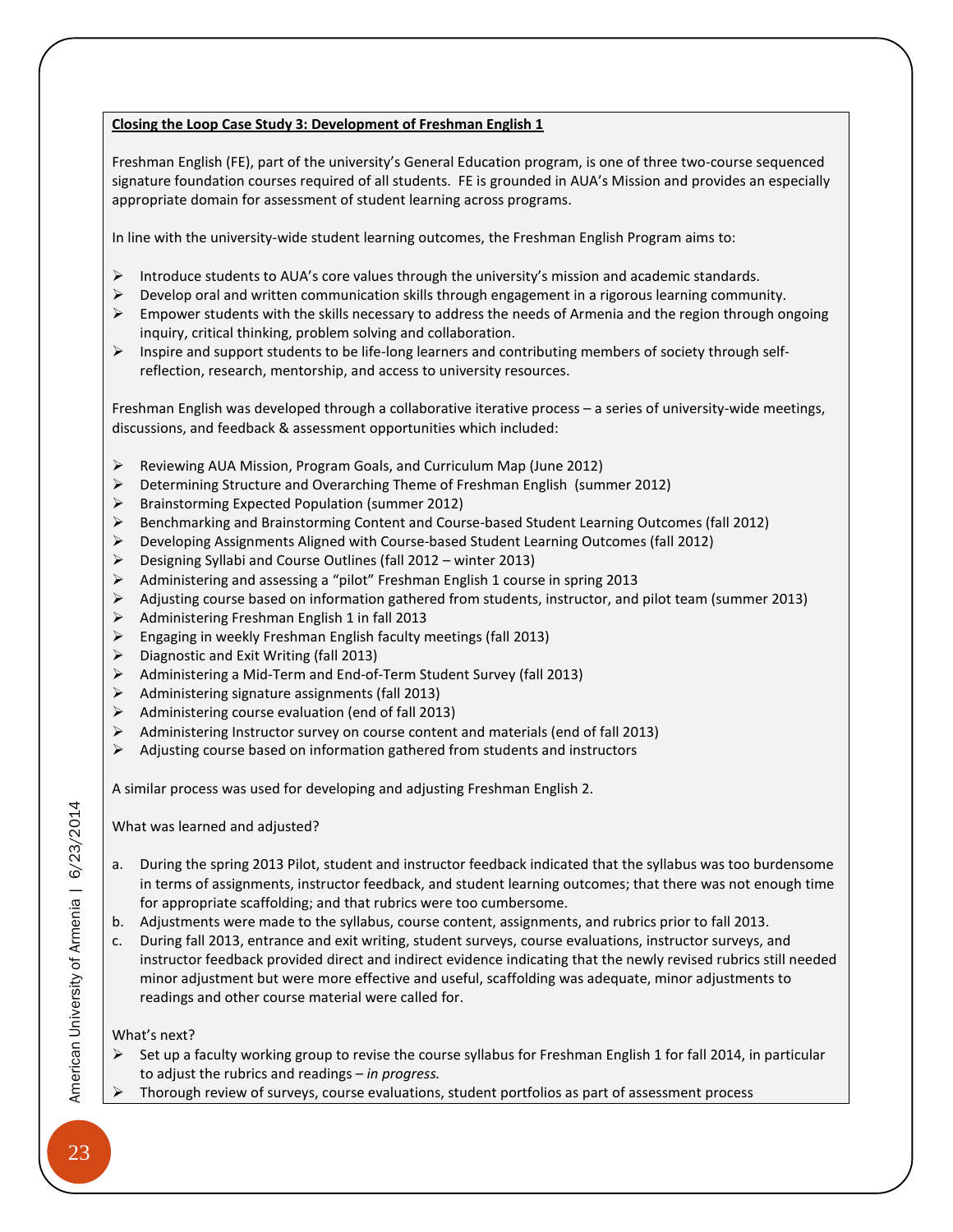#### **Closing the Loop Case Study 3: Development of Freshman English 1**

Freshman English (FE), part of the university's General Education program, is one of three two-course sequenced signature foundation courses required of all students. FE is grounded in AUA's Mission and provides an especially appropriate domain for assessment of student learning across programs.

In line with the university-wide student learning outcomes, the Freshman English Program aims to:

- Introduce students to AUA's core values through the university's mission and academic standards.
- $\triangleright$  Develop oral and written communication skills through engagement in a rigorous learning community.
- $\triangleright$  Empower students with the skills necessary to address the needs of Armenia and the region through ongoing inquiry, critical thinking, problem solving and collaboration.
- $\triangleright$  Inspire and support students to be life-long learners and contributing members of society through selfreflection, research, mentorship, and access to university resources.

Freshman English was developed through a collaborative iterative process – a series of university-wide meetings, discussions, and feedback & assessment opportunities which included:

- Reviewing AUA Mission, Program Goals, and Curriculum Map (June 2012)
- Determining Structure and Overarching Theme of Freshman English (summer 2012)
- Brainstorming Expected Population (summer 2012)
- Benchmarking and Brainstorming Content and Course-based Student Learning Outcomes (fall 2012)
- Developing Assignments Aligned with Course-based Student Learning Outcomes (fall 2012)
- Designing Syllabi and Course Outlines (fall 2012 winter 2013)
- Administering and assessing a "pilot" Freshman English 1 course in spring 2013
- $\triangleright$  Adjusting course based on information gathered from students, instructor, and pilot team (summer 2013)
- $\triangleright$  Administering Freshman English 1 in fall 2013
- $\triangleright$  Engaging in weekly Freshman English faculty meetings (fall 2013)
- $\triangleright$  Diagnostic and Exit Writing (fall 2013)
- Administering a Mid-Term and End-of-Term Student Survey (fall 2013)
- $\triangleright$  Administering signature assignments (fall 2013)
- $\triangleright$  Administering course evaluation (end of fall 2013)
- $\triangleright$  Administering Instructor survey on course content and materials (end of fall 2013)
- $\triangleright$  Adjusting course based on information gathered from students and instructors

A similar process was used for developing and adjusting Freshman English 2.

What was learned and adjusted?

- a. During the spring 2013 Pilot, student and instructor feedback indicated that the syllabus was too burdensome in terms of assignments, instructor feedback, and student learning outcomes; that there was not enough time for appropriate scaffolding; and that rubrics were too cumbersome.
- b. Adjustments were made to the syllabus, course content, assignments, and rubrics prior to fall 2013.
- c. During fall 2013, entrance and exit writing, student surveys, course evaluations, instructor surveys, and instructor feedback provided direct and indirect evidence indicating that the newly revised rubrics still needed minor adjustment but were more effective and useful, scaffolding was adequate, minor adjustments to readings and other course material were called for.

#### What's next?

- Set up a faculty working group to revise the course syllabus for Freshman English 1 for fall 2014, in particular to adjust the rubrics and readings – *in progress.*
- Thorough review of surveys, course evaluations, student portfolios as part of assessment process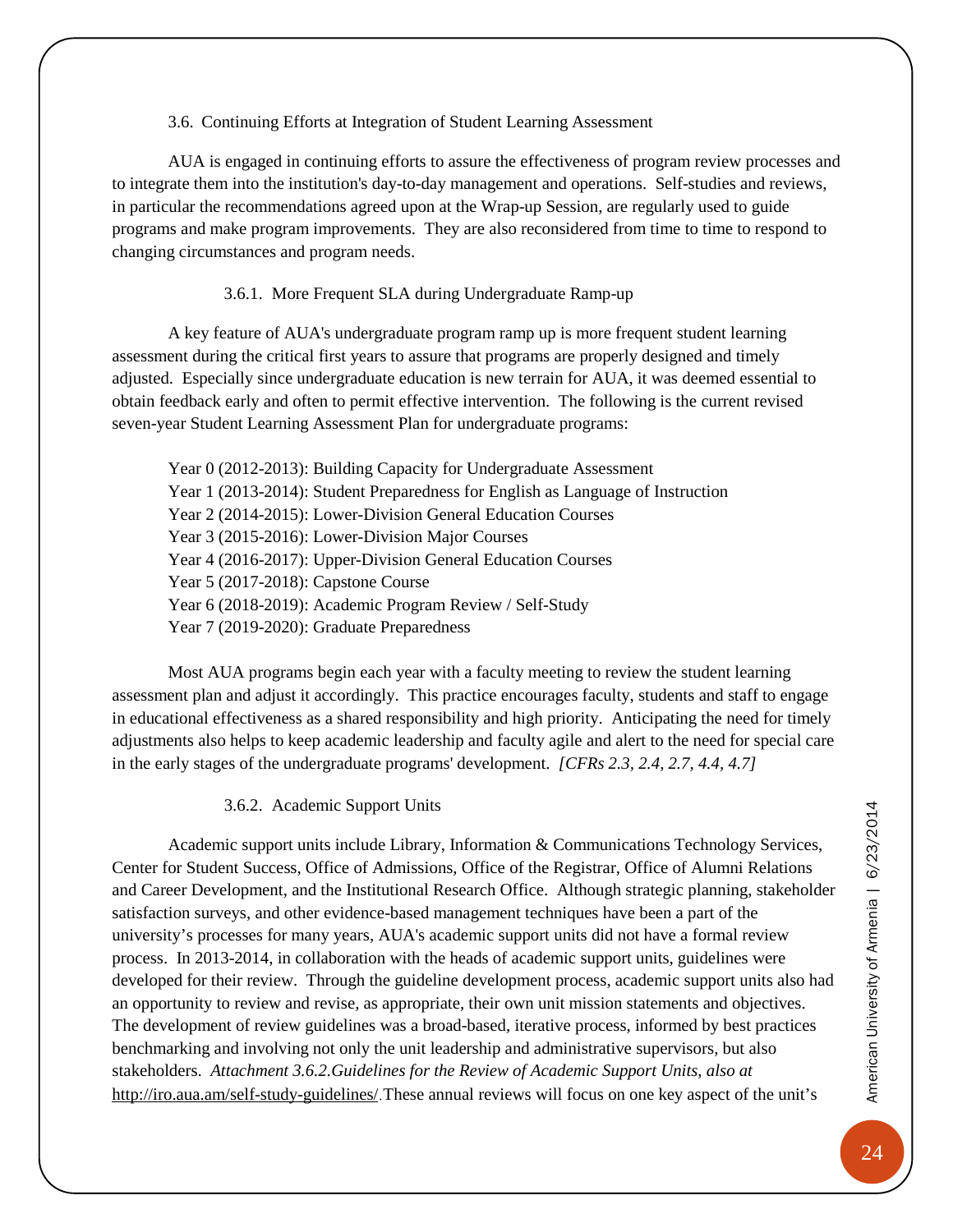#### 3.6. Continuing Efforts at Integration of Student Learning Assessment

<span id="page-27-0"></span>AUA is engaged in continuing efforts to assure the effectiveness of program review processes and to integrate them into the institution's day-to-day management and operations. Self-studies and reviews, in particular the recommendations agreed upon at the Wrap-up Session, are regularly used to guide programs and make program improvements. They are also reconsidered from time to time to respond to changing circumstances and program needs.

#### 3.6.1. More Frequent SLA during Undergraduate Ramp-up

<span id="page-27-1"></span>A key feature of AUA's undergraduate program ramp up is more frequent student learning assessment during the critical first years to assure that programs are properly designed and timely adjusted. Especially since undergraduate education is new terrain for AUA, it was deemed essential to obtain feedback early and often to permit effective intervention. The following is the current revised seven-year Student Learning Assessment Plan for undergraduate programs:

Year 0 (2012-2013): Building Capacity for Undergraduate Assessment Year 1 (2013-2014): Student Preparedness for English as Language of Instruction Year 2 (2014-2015): Lower-Division General Education Courses Year 3 (2015-2016): Lower-Division Major Courses Year 4 (2016-2017): Upper-Division General Education Courses Year 5 (2017-2018): Capstone Course Year 6 (2018-2019): Academic Program Review / Self-Study Year 7 (2019-2020): Graduate Preparedness

Most AUA programs begin each year with a faculty meeting to review the student learning assessment plan and adjust it accordingly. This practice encourages faculty, students and staff to engage in educational effectiveness as a shared responsibility and high priority. Anticipating the need for timely adjustments also helps to keep academic leadership and faculty agile and alert to the need for special care in the early stages of the undergraduate programs' development. *[CFRs 2.3, 2.4, 2.7, 4.4, 4.7]*

#### 3.6.2. Academic Support Units

<span id="page-27-2"></span>Academic support units include Library, Information & Communications Technology Services, Center for Student Success, Office of Admissions, Office of the Registrar, Office of Alumni Relations and Career Development, and the Institutional Research Office. Although strategic planning, stakeholder satisfaction surveys, and other evidence-based management techniques have been a part of the university's processes for many years, AUA's academic support units did not have a formal review process. In 2013-2014, in collaboration with the heads of academic support units, guidelines were developed for their review. Through the guideline development process, academic support units also had an opportunity to review and revise, as appropriate, their own unit mission statements and objectives. The development of review guidelines was a broad-based, iterative process, informed by best practices benchmarking and involving not only the unit leadership and administrative supervisors, but also stakeholders. *Attachment 3.6.2.Guidelines for the Review of Academic Support Units, also at*  <http://iro.aua.am/self-study-guidelines/>.These annual reviews will focus on one key aspect of the unit's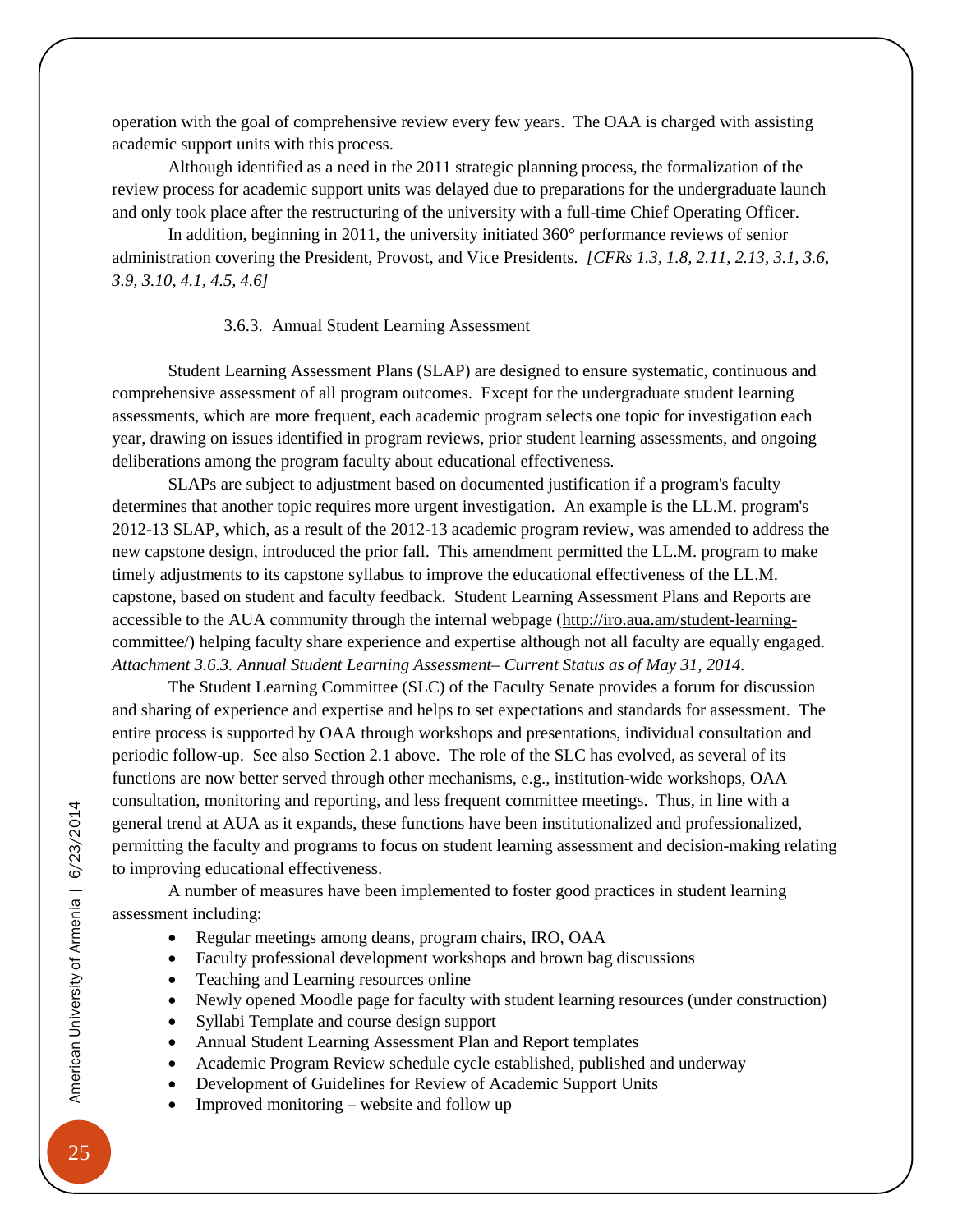operation with the goal of comprehensive review every few years. The OAA is charged with assisting academic support units with this process.

Although identified as a need in the 2011 strategic planning process, the formalization of the review process for academic support units was delayed due to preparations for the undergraduate launch and only took place after the restructuring of the university with a full-time Chief Operating Officer.

In addition, beginning in 2011, the university initiated 360° performance reviews of senior administration covering the President, Provost, and Vice Presidents. *[CFRs 1.3, 1.8, 2.11, 2.13, 3.1, 3.6, 3.9, 3.10, 4.1, 4.5, 4.6]*

#### 3.6.3. Annual Student Learning Assessment

<span id="page-28-0"></span>Student Learning Assessment Plans (SLAP) are designed to ensure systematic, continuous and comprehensive assessment of all program outcomes. Except for the undergraduate student learning assessments, which are more frequent, each academic program selects one topic for investigation each year, drawing on issues identified in program reviews, prior student learning assessments, and ongoing deliberations among the program faculty about educational effectiveness.

SLAPs are subject to adjustment based on documented justification if a program's faculty determines that another topic requires more urgent investigation. An example is the LL.M. program's 2012-13 SLAP, which, as a result of the 2012-13 academic program review, was amended to address the new capstone design, introduced the prior fall. This amendment permitted the LL.M. program to make timely adjustments to its capstone syllabus to improve the educational effectiveness of the LL.M. capstone, based on student and faculty feedback. Student Learning Assessment Plans and Reports are accessible to the AUA community through the internal webpage [\(http://iro.aua.am/student-learning](http://iro.aua.am/student-learning-committee/)[committee/\)](http://iro.aua.am/student-learning-committee/) helping faculty share experience and expertise although not all faculty are equally engaged. *Attachment 3.6.3. Annual Student Learning Assessment– Current Status as of May 31, 2014.*

The Student Learning Committee (SLC) of the Faculty Senate provides a forum for discussion and sharing of experience and expertise and helps to set expectations and standards for assessment. The entire process is supported by OAA through workshops and presentations, individual consultation and periodic follow-up. See also Section 2.1 above. The role of the SLC has evolved, as several of its functions are now better served through other mechanisms, e.g., institution-wide workshops, OAA consultation, monitoring and reporting, and less frequent committee meetings. Thus, in line with a general trend at AUA as it expands, these functions have been institutionalized and professionalized, permitting the faculty and programs to focus on student learning assessment and decision-making relating to improving educational effectiveness.

A number of measures have been implemented to foster good practices in student learning assessment including:

- Regular meetings among deans, program chairs, IRO, OAA
- Faculty professional development workshops and brown bag discussions
- Teaching and Learning resources online
- Newly opened Moodle page for faculty with student learning resources (under construction)
- Syllabi Template and course design support
- Annual Student Learning Assessment Plan and Report templates
- Academic Program Review schedule cycle established, published and underway
- Development of Guidelines for Review of Academic Support Units
- Improved monitoring website and follow up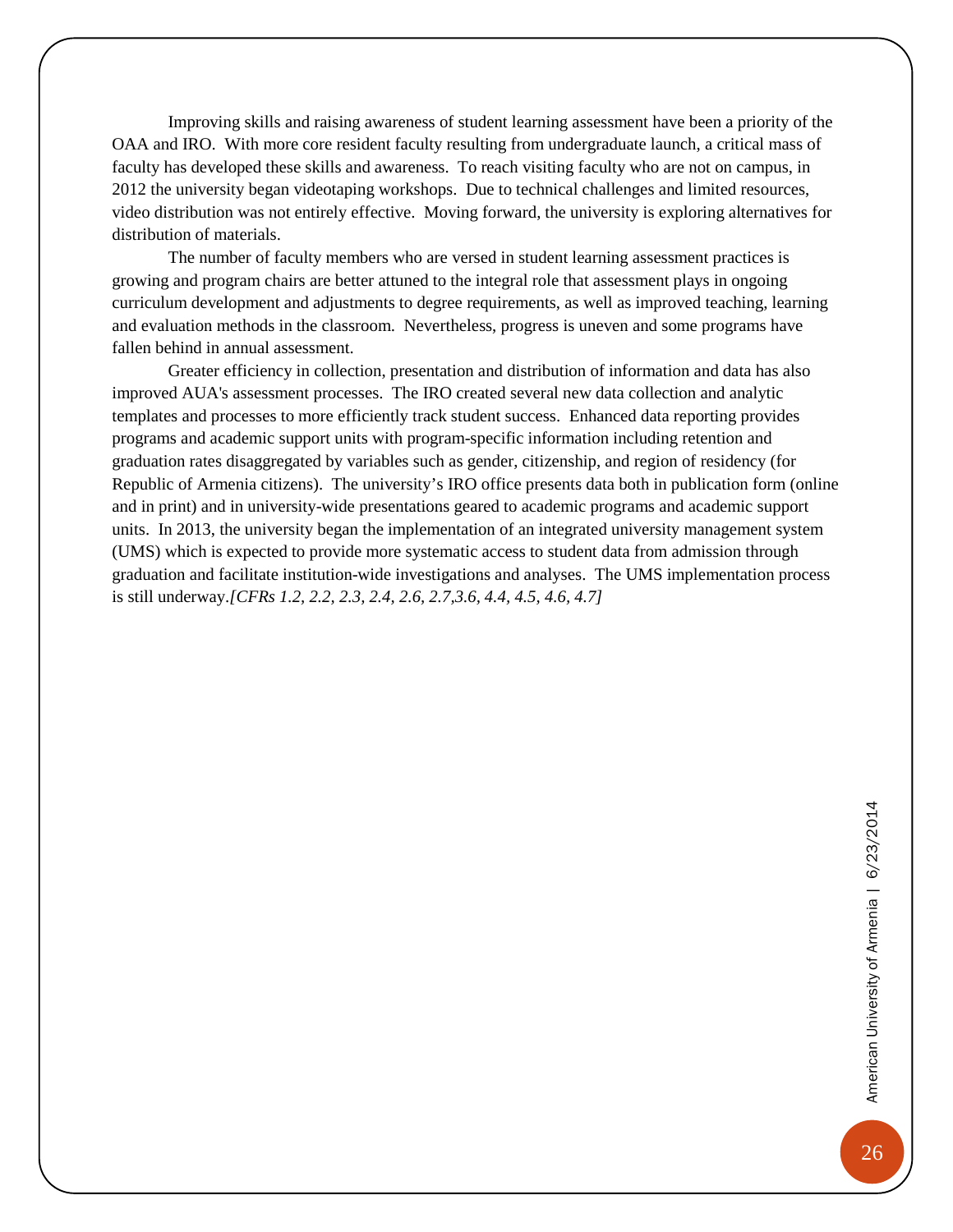Improving skills and raising awareness of student learning assessment have been a priority of the OAA and IRO. With more core resident faculty resulting from undergraduate launch, a critical mass of faculty has developed these skills and awareness. To reach visiting faculty who are not on campus, in 2012 the university began videotaping workshops. Due to technical challenges and limited resources, video distribution was not entirely effective. Moving forward, the university is exploring alternatives for distribution of materials.

The number of faculty members who are versed in student learning assessment practices is growing and program chairs are better attuned to the integral role that assessment plays in ongoing curriculum development and adjustments to degree requirements, as well as improved teaching, learning and evaluation methods in the classroom. Nevertheless, progress is uneven and some programs have fallen behind in annual assessment.

Greater efficiency in collection, presentation and distribution of information and data has also improved AUA's assessment processes. The IRO created several new data collection and analytic templates and processes to more efficiently track student success. Enhanced data reporting provides programs and academic support units with program-specific information including retention and graduation rates disaggregated by variables such as gender, citizenship, and region of residency (for Republic of Armenia citizens). The university's IRO office presents data both in publication form (online and in print) and in university-wide presentations geared to academic programs and academic support units. In 2013, the university began the implementation of an integrated university management system (UMS) which is expected to provide more systematic access to student data from admission through graduation and facilitate institution-wide investigations and analyses. The UMS implementation process is still underway.*[CFRs 1.2, 2.2, 2.3, 2.4, 2.6, 2.7,3.6, 4.4, 4.5, 4.6, 4.7]*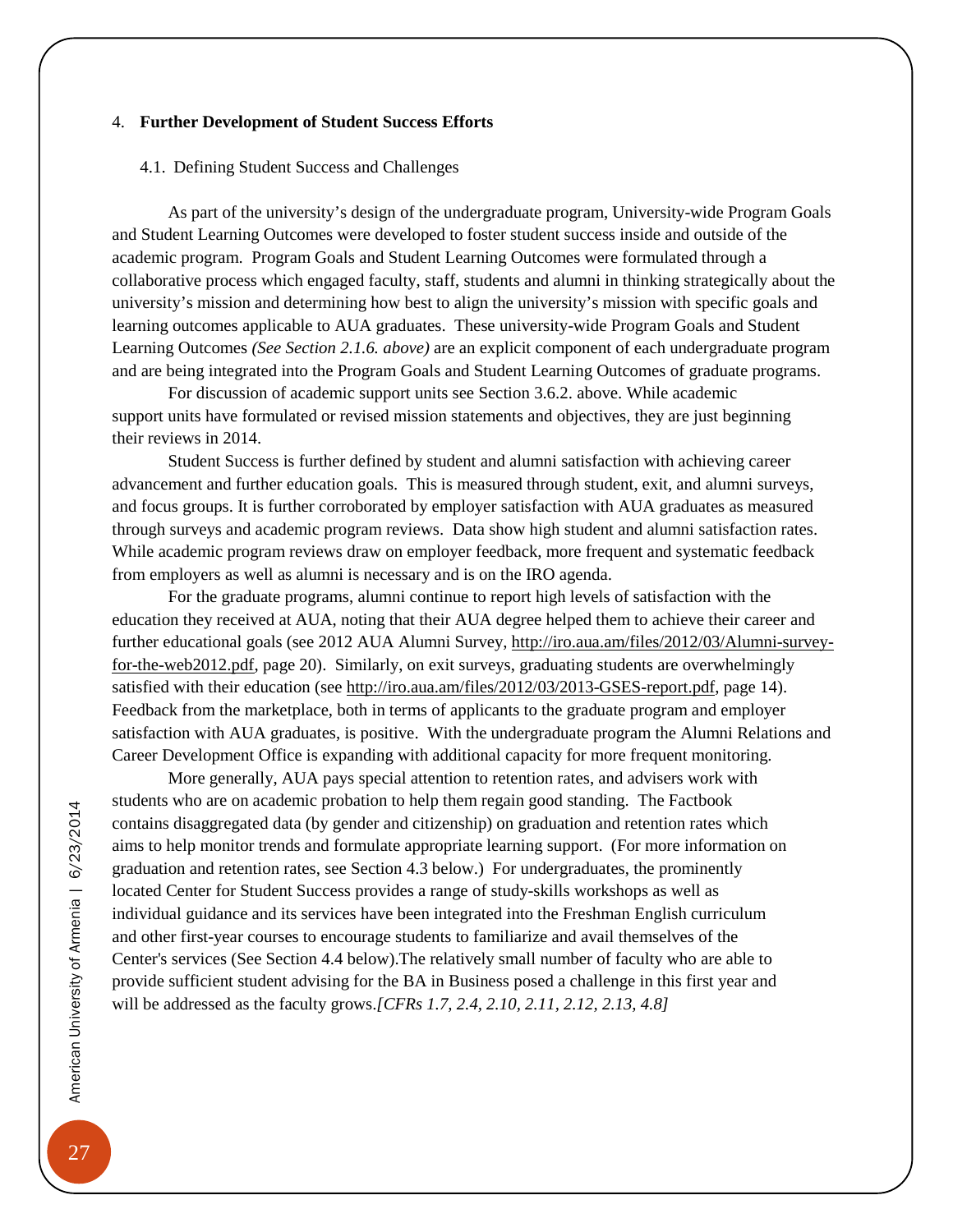#### <span id="page-30-0"></span>4. **Further Development of Student Success Efforts**

#### <span id="page-30-1"></span>4.1. Defining Student Success and Challenges

As part of the university's design of the undergraduate program, University-wide Program Goals and Student Learning Outcomes were developed to foster student success inside and outside of the academic program. Program Goals and Student Learning Outcomes were formulated through a collaborative process which engaged faculty, staff, students and alumni in thinking strategically about the university's mission and determining how best to align the university's mission with specific goals and learning outcomes applicable to AUA graduates. These university-wide Program Goals and Student Learning Outcomes *(See Section 2.1.6. above)* are an explicit component of each undergraduate program and are being integrated into the Program Goals and Student Learning Outcomes of graduate programs.

For discussion of academic support units see Section 3.6.2. above. While academic support units have formulated or revised mission statements and objectives, they are just beginning their reviews in 2014.

Student Success is further defined by student and alumni satisfaction with achieving career advancement and further education goals. This is measured through student, exit, and alumni surveys, and focus groups. It is further corroborated by employer satisfaction with AUA graduates as measured through surveys and academic program reviews. Data show high student and alumni satisfaction rates. While academic program reviews draw on employer feedback, more frequent and systematic feedback from employers as well as alumni is necessary and is on the IRO agenda.

For the graduate programs, alumni continue to report high levels of satisfaction with the education they received at AUA, noting that their AUA degree helped them to achieve their career and further educational goals (see 2012 AUA Alumni Survey, [http://iro.aua.am/files/2012/03/Alumni-survey](http://iro.aua.am/files/2012/03/Alumni-survey-for-the-web2012.pdf)[for-the-web2012.pdf,](http://iro.aua.am/files/2012/03/Alumni-survey-for-the-web2012.pdf) page 20). Similarly, on exit surveys, graduating students are overwhelmingly satisfied with their education (see [http://iro.aua.am/files/2012/03/2013-GSES-report.pdf,](http://iro.aua.am/files/2012/03/2013-GSES-report.pdf) page 14). Feedback from the marketplace, both in terms of applicants to the graduate program and employer satisfaction with AUA graduates, is positive. With the undergraduate program the Alumni Relations and Career Development Office is expanding with additional capacity for more frequent monitoring.

More generally, AUA pays special attention to retention rates, and advisers work with students who are on academic probation to help them regain good standing. The Factbook contains disaggregated data (by gender and citizenship) on graduation and retention rates which aims to help monitor trends and formulate appropriate learning support. (For more information on graduation and retention rates, see Section 4.3 below.) For undergraduates, the prominently located Center for Student Success provides a range of study-skills workshops as well as individual guidance and its services have been integrated into the Freshman English curriculum and other first-year courses to encourage students to familiarize and avail themselves of the Center's services (See Section 4.4 below).The relatively small number of faculty who are able to provide sufficient student advising for the BA in Business posed a challenge in this first year and will be addressed as the faculty grows.*[CFRs 1.7, 2.4, 2.10, 2.11, 2.12, 2.13, 4.8]*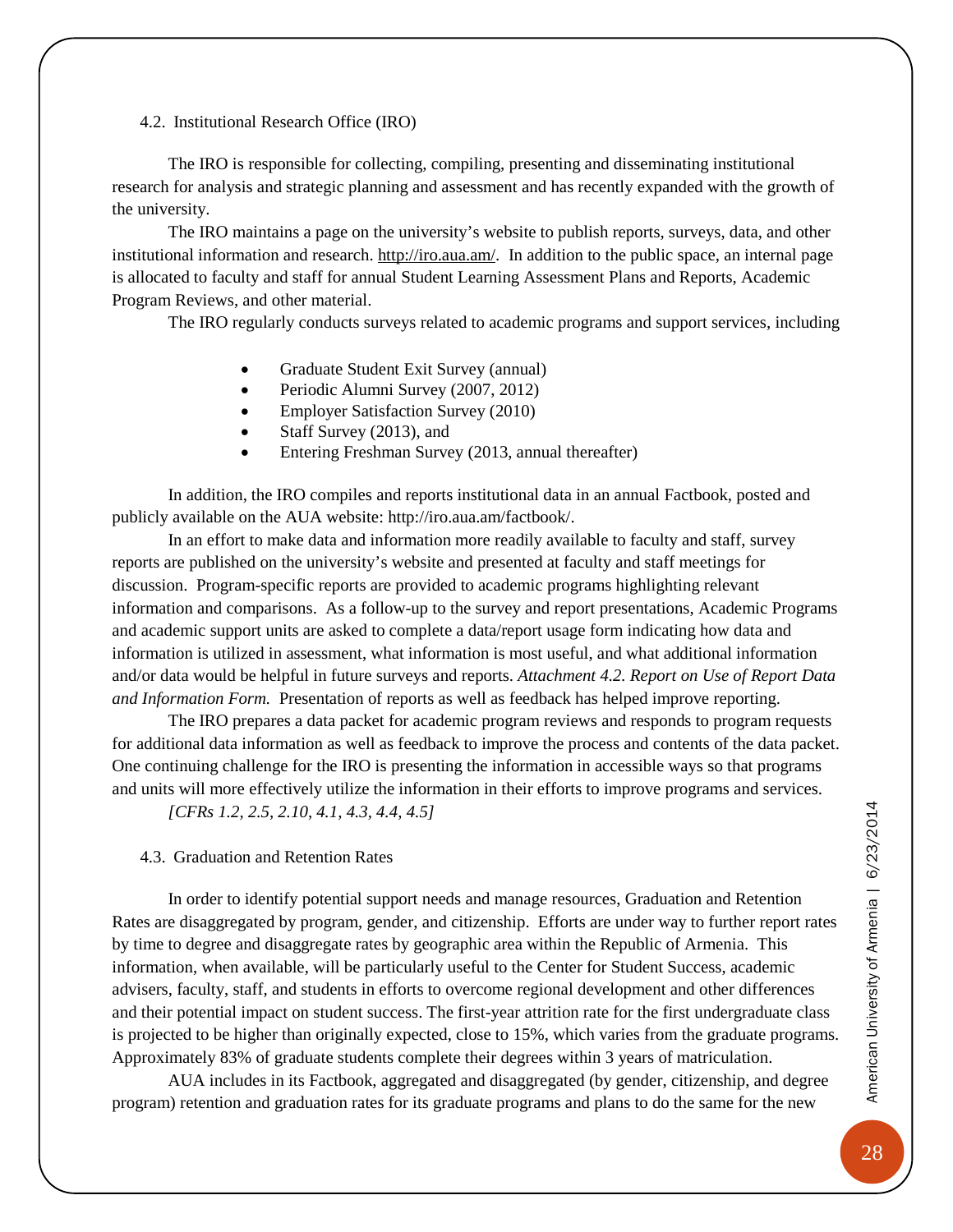<span id="page-31-0"></span>4.2. Institutional Research Office (IRO)

The IRO is responsible for collecting, compiling, presenting and disseminating institutional research for analysis and strategic planning and assessment and has recently expanded with the growth of the university.

The IRO maintains a page on the university's website to publish reports, surveys, data, and other institutional information and research. [http://iro.aua.am/.](http://iro.aua.am/) In addition to the public space, an internal page is allocated to faculty and staff for annual Student Learning Assessment Plans and Reports, Academic Program Reviews, and other material.

The IRO regularly conducts surveys related to academic programs and support services, including

- Graduate Student Exit Survey (annual)
- Periodic Alumni Survey (2007, 2012)
- Employer Satisfaction Survey (2010)
- Staff Survey (2013), and
- Entering Freshman Survey (2013, annual thereafter)

In addition, the IRO compiles and reports institutional data in an annual Factbook, posted and publicly available on the AUA website: http://iro.aua.am/factbook/.

In an effort to make data and information more readily available to faculty and staff, survey reports are published on the university's website and presented at faculty and staff meetings for discussion. Program-specific reports are provided to academic programs highlighting relevant information and comparisons. As a follow-up to the survey and report presentations, Academic Programs and academic support units are asked to complete a data/report usage form indicating how data and information is utilized in assessment, what information is most useful, and what additional information and/or data would be helpful in future surveys and reports. *Attachment 4.2. Report on Use of Report Data and Information Form.* Presentation of reports as well as feedback has helped improve reporting.

The IRO prepares a data packet for academic program reviews and responds to program requests for additional data information as well as feedback to improve the process and contents of the data packet. One continuing challenge for the IRO is presenting the information in accessible ways so that programs and units will more effectively utilize the information in their efforts to improve programs and services.

*[CFRs 1.2, 2.5, 2.10, 4.1, 4.3, 4.4, 4.5]*

<span id="page-31-1"></span>4.3. Graduation and Retention Rates

In order to identify potential support needs and manage resources, Graduation and Retention Rates are disaggregated by program, gender, and citizenship. Efforts are under way to further report rates by time to degree and disaggregate rates by geographic area within the Republic of Armenia. This information, when available, will be particularly useful to the Center for Student Success, academic advisers, faculty, staff, and students in efforts to overcome regional development and other differences and their potential impact on student success. The first-year attrition rate for the first undergraduate class is projected to be higher than originally expected, close to 15%, which varies from the graduate programs. Approximately 83% of graduate students complete their degrees within 3 years of matriculation.

AUA includes in its Factbook, aggregated and disaggregated (by gender, citizenship, and degree program) retention and graduation rates for its graduate programs and plans to do the same for the new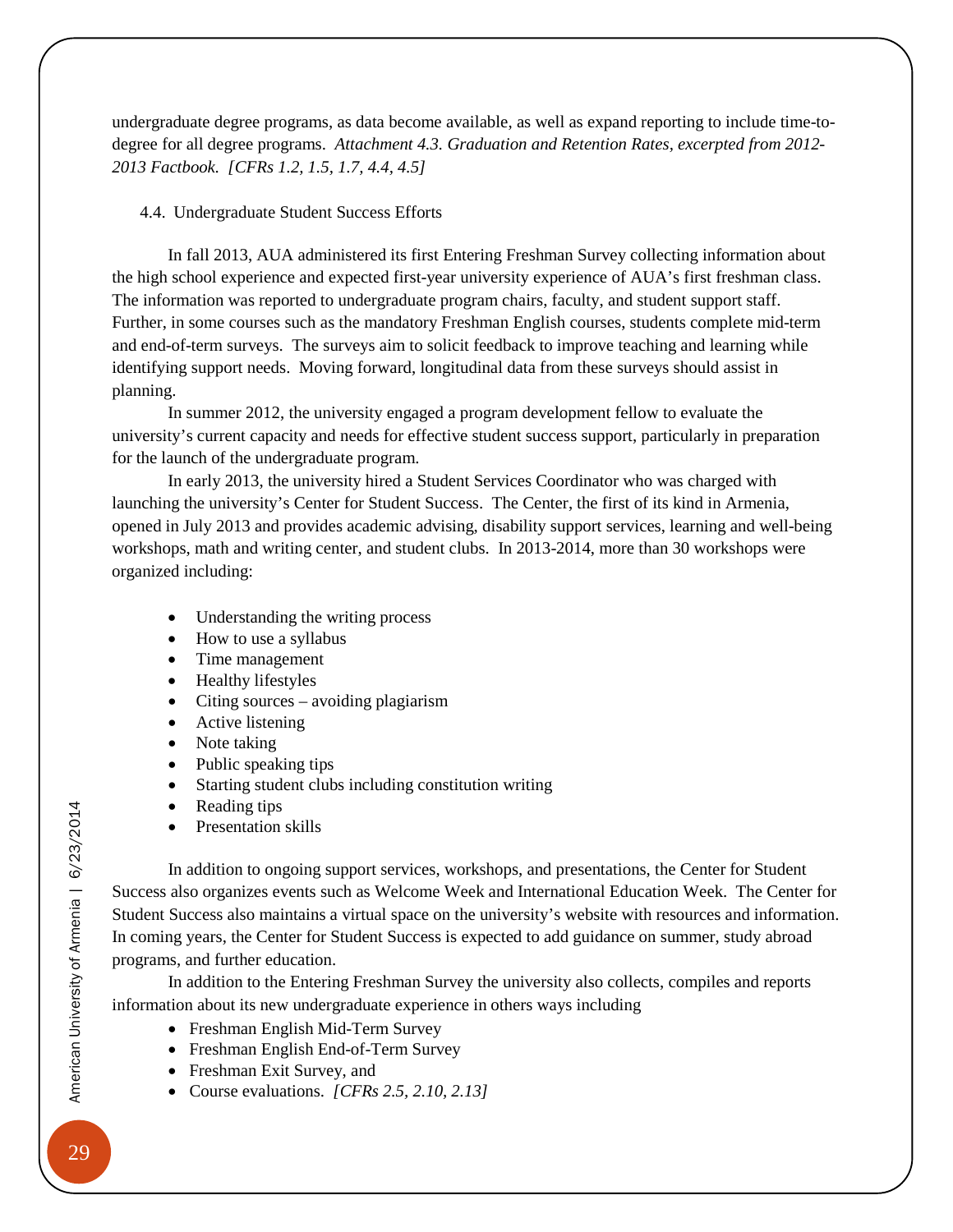undergraduate degree programs, as data become available, as well as expand reporting to include time-todegree for all degree programs. *Attachment 4.3. Graduation and Retention Rates, excerpted from 2012- 2013 Factbook. [CFRs 1.2, 1.5, 1.7, 4.4, 4.5]*

#### <span id="page-32-0"></span>4.4. Undergraduate Student Success Efforts

In fall 2013, AUA administered its first Entering Freshman Survey collecting information about the high school experience and expected first-year university experience of AUA's first freshman class. The information was reported to undergraduate program chairs, faculty, and student support staff. Further, in some courses such as the mandatory Freshman English courses, students complete mid-term and end-of-term surveys. The surveys aim to solicit feedback to improve teaching and learning while identifying support needs. Moving forward, longitudinal data from these surveys should assist in planning.

In summer 2012, the university engaged a program development fellow to evaluate the university's current capacity and needs for effective student success support, particularly in preparation for the launch of the undergraduate program.

In early 2013, the university hired a Student Services Coordinator who was charged with launching the university's Center for Student Success. The Center, the first of its kind in Armenia, opened in July 2013 and provides academic advising, disability support services, learning and well-being workshops, math and writing center, and student clubs. In 2013-2014, more than 30 workshops were organized including:

- Understanding the writing process
- How to use a syllabus
- Time management
- Healthy lifestyles
- Citing sources avoiding plagiarism
- Active listening
- Note taking
- Public speaking tips
- Starting student clubs including constitution writing
- Reading tips
- Presentation skills

In addition to ongoing support services, workshops, and presentations, the Center for Student Success also organizes events such as Welcome Week and International Education Week. The Center for Student Success also maintains a virtual space on the university's website with resources and information. In coming years, the Center for Student Success is expected to add guidance on summer, study abroad programs, and further education.

In addition to the Entering Freshman Survey the university also collects, compiles and reports information about its new undergraduate experience in others ways including

- Freshman English Mid-Term Survey
- Freshman English End-of-Term Survey
- Freshman Exit Survey, and
- Course evaluations. *[CFRs 2.5, 2.10, 2.13]*

American University of Armenia | 6/23/2014 American University of Armenia | 6/23/2014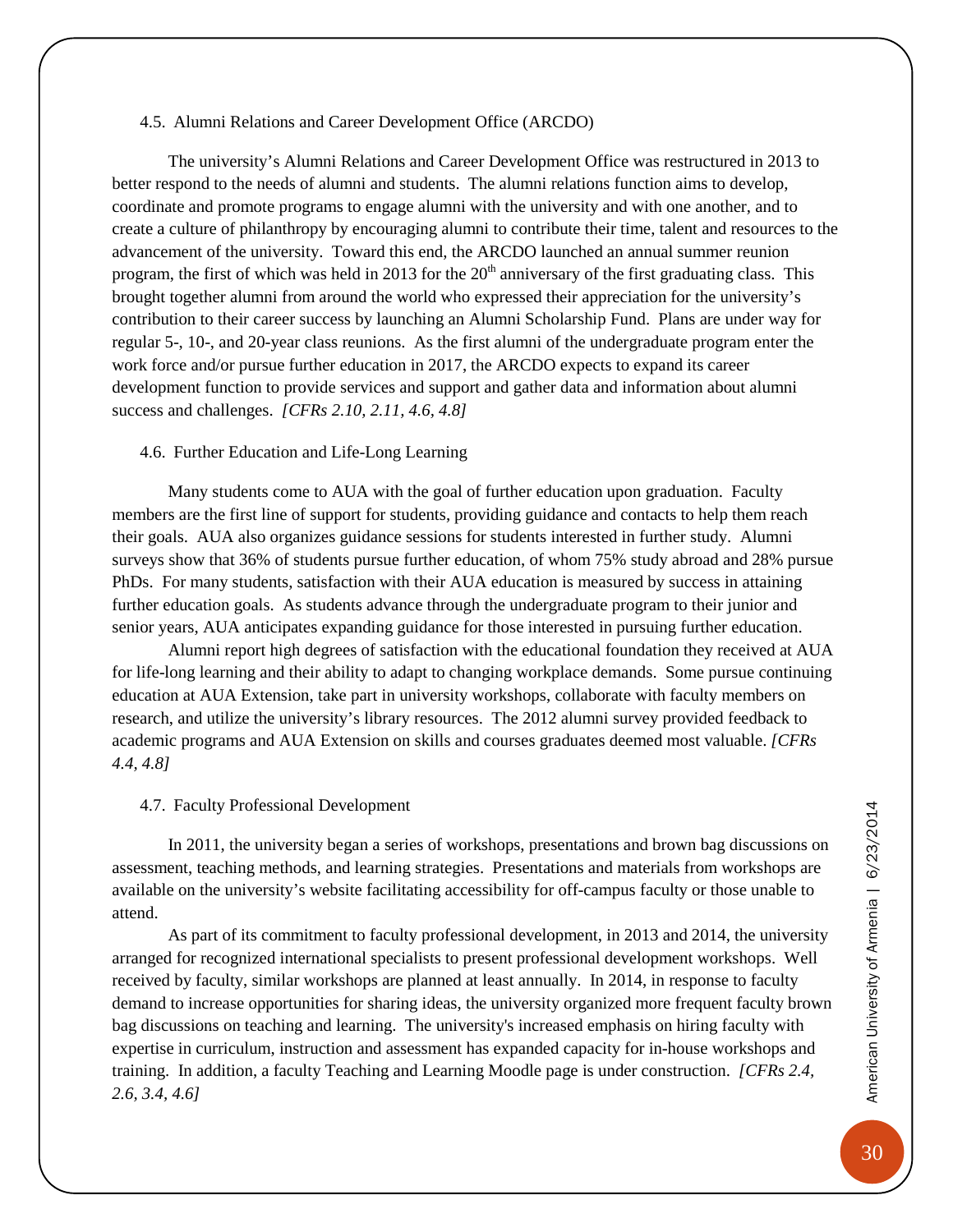#### <span id="page-33-0"></span>4.5. Alumni Relations and Career Development Office (ARCDO)

The university's Alumni Relations and Career Development Office was restructured in 2013 to better respond to the needs of alumni and students. The alumni relations function aims to develop, coordinate and promote programs to engage alumni with the university and with one another, and to create a culture of philanthropy by encouraging alumni to contribute their time, talent and resources to the advancement of the university. Toward this end, the ARCDO launched an annual summer reunion program, the first of which was held in 2013 for the  $20<sup>th</sup>$  anniversary of the first graduating class. This brought together alumni from around the world who expressed their appreciation for the university's contribution to their career success by launching an Alumni Scholarship Fund. Plans are under way for regular 5-, 10-, and 20-year class reunions. As the first alumni of the undergraduate program enter the work force and/or pursue further education in 2017, the ARCDO expects to expand its career development function to provide services and support and gather data and information about alumni success and challenges. *[CFRs 2.10, 2.11, 4.6, 4.8]*

#### <span id="page-33-1"></span>4.6. Further Education and Life-Long Learning

Many students come to AUA with the goal of further education upon graduation. Faculty members are the first line of support for students, providing guidance and contacts to help them reach their goals. AUA also organizes guidance sessions for students interested in further study. Alumni surveys show that 36% of students pursue further education, of whom 75% study abroad and 28% pursue PhDs. For many students, satisfaction with their AUA education is measured by success in attaining further education goals. As students advance through the undergraduate program to their junior and senior years, AUA anticipates expanding guidance for those interested in pursuing further education.

Alumni report high degrees of satisfaction with the educational foundation they received at AUA for life-long learning and their ability to adapt to changing workplace demands. Some pursue continuing education at AUA Extension, take part in university workshops, collaborate with faculty members on research, and utilize the university's library resources. The 2012 alumni survey provided feedback to academic programs and AUA Extension on skills and courses graduates deemed most valuable. *[CFRs 4.4, 4.8]*

#### <span id="page-33-2"></span>4.7. Faculty Professional Development

In 2011, the university began a series of workshops, presentations and brown bag discussions on assessment, teaching methods, and learning strategies. Presentations and materials from workshops are available on the university's website facilitating accessibility for off-campus faculty or those unable to attend.

As part of its commitment to faculty professional development, in 2013 and 2014, the university arranged for recognized international specialists to present professional development workshops. Well received by faculty, similar workshops are planned at least annually. In 2014, in response to faculty demand to increase opportunities for sharing ideas, the university organized more frequent faculty brown bag discussions on teaching and learning. The university's increased emphasis on hiring faculty with expertise in curriculum, instruction and assessment has expanded capacity for in-house workshops and training. In addition, a faculty Teaching and Learning Moodle page is under construction. *[CFRs 2.4, 2.6, 3.4, 4.6]*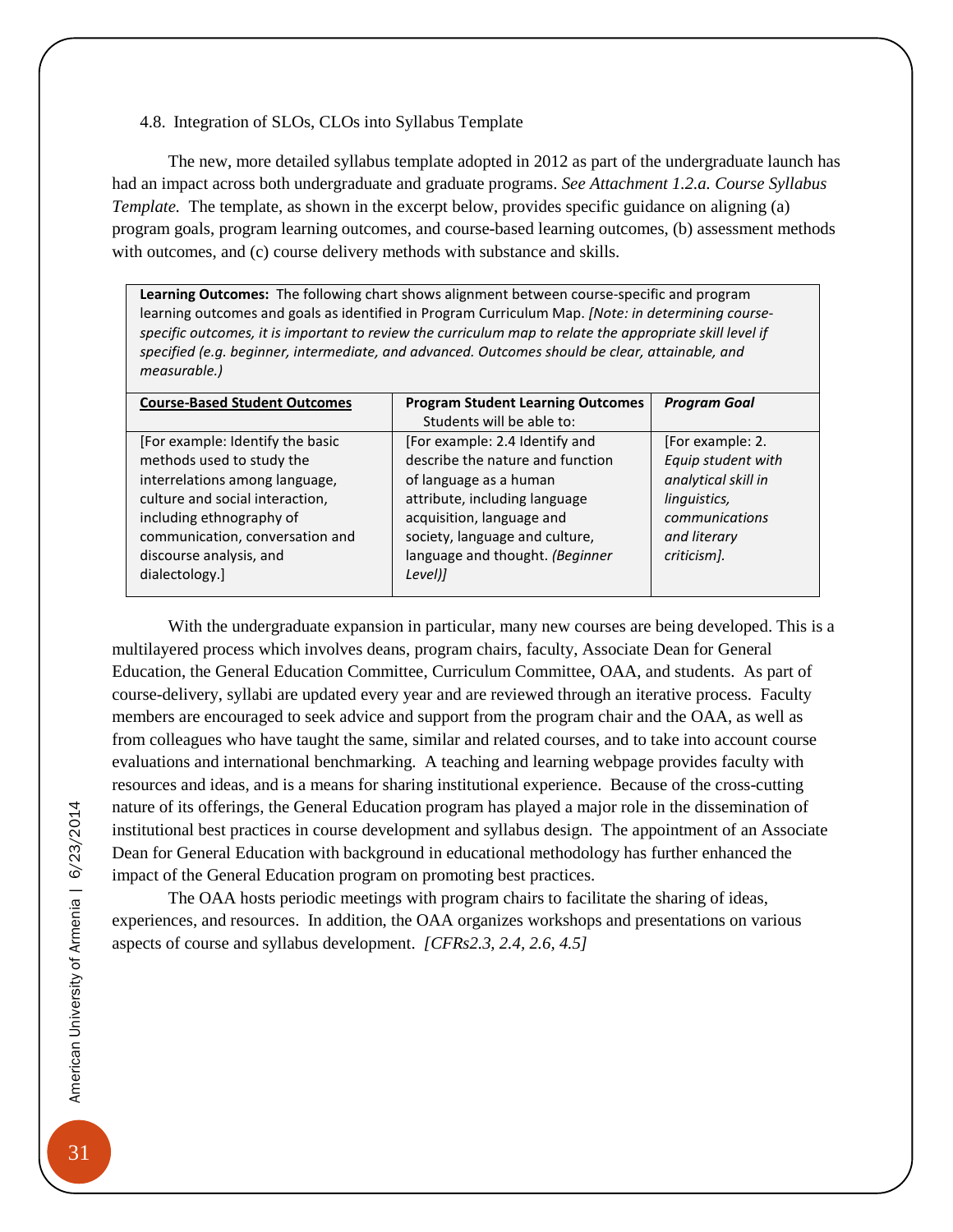<span id="page-34-0"></span>4.8. Integration of SLOs, CLOs into Syllabus Template

The new, more detailed syllabus template adopted in 2012 as part of the undergraduate launch has had an impact across both undergraduate and graduate programs. *See Attachment 1.2.a. Course Syllabus Template.* The template, as shown in the excerpt below, provides specific guidance on aligning (a) program goals, program learning outcomes, and course-based learning outcomes, (b) assessment methods with outcomes, and (c) course delivery methods with substance and skills.

**Learning Outcomes:** The following chart shows alignment between course-specific and program learning outcomes and goals as identified in Program Curriculum Map. *[Note: in determining course*specific outcomes, it is important to review the curriculum map to relate the appropriate skill level if *specified (e.g. beginner, intermediate, and advanced. Outcomes should be clear, attainable, and measurable.)* 

| <b>Course-Based Student Outcomes</b> | <b>Program Student Learning Outcomes</b> | <b>Program Goal</b> |
|--------------------------------------|------------------------------------------|---------------------|
|                                      | Students will be able to:                |                     |
| [For example: Identify the basic     | [For example: 2.4 Identify and           | [For example: 2.    |
| methods used to study the            | describe the nature and function         | Equip student with  |
| interrelations among language,       | of language as a human                   | analytical skill in |
| culture and social interaction,      | attribute, including language            | linguistics,        |
| including ethnography of             | acquisition, language and                | communications      |
| communication, conversation and      | society, language and culture,           | and literary        |
| discourse analysis, and              | language and thought. (Beginner          | criticism].         |
| dialectology.]                       | Level)]                                  |                     |
|                                      |                                          |                     |

With the undergraduate expansion in particular, many new courses are being developed. This is a multilayered process which involves deans, program chairs, faculty, Associate Dean for General Education, the General Education Committee, Curriculum Committee, OAA, and students. As part of course-delivery, syllabi are updated every year and are reviewed through an iterative process. Faculty members are encouraged to seek advice and support from the program chair and the OAA, as well as from colleagues who have taught the same, similar and related courses, and to take into account course evaluations and international benchmarking. A teaching and learning webpage provides faculty with resources and ideas, and is a means for sharing institutional experience. Because of the cross-cutting nature of its offerings, the General Education program has played a major role in the dissemination of institutional best practices in course development and syllabus design. The appointment of an Associate Dean for General Education with background in educational methodology has further enhanced the impact of the General Education program on promoting best practices.

The OAA hosts periodic meetings with program chairs to facilitate the sharing of ideas, experiences, and resources. In addition, the OAA organizes workshops and presentations on various aspects of course and syllabus development. *[CFRs2.3, 2.4, 2.6, 4.5]*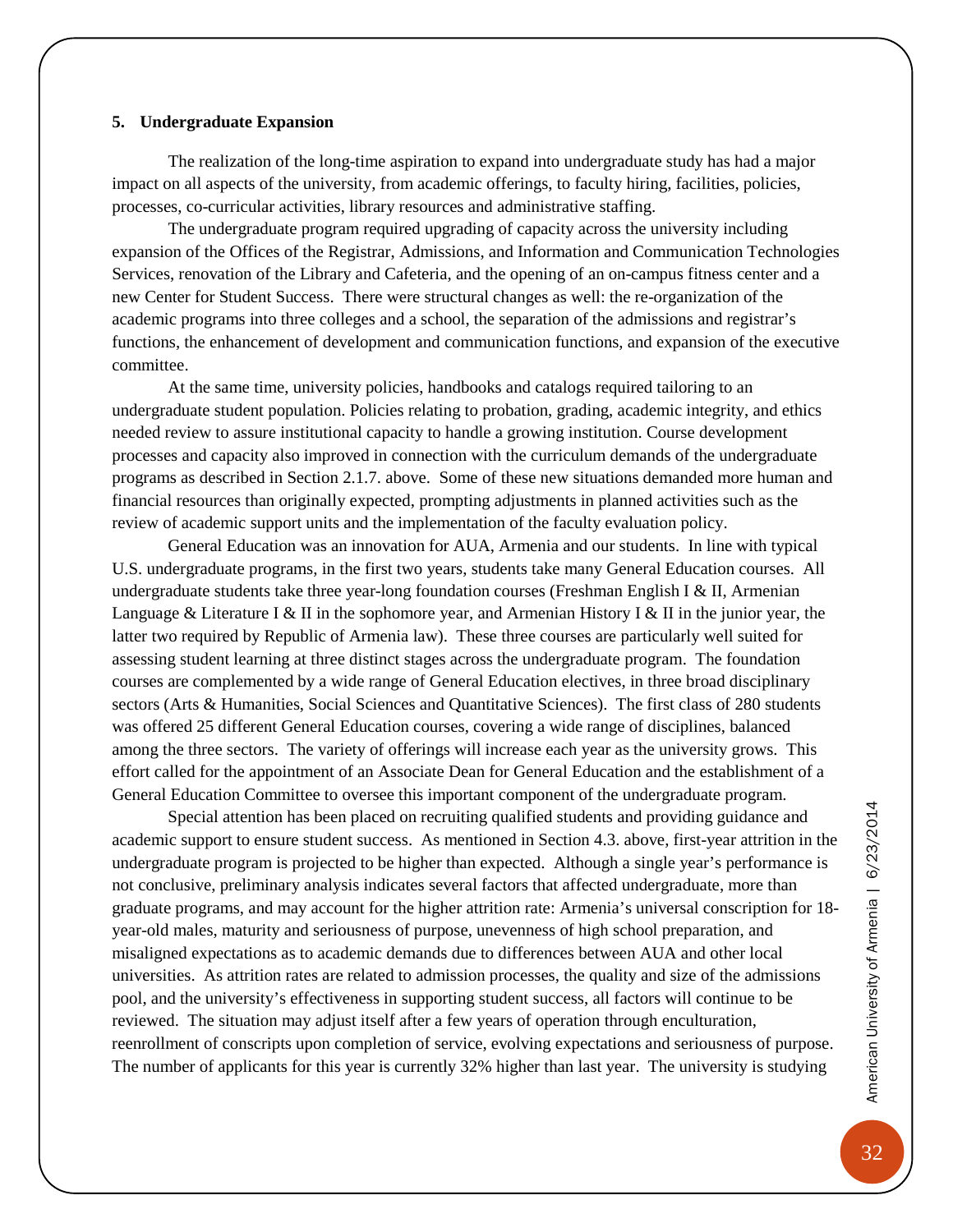#### <span id="page-35-0"></span>**5. Undergraduate Expansion**

The realization of the long-time aspiration to expand into undergraduate study has had a major impact on all aspects of the university, from academic offerings, to faculty hiring, facilities, policies, processes, co-curricular activities, library resources and administrative staffing.

The undergraduate program required upgrading of capacity across the university including expansion of the Offices of the Registrar, Admissions, and Information and Communication Technologies Services, renovation of the Library and Cafeteria, and the opening of an on-campus fitness center and a new Center for Student Success. There were structural changes as well: the re-organization of the academic programs into three colleges and a school, the separation of the admissions and registrar's functions, the enhancement of development and communication functions, and expansion of the executive committee.

At the same time, university policies, handbooks and catalogs required tailoring to an undergraduate student population. Policies relating to probation, grading, academic integrity, and ethics needed review to assure institutional capacity to handle a growing institution. Course development processes and capacity also improved in connection with the curriculum demands of the undergraduate programs as described in Section 2.1.7. above. Some of these new situations demanded more human and financial resources than originally expected, prompting adjustments in planned activities such as the review of academic support units and the implementation of the faculty evaluation policy.

General Education was an innovation for AUA, Armenia and our students. In line with typical U.S. undergraduate programs, in the first two years, students take many General Education courses. All undergraduate students take three year-long foundation courses (Freshman English I & II, Armenian Language & Literature I & II in the sophomore year, and Armenian History I & II in the junior year, the latter two required by Republic of Armenia law). These three courses are particularly well suited for assessing student learning at three distinct stages across the undergraduate program. The foundation courses are complemented by a wide range of General Education electives, in three broad disciplinary sectors (Arts & Humanities, Social Sciences and Quantitative Sciences). The first class of 280 students was offered 25 different General Education courses, covering a wide range of disciplines, balanced among the three sectors. The variety of offerings will increase each year as the university grows. This effort called for the appointment of an Associate Dean for General Education and the establishment of a General Education Committee to oversee this important component of the undergraduate program.

Special attention has been placed on recruiting qualified students and providing guidance and academic support to ensure student success. As mentioned in Section 4.3. above, first-year attrition in the undergraduate program is projected to be higher than expected. Although a single year's performance is not conclusive, preliminary analysis indicates several factors that affected undergraduate, more than graduate programs, and may account for the higher attrition rate: Armenia's universal conscription for 18 year-old males, maturity and seriousness of purpose, unevenness of high school preparation, and misaligned expectations as to academic demands due to differences between AUA and other local universities. As attrition rates are related to admission processes, the quality and size of the admissions pool, and the university's effectiveness in supporting student success, all factors will continue to be reviewed. The situation may adjust itself after a few years of operation through enculturation, reenrollment of conscripts upon completion of service, evolving expectations and seriousness of purpose. The number of applicants for this year is currently 32% higher than last year. The university is studying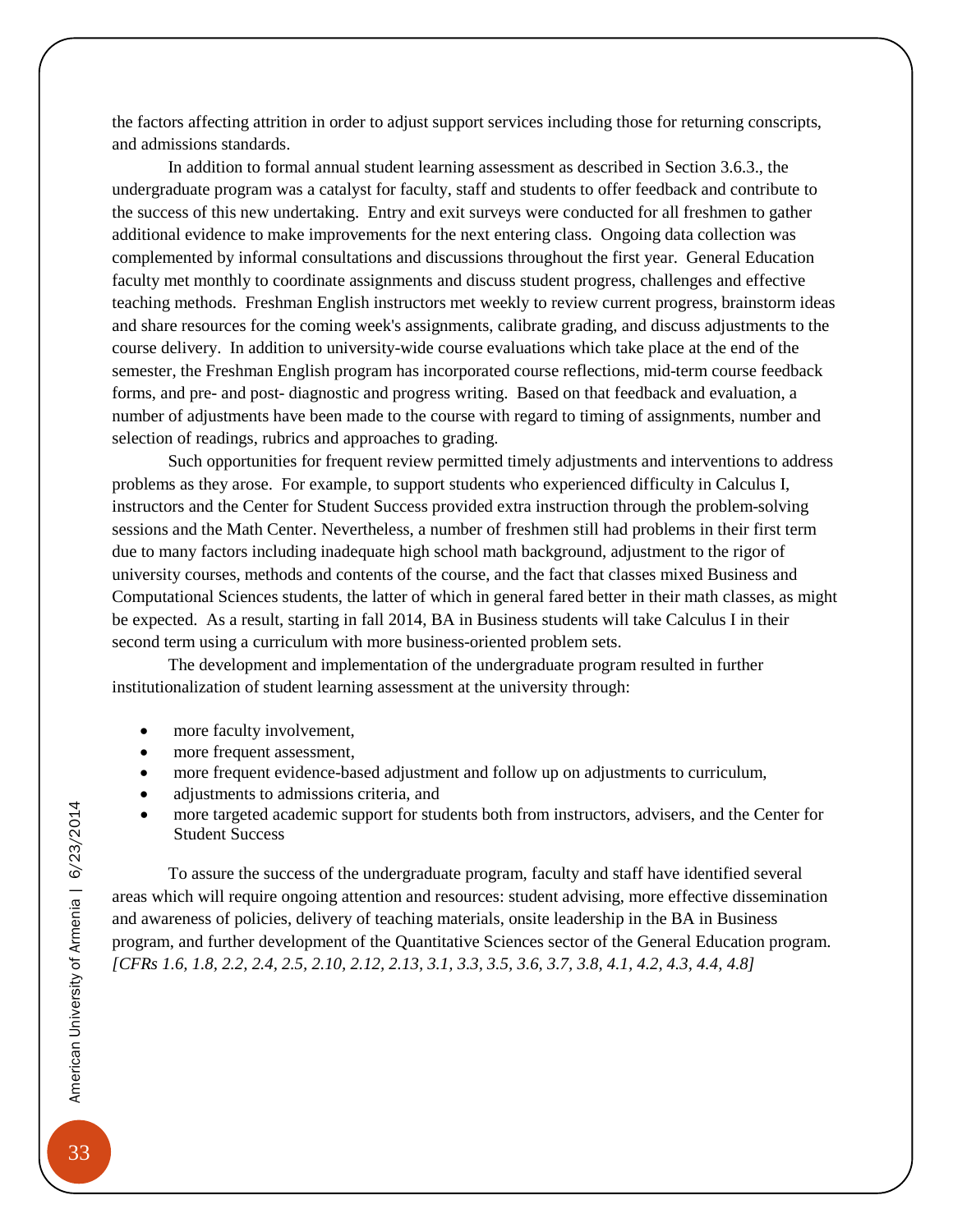the factors affecting attrition in order to adjust support services including those for returning conscripts, and admissions standards.

In addition to formal annual student learning assessment as described in Section 3.6.3., the undergraduate program was a catalyst for faculty, staff and students to offer feedback and contribute to the success of this new undertaking. Entry and exit surveys were conducted for all freshmen to gather additional evidence to make improvements for the next entering class. Ongoing data collection was complemented by informal consultations and discussions throughout the first year. General Education faculty met monthly to coordinate assignments and discuss student progress, challenges and effective teaching methods. Freshman English instructors met weekly to review current progress, brainstorm ideas and share resources for the coming week's assignments, calibrate grading, and discuss adjustments to the course delivery. In addition to university-wide course evaluations which take place at the end of the semester, the Freshman English program has incorporated course reflections, mid-term course feedback forms, and pre- and post- diagnostic and progress writing. Based on that feedback and evaluation, a number of adjustments have been made to the course with regard to timing of assignments, number and selection of readings, rubrics and approaches to grading.

Such opportunities for frequent review permitted timely adjustments and interventions to address problems as they arose. For example, to support students who experienced difficulty in Calculus I, instructors and the Center for Student Success provided extra instruction through the problem-solving sessions and the Math Center. Nevertheless, a number of freshmen still had problems in their first term due to many factors including inadequate high school math background, adjustment to the rigor of university courses, methods and contents of the course, and the fact that classes mixed Business and Computational Sciences students, the latter of which in general fared better in their math classes, as might be expected. As a result, starting in fall 2014, BA in Business students will take Calculus I in their second term using a curriculum with more business-oriented problem sets.

The development and implementation of the undergraduate program resulted in further institutionalization of student learning assessment at the university through:

- more faculty involvement,
- more frequent assessment,
- more frequent evidence-based adjustment and follow up on adjustments to curriculum,
- adjustments to admissions criteria, and
- more targeted academic support for students both from instructors, advisers, and the Center for Student Success

To assure the success of the undergraduate program, faculty and staff have identified several areas which will require ongoing attention and resources: student advising, more effective dissemination and awareness of policies, delivery of teaching materials, onsite leadership in the BA in Business program, and further development of the Quantitative Sciences sector of the General Education program. *[CFRs 1.6, 1.8, 2.2, 2.4, 2.5, 2.10, 2.12, 2.13, 3.1, 3.3, 3.5, 3.6, 3.7, 3.8, 4.1, 4.2, 4.3, 4.4, 4.8]*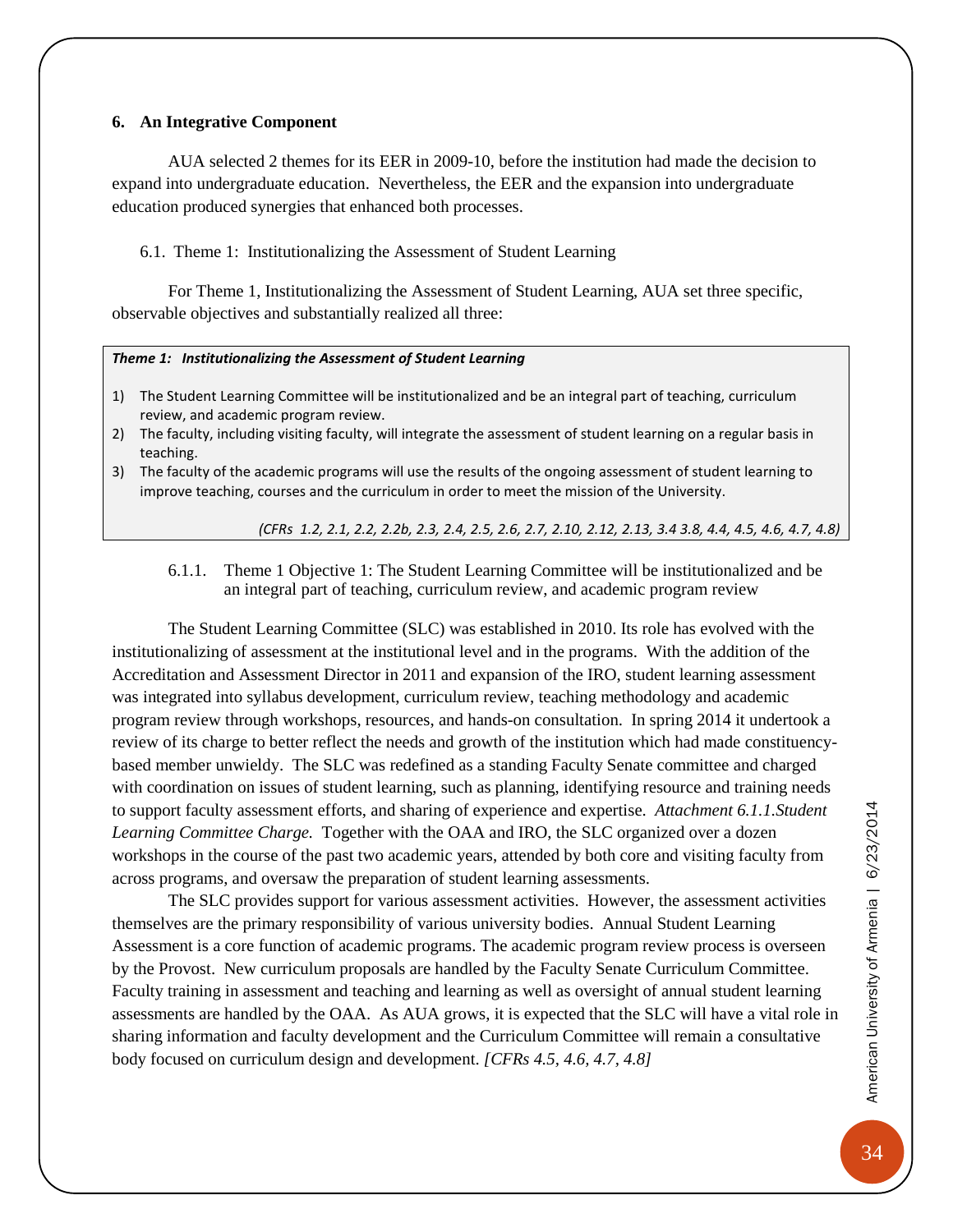#### <span id="page-37-0"></span>**6. An Integrative Component**

AUA selected 2 themes for its EER in 2009-10, before the institution had made the decision to expand into undergraduate education. Nevertheless, the EER and the expansion into undergraduate education produced synergies that enhanced both processes.

<span id="page-37-1"></span>6.1. Theme 1: Institutionalizing the Assessment of Student Learning

For Theme 1, Institutionalizing the Assessment of Student Learning, AUA set three specific, observable objectives and substantially realized all three:

#### *Theme 1: Institutionalizing the Assessment of Student Learning*

- 1) The Student Learning Committee will be institutionalized and be an integral part of teaching, curriculum review, and academic program review.
- 2) The faculty, including visiting faculty, will integrate the assessment of student learning on a regular basis in teaching.
- 3) The faculty of the academic programs will use the results of the ongoing assessment of student learning to improve teaching, courses and the curriculum in order to meet the mission of the University.

*(CFRs 1.2, 2.1, 2.2, 2.2b, 2.3, 2.4, 2.5, 2.6, 2.7, 2.10, 2.12, 2.13, 3.4 3.8, 4.4, 4.5, 4.6, 4.7, 4.8)*

#### <span id="page-37-2"></span>6.1.1. Theme 1 Objective 1: The Student Learning Committee will be institutionalized and be an integral part of teaching, curriculum review, and academic program review

The Student Learning Committee (SLC) was established in 2010. Its role has evolved with the institutionalizing of assessment at the institutional level and in the programs. With the addition of the Accreditation and Assessment Director in 2011 and expansion of the IRO, student learning assessment was integrated into syllabus development, curriculum review, teaching methodology and academic program review through workshops, resources, and hands-on consultation. In spring 2014 it undertook a review of its charge to better reflect the needs and growth of the institution which had made constituencybased member unwieldy. The SLC was redefined as a standing Faculty Senate committee and charged with coordination on issues of student learning, such as planning, identifying resource and training needs to support faculty assessment efforts, and sharing of experience and expertise. *Attachment 6.1.1.Student Learning Committee Charge.* Together with the OAA and IRO, the SLC organized over a dozen workshops in the course of the past two academic years, attended by both core and visiting faculty from across programs, and oversaw the preparation of student learning assessments.

The SLC provides support for various assessment activities. However, the assessment activities themselves are the primary responsibility of various university bodies. Annual Student Learning Assessment is a core function of academic programs. The academic program review process is overseen by the Provost. New curriculum proposals are handled by the Faculty Senate Curriculum Committee. Faculty training in assessment and teaching and learning as well as oversight of annual student learning assessments are handled by the OAA. As AUA grows, it is expected that the SLC will have a vital role in sharing information and faculty development and the Curriculum Committee will remain a consultative body focused on curriculum design and development. *[CFRs 4.5, 4.6, 4.7, 4.8]*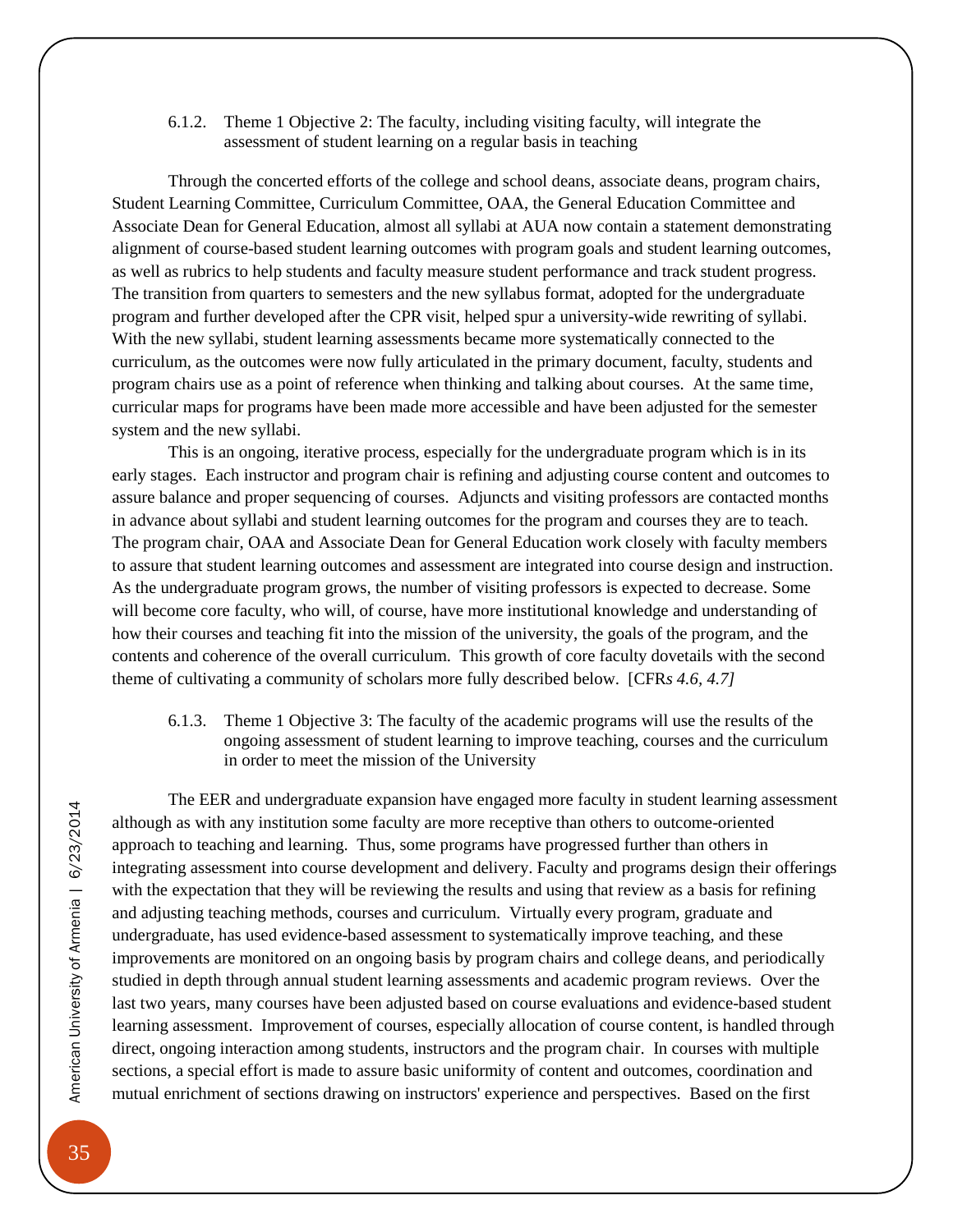<span id="page-38-0"></span>6.1.2. Theme 1 Objective 2: The faculty, including visiting faculty, will integrate the assessment of student learning on a regular basis in teaching

Through the concerted efforts of the college and school deans, associate deans, program chairs, Student Learning Committee, Curriculum Committee, OAA, the General Education Committee and Associate Dean for General Education, almost all syllabi at AUA now contain a statement demonstrating alignment of course-based student learning outcomes with program goals and student learning outcomes, as well as rubrics to help students and faculty measure student performance and track student progress. The transition from quarters to semesters and the new syllabus format, adopted for the undergraduate program and further developed after the CPR visit, helped spur a university-wide rewriting of syllabi. With the new syllabi, student learning assessments became more systematically connected to the curriculum, as the outcomes were now fully articulated in the primary document, faculty, students and program chairs use as a point of reference when thinking and talking about courses. At the same time, curricular maps for programs have been made more accessible and have been adjusted for the semester system and the new syllabi.

This is an ongoing, iterative process, especially for the undergraduate program which is in its early stages. Each instructor and program chair is refining and adjusting course content and outcomes to assure balance and proper sequencing of courses. Adjuncts and visiting professors are contacted months in advance about syllabi and student learning outcomes for the program and courses they are to teach. The program chair, OAA and Associate Dean for General Education work closely with faculty members to assure that student learning outcomes and assessment are integrated into course design and instruction. As the undergraduate program grows, the number of visiting professors is expected to decrease. Some will become core faculty, who will, of course, have more institutional knowledge and understanding of how their courses and teaching fit into the mission of the university, the goals of the program, and the contents and coherence of the overall curriculum. This growth of core faculty dovetails with the second theme of cultivating a community of scholars more fully described below. [CFR*s 4.6, 4.7]*

<span id="page-38-1"></span>6.1.3. Theme 1 Objective 3: The faculty of the academic programs will use the results of the ongoing assessment of student learning to improve teaching, courses and the curriculum in order to meet the mission of the University

The EER and undergraduate expansion have engaged more faculty in student learning assessment although as with any institution some faculty are more receptive than others to outcome-oriented approach to teaching and learning. Thus, some programs have progressed further than others in integrating assessment into course development and delivery. Faculty and programs design their offerings with the expectation that they will be reviewing the results and using that review as a basis for refining and adjusting teaching methods, courses and curriculum. Virtually every program, graduate and undergraduate, has used evidence-based assessment to systematically improve teaching, and these improvements are monitored on an ongoing basis by program chairs and college deans, and periodically studied in depth through annual student learning assessments and academic program reviews. Over the last two years, many courses have been adjusted based on course evaluations and evidence-based student learning assessment. Improvement of courses, especially allocation of course content, is handled through direct, ongoing interaction among students, instructors and the program chair. In courses with multiple sections, a special effort is made to assure basic uniformity of content and outcomes, coordination and mutual enrichment of sections drawing on instructors' experience and perspectives. Based on the first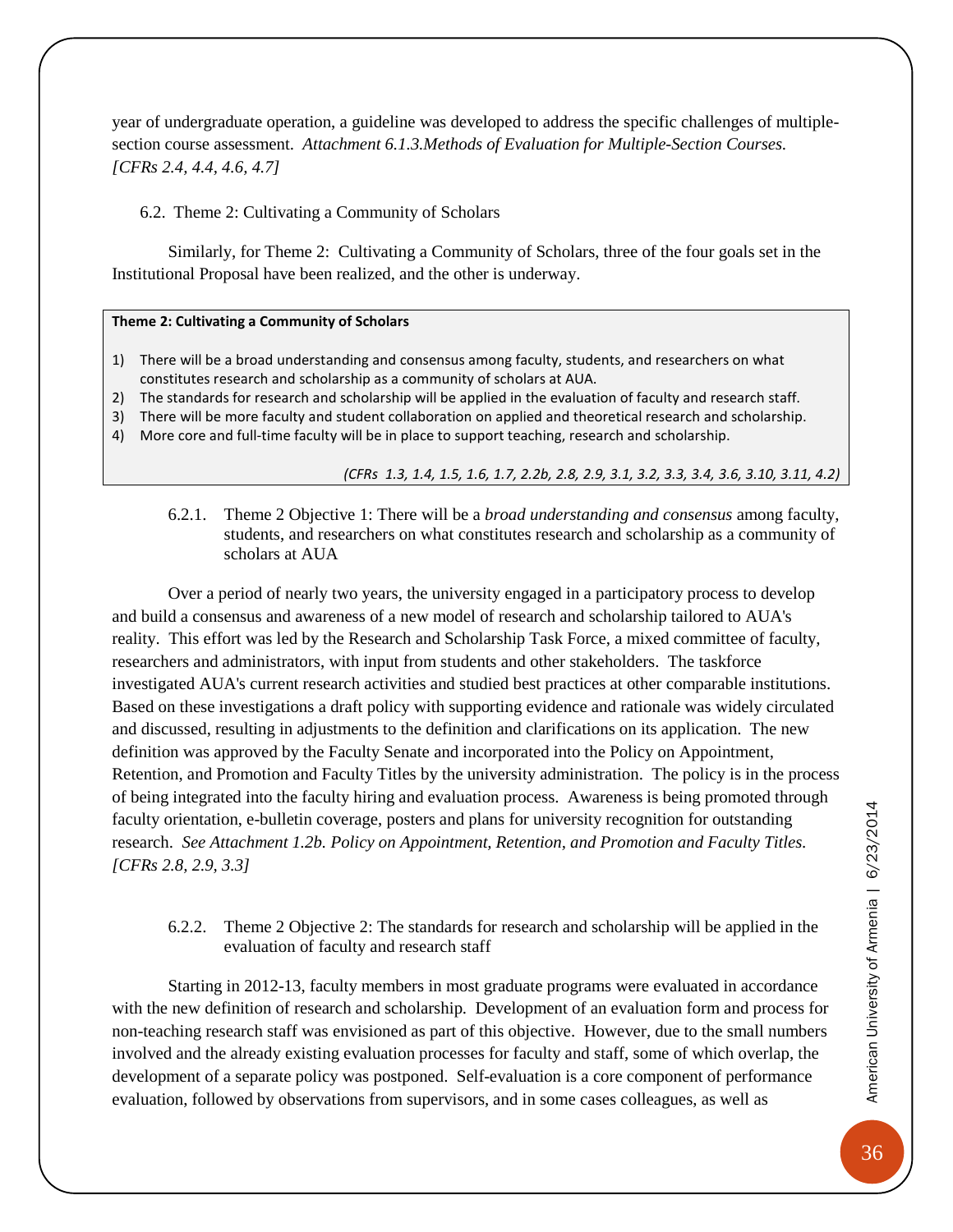year of undergraduate operation, a guideline was developed to address the specific challenges of multiplesection course assessment. *Attachment 6.1.3.Methods of Evaluation for Multiple-Section Courses. [CFRs 2.4, 4.4, 4.6, 4.7]*

#### <span id="page-39-0"></span>6.2. Theme 2: Cultivating a Community of Scholars

Similarly, for Theme 2: Cultivating a Community of Scholars, three of the four goals set in the Institutional Proposal have been realized, and the other is underway.

#### **Theme 2: Cultivating a Community of Scholars**

- 1) There will be a broad understanding and consensus among faculty, students, and researchers on what constitutes research and scholarship as a community of scholars at AUA.
- 2) The standards for research and scholarship will be applied in the evaluation of faculty and research staff.
- 3) There will be more faculty and student collaboration on applied and theoretical research and scholarship.
- 4) More core and full-time faculty will be in place to support teaching, research and scholarship.

#### *(CFRs 1.3, 1.4, 1.5, 1.6, 1.7, 2.2b, 2.8, 2.9, 3.1, 3.2, 3.3, 3.4, 3.6, 3.10, 3.11, 4.2)*

<span id="page-39-1"></span>6.2.1. Theme 2 Objective 1: There will be a *broad understanding and consensus* among faculty, students, and researchers on what constitutes research and scholarship as a community of scholars at AUA

Over a period of nearly two years, the university engaged in a participatory process to develop and build a consensus and awareness of a new model of research and scholarship tailored to AUA's reality. This effort was led by the Research and Scholarship Task Force, a mixed committee of faculty, researchers and administrators, with input from students and other stakeholders. The taskforce investigated AUA's current research activities and studied best practices at other comparable institutions. Based on these investigations a draft policy with supporting evidence and rationale was widely circulated and discussed, resulting in adjustments to the definition and clarifications on its application. The new definition was approved by the Faculty Senate and incorporated into the Policy on Appointment, Retention, and Promotion and Faculty Titles by the university administration. The policy is in the process of being integrated into the faculty hiring and evaluation process. Awareness is being promoted through faculty orientation, e-bulletin coverage, posters and plans for university recognition for outstanding research. *See Attachment 1.2b. Policy on Appointment, Retention, and Promotion and Faculty Titles. [CFRs 2.8, 2.9, 3.3]*

#### <span id="page-39-2"></span>6.2.2. Theme 2 Objective 2: The standards for research and scholarship will be applied in the evaluation of faculty and research staff

Starting in 2012-13, faculty members in most graduate programs were evaluated in accordance with the new definition of research and scholarship. Development of an evaluation form and process for non-teaching research staff was envisioned as part of this objective. However, due to the small numbers involved and the already existing evaluation processes for faculty and staff, some of which overlap, the development of a separate policy was postponed. Self-evaluation is a core component of performance evaluation, followed by observations from supervisors, and in some cases colleagues, as well as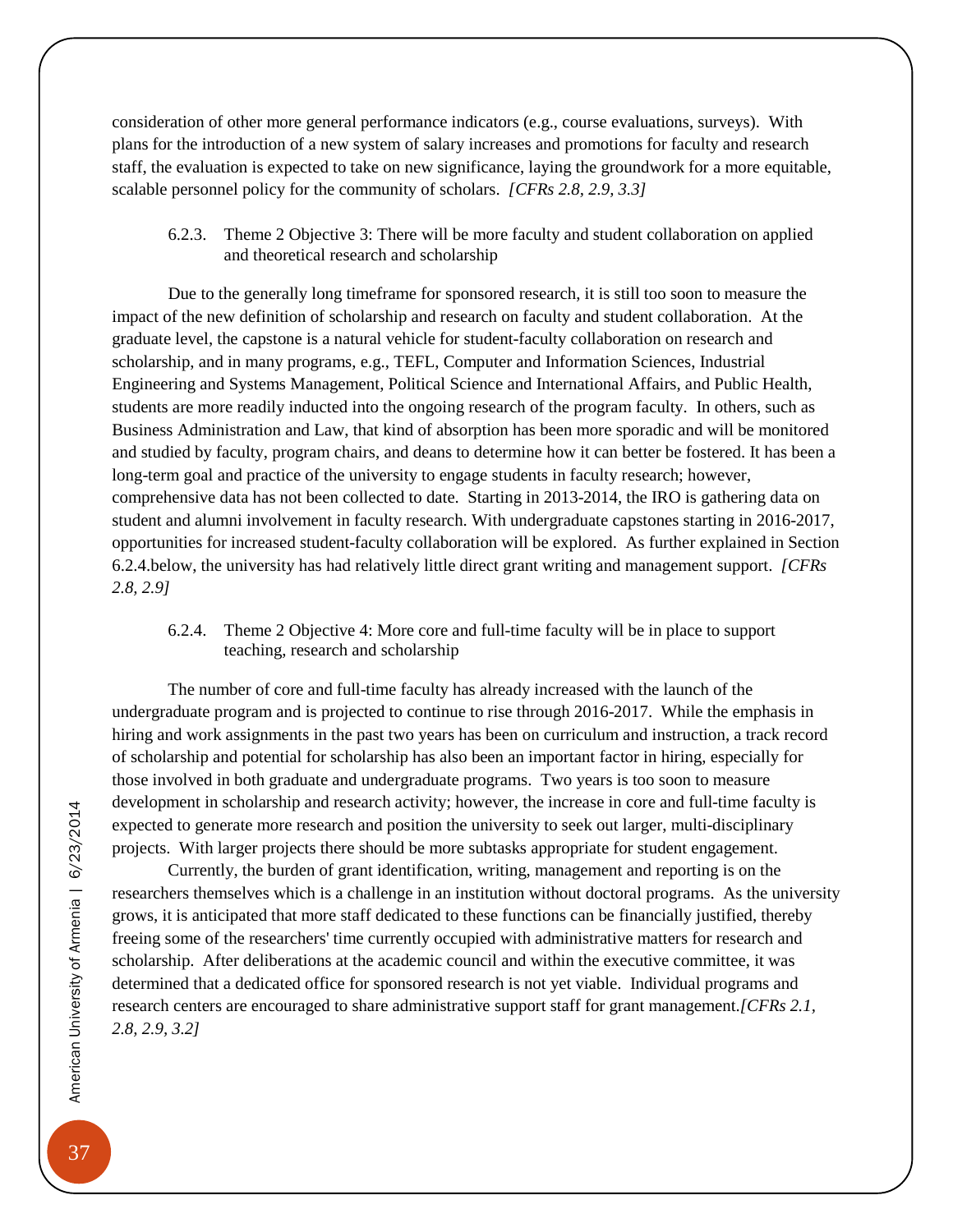consideration of other more general performance indicators (e.g., course evaluations, surveys). With plans for the introduction of a new system of salary increases and promotions for faculty and research staff, the evaluation is expected to take on new significance, laying the groundwork for a more equitable, scalable personnel policy for the community of scholars. *[CFRs 2.8, 2.9, 3.3]*

<span id="page-40-0"></span>6.2.3. Theme 2 Objective 3: There will be more faculty and student collaboration on applied and theoretical research and scholarship

Due to the generally long timeframe for sponsored research, it is still too soon to measure the impact of the new definition of scholarship and research on faculty and student collaboration. At the graduate level, the capstone is a natural vehicle for student-faculty collaboration on research and scholarship, and in many programs, e.g., TEFL, Computer and Information Sciences, Industrial Engineering and Systems Management, Political Science and International Affairs, and Public Health, students are more readily inducted into the ongoing research of the program faculty. In others, such as Business Administration and Law, that kind of absorption has been more sporadic and will be monitored and studied by faculty, program chairs, and deans to determine how it can better be fostered. It has been a long-term goal and practice of the university to engage students in faculty research; however, comprehensive data has not been collected to date. Starting in 2013-2014, the IRO is gathering data on student and alumni involvement in faculty research. With undergraduate capstones starting in 2016-2017, opportunities for increased student-faculty collaboration will be explored. As further explained in Section 6.2.4.below, the university has had relatively little direct grant writing and management support. *[CFRs 2.8, 2.9]*

<span id="page-40-1"></span>6.2.4. Theme 2 Objective 4: More core and full-time faculty will be in place to support teaching, research and scholarship

The number of core and full-time faculty has already increased with the launch of the undergraduate program and is projected to continue to rise through 2016-2017. While the emphasis in hiring and work assignments in the past two years has been on curriculum and instruction, a track record of scholarship and potential for scholarship has also been an important factor in hiring, especially for those involved in both graduate and undergraduate programs. Two years is too soon to measure development in scholarship and research activity; however, the increase in core and full-time faculty is expected to generate more research and position the university to seek out larger, multi-disciplinary projects. With larger projects there should be more subtasks appropriate for student engagement.

Currently, the burden of grant identification, writing, management and reporting is on the researchers themselves which is a challenge in an institution without doctoral programs. As the university grows, it is anticipated that more staff dedicated to these functions can be financially justified, thereby freeing some of the researchers' time currently occupied with administrative matters for research and scholarship. After deliberations at the academic council and within the executive committee, it was determined that a dedicated office for sponsored research is not yet viable. Individual programs and research centers are encouraged to share administrative support staff for grant management.*[CFRs 2.1, 2.8, 2.9, 3.2]*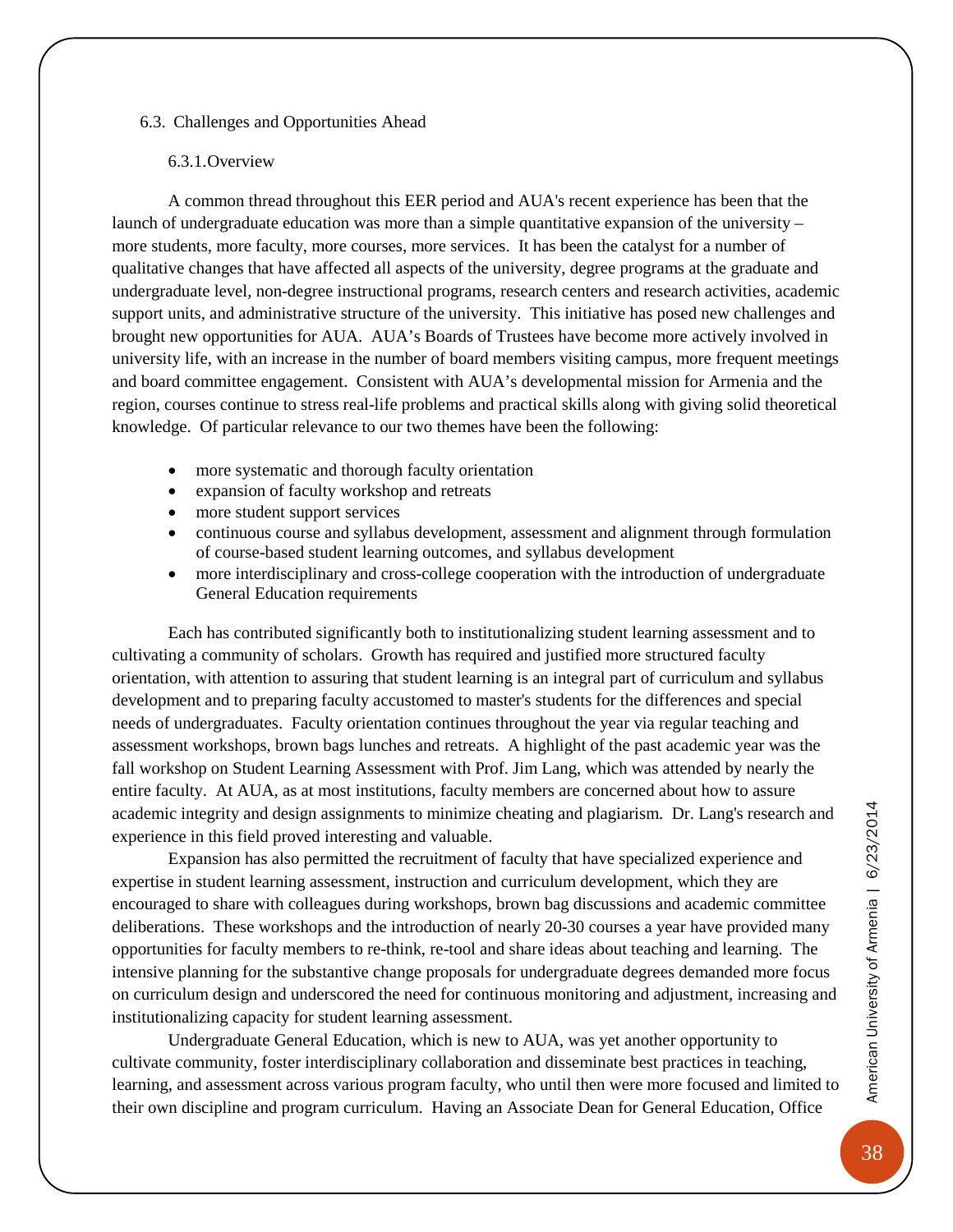#### <span id="page-41-0"></span>6.3. Challenges and Opportunities Ahead

#### 6.3.1.Overview

<span id="page-41-1"></span>A common thread throughout this EER period and AUA's recent experience has been that the launch of undergraduate education was more than a simple quantitative expansion of the university – more students, more faculty, more courses, more services. It has been the catalyst for a number of qualitative changes that have affected all aspects of the university, degree programs at the graduate and undergraduate level, non-degree instructional programs, research centers and research activities, academic support units, and administrative structure of the university. This initiative has posed new challenges and brought new opportunities for AUA. AUA's Boards of Trustees have become more actively involved in university life, with an increase in the number of board members visiting campus, more frequent meetings and board committee engagement. Consistent with AUA's developmental mission for Armenia and the region, courses continue to stress real-life problems and practical skills along with giving solid theoretical knowledge. Of particular relevance to our two themes have been the following:

- more systematic and thorough faculty orientation
- expansion of faculty workshop and retreats
- more student support services
- continuous course and syllabus development, assessment and alignment through formulation of course-based student learning outcomes, and syllabus development
- more interdisciplinary and cross-college cooperation with the introduction of undergraduate General Education requirements

Each has contributed significantly both to institutionalizing student learning assessment and to cultivating a community of scholars. Growth has required and justified more structured faculty orientation, with attention to assuring that student learning is an integral part of curriculum and syllabus development and to preparing faculty accustomed to master's students for the differences and special needs of undergraduates. Faculty orientation continues throughout the year via regular teaching and assessment workshops, brown bags lunches and retreats. A highlight of the past academic year was the fall workshop on Student Learning Assessment with Prof. Jim Lang, which was attended by nearly the entire faculty. At AUA, as at most institutions, faculty members are concerned about how to assure academic integrity and design assignments to minimize cheating and plagiarism. Dr. Lang's research and experience in this field proved interesting and valuable.

Expansion has also permitted the recruitment of faculty that have specialized experience and expertise in student learning assessment, instruction and curriculum development, which they are encouraged to share with colleagues during workshops, brown bag discussions and academic committee deliberations. These workshops and the introduction of nearly 20-30 courses a year have provided many opportunities for faculty members to re-think, re-tool and share ideas about teaching and learning. The intensive planning for the substantive change proposals for undergraduate degrees demanded more focus on curriculum design and underscored the need for continuous monitoring and adjustment, increasing and institutionalizing capacity for student learning assessment.

Undergraduate General Education, which is new to AUA, was yet another opportunity to cultivate community, foster interdisciplinary collaboration and disseminate best practices in teaching, learning, and assessment across various program faculty, who until then were more focused and limited to their own discipline and program curriculum. Having an Associate Dean for General Education, Office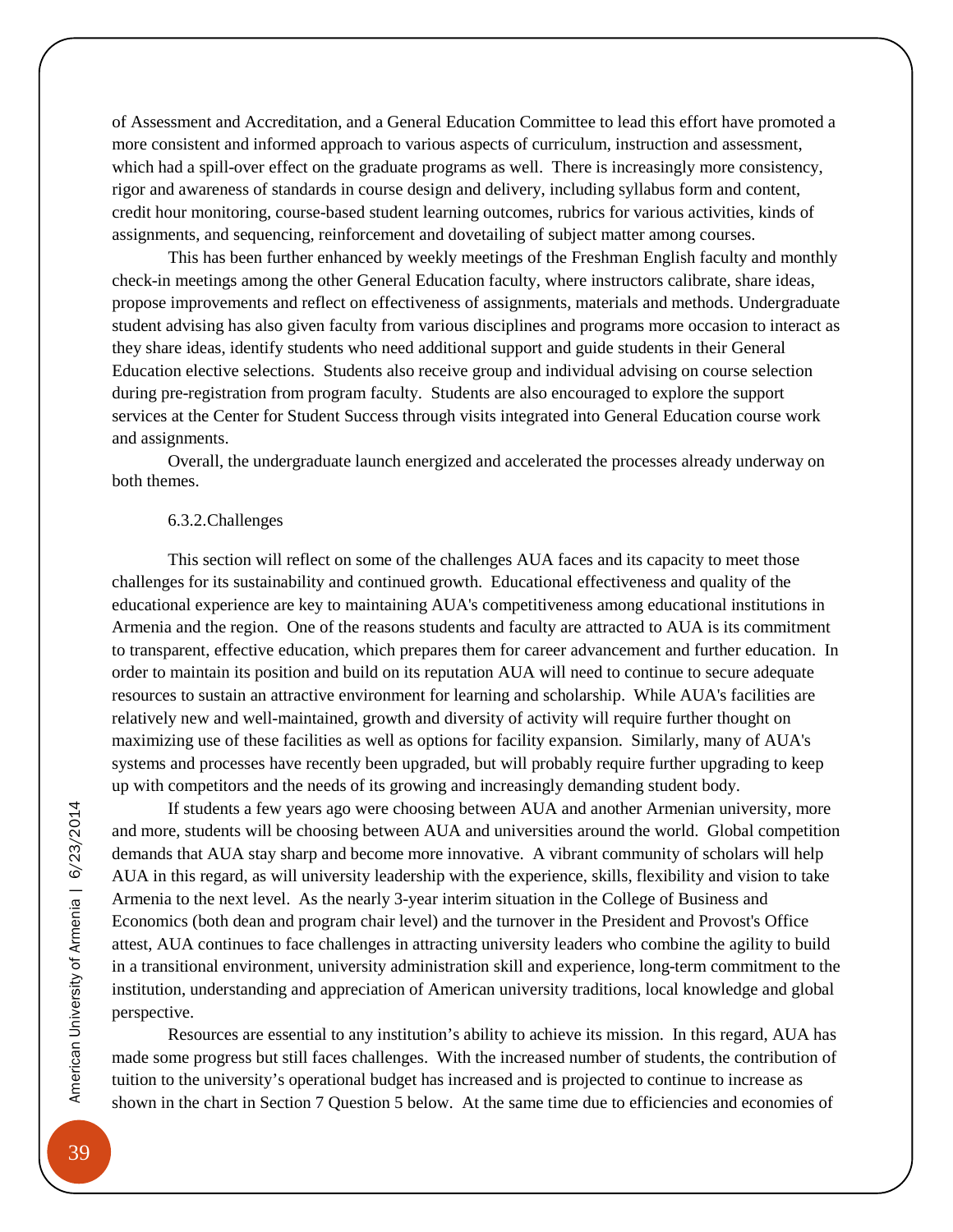of Assessment and Accreditation, and a General Education Committee to lead this effort have promoted a more consistent and informed approach to various aspects of curriculum, instruction and assessment, which had a spill-over effect on the graduate programs as well. There is increasingly more consistency, rigor and awareness of standards in course design and delivery, including syllabus form and content, credit hour monitoring, course-based student learning outcomes, rubrics for various activities, kinds of assignments, and sequencing, reinforcement and dovetailing of subject matter among courses.

This has been further enhanced by weekly meetings of the Freshman English faculty and monthly check-in meetings among the other General Education faculty, where instructors calibrate, share ideas, propose improvements and reflect on effectiveness of assignments, materials and methods. Undergraduate student advising has also given faculty from various disciplines and programs more occasion to interact as they share ideas, identify students who need additional support and guide students in their General Education elective selections. Students also receive group and individual advising on course selection during pre-registration from program faculty. Students are also encouraged to explore the support services at the Center for Student Success through visits integrated into General Education course work and assignments.

Overall, the undergraduate launch energized and accelerated the processes already underway on both themes.

#### 6.3.2.Challenges

<span id="page-42-0"></span>This section will reflect on some of the challenges AUA faces and its capacity to meet those challenges for its sustainability and continued growth. Educational effectiveness and quality of the educational experience are key to maintaining AUA's competitiveness among educational institutions in Armenia and the region. One of the reasons students and faculty are attracted to AUA is its commitment to transparent, effective education, which prepares them for career advancement and further education. In order to maintain its position and build on its reputation AUA will need to continue to secure adequate resources to sustain an attractive environment for learning and scholarship. While AUA's facilities are relatively new and well-maintained, growth and diversity of activity will require further thought on maximizing use of these facilities as well as options for facility expansion. Similarly, many of AUA's systems and processes have recently been upgraded, but will probably require further upgrading to keep up with competitors and the needs of its growing and increasingly demanding student body.

If students a few years ago were choosing between AUA and another Armenian university, more and more, students will be choosing between AUA and universities around the world. Global competition demands that AUA stay sharp and become more innovative. A vibrant community of scholars will help AUA in this regard, as will university leadership with the experience, skills, flexibility and vision to take Armenia to the next level. As the nearly 3-year interim situation in the College of Business and Economics (both dean and program chair level) and the turnover in the President and Provost's Office attest, AUA continues to face challenges in attracting university leaders who combine the agility to build in a transitional environment, university administration skill and experience, long-term commitment to the institution, understanding and appreciation of American university traditions, local knowledge and global perspective.

Resources are essential to any institution's ability to achieve its mission. In this regard, AUA has made some progress but still faces challenges. With the increased number of students, the contribution of tuition to the university's operational budget has increased and is projected to continue to increase as shown in the chart in Section 7 Question 5 below. At the same time due to efficiencies and economies of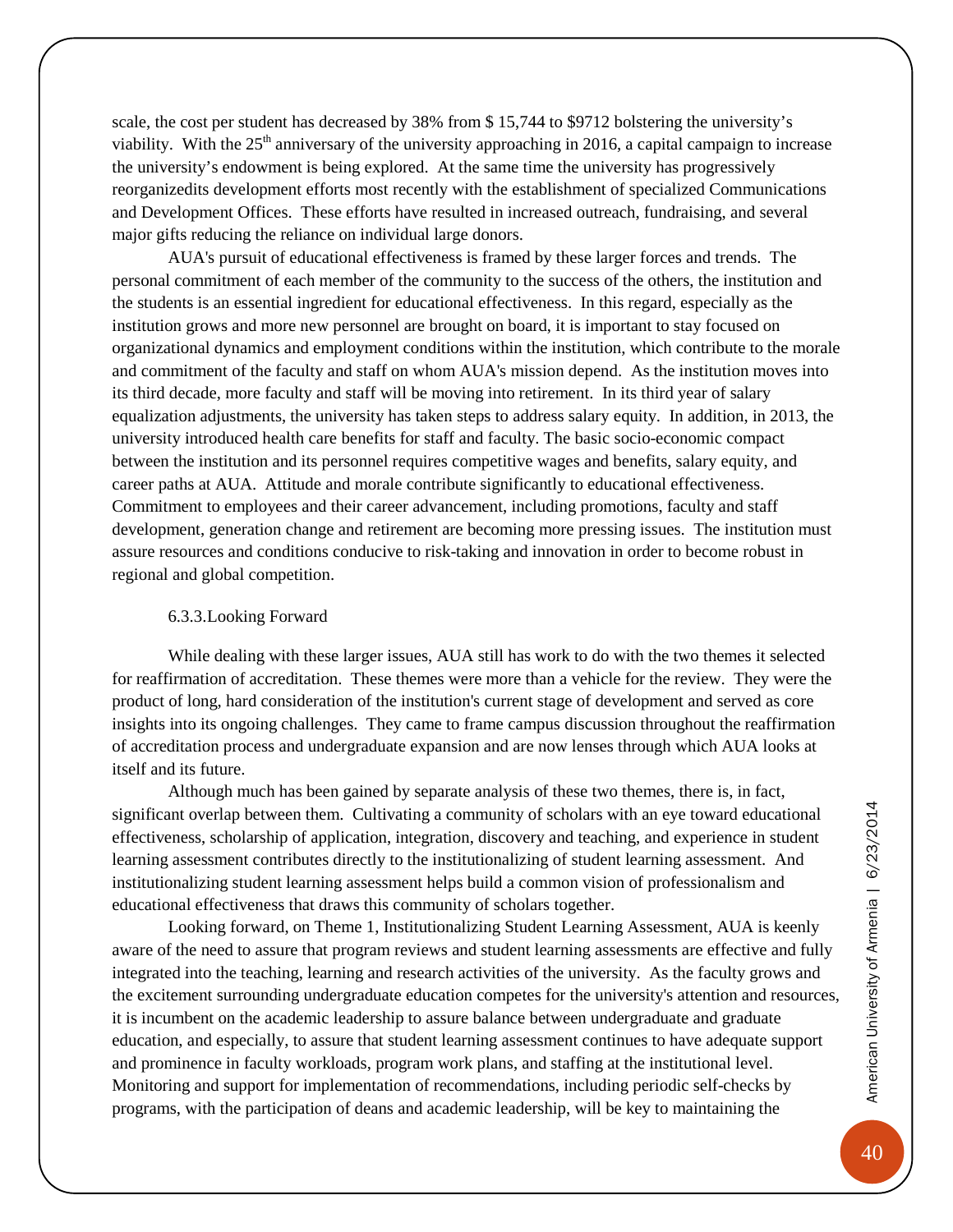scale, the cost per student has decreased by 38% from \$ 15,744 to \$9712 bolstering the university's viability. With the  $25<sup>th</sup>$  anniversary of the university approaching in 2016, a capital campaign to increase the university's endowment is being explored. At the same time the university has progressively reorganizedits development efforts most recently with the establishment of specialized Communications and Development Offices. These efforts have resulted in increased outreach, fundraising, and several major gifts reducing the reliance on individual large donors.

AUA's pursuit of educational effectiveness is framed by these larger forces and trends. The personal commitment of each member of the community to the success of the others, the institution and the students is an essential ingredient for educational effectiveness. In this regard, especially as the institution grows and more new personnel are brought on board, it is important to stay focused on organizational dynamics and employment conditions within the institution, which contribute to the morale and commitment of the faculty and staff on whom AUA's mission depend. As the institution moves into its third decade, more faculty and staff will be moving into retirement. In its third year of salary equalization adjustments, the university has taken steps to address salary equity. In addition, in 2013, the university introduced health care benefits for staff and faculty. The basic socio-economic compact between the institution and its personnel requires competitive wages and benefits, salary equity, and career paths at AUA. Attitude and morale contribute significantly to educational effectiveness. Commitment to employees and their career advancement, including promotions, faculty and staff development, generation change and retirement are becoming more pressing issues. The institution must assure resources and conditions conducive to risk-taking and innovation in order to become robust in regional and global competition.

#### 6.3.3.Looking Forward

<span id="page-43-0"></span>While dealing with these larger issues, AUA still has work to do with the two themes it selected for reaffirmation of accreditation. These themes were more than a vehicle for the review. They were the product of long, hard consideration of the institution's current stage of development and served as core insights into its ongoing challenges. They came to frame campus discussion throughout the reaffirmation of accreditation process and undergraduate expansion and are now lenses through which AUA looks at itself and its future.

Although much has been gained by separate analysis of these two themes, there is, in fact, significant overlap between them. Cultivating a community of scholars with an eye toward educational effectiveness, scholarship of application, integration, discovery and teaching, and experience in student learning assessment contributes directly to the institutionalizing of student learning assessment. And institutionalizing student learning assessment helps build a common vision of professionalism and educational effectiveness that draws this community of scholars together.

Looking forward, on Theme 1, Institutionalizing Student Learning Assessment, AUA is keenly aware of the need to assure that program reviews and student learning assessments are effective and fully integrated into the teaching, learning and research activities of the university. As the faculty grows and the excitement surrounding undergraduate education competes for the university's attention and resources, it is incumbent on the academic leadership to assure balance between undergraduate and graduate education, and especially, to assure that student learning assessment continues to have adequate support and prominence in faculty workloads, program work plans, and staffing at the institutional level. Monitoring and support for implementation of recommendations, including periodic self-checks by programs, with the participation of deans and academic leadership, will be key to maintaining the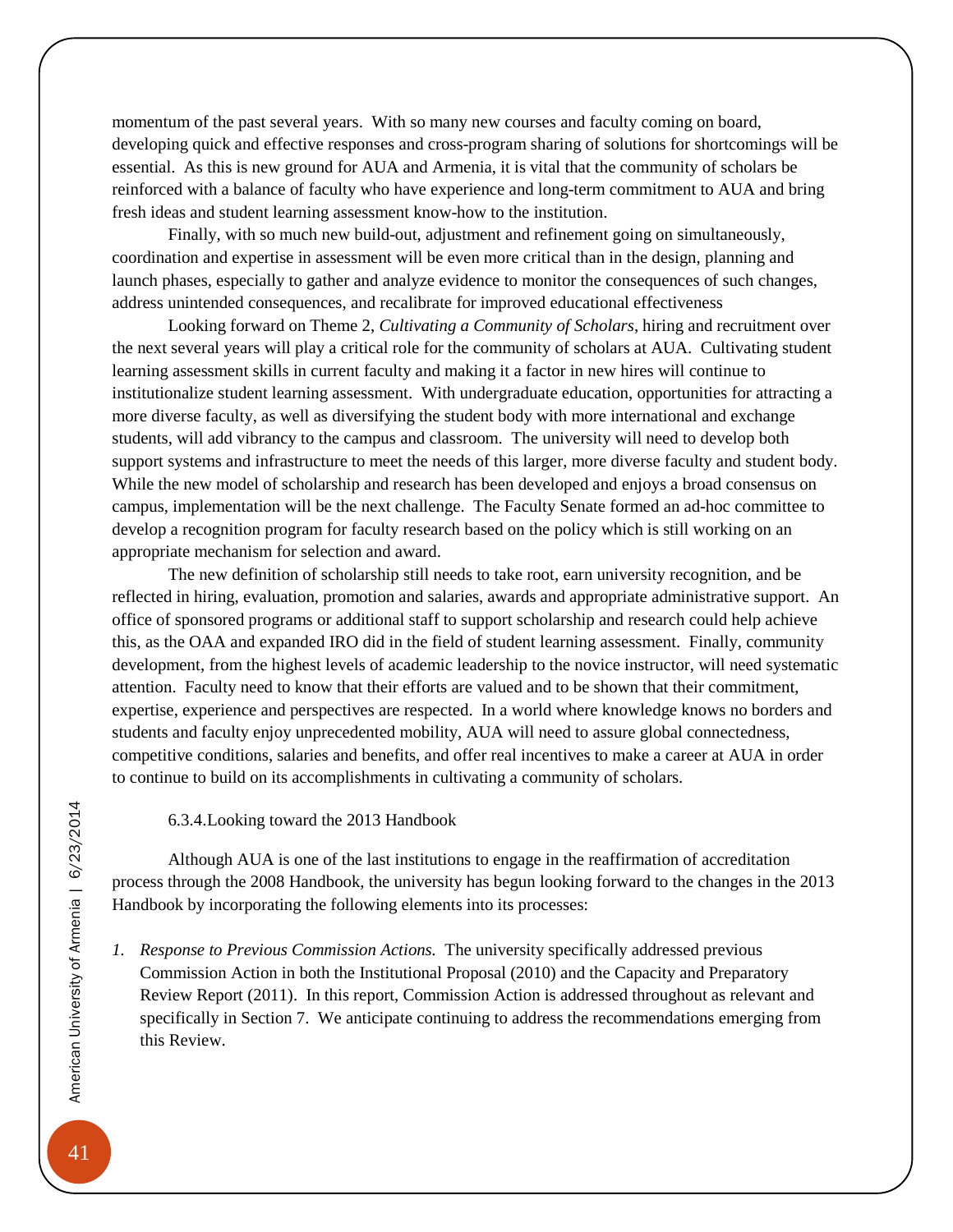momentum of the past several years. With so many new courses and faculty coming on board, developing quick and effective responses and cross-program sharing of solutions for shortcomings will be essential. As this is new ground for AUA and Armenia, it is vital that the community of scholars be reinforced with a balance of faculty who have experience and long-term commitment to AUA and bring fresh ideas and student learning assessment know-how to the institution.

Finally, with so much new build-out, adjustment and refinement going on simultaneously, coordination and expertise in assessment will be even more critical than in the design, planning and launch phases, especially to gather and analyze evidence to monitor the consequences of such changes, address unintended consequences, and recalibrate for improved educational effectiveness

Looking forward on Theme 2, *Cultivating a Community of Scholars*, hiring and recruitment over the next several years will play a critical role for the community of scholars at AUA. Cultivating student learning assessment skills in current faculty and making it a factor in new hires will continue to institutionalize student learning assessment. With undergraduate education, opportunities for attracting a more diverse faculty, as well as diversifying the student body with more international and exchange students, will add vibrancy to the campus and classroom. The university will need to develop both support systems and infrastructure to meet the needs of this larger, more diverse faculty and student body. While the new model of scholarship and research has been developed and enjoys a broad consensus on campus, implementation will be the next challenge. The Faculty Senate formed an ad-hoc committee to develop a recognition program for faculty research based on the policy which is still working on an appropriate mechanism for selection and award.

The new definition of scholarship still needs to take root, earn university recognition, and be reflected in hiring, evaluation, promotion and salaries, awards and appropriate administrative support. An office of sponsored programs or additional staff to support scholarship and research could help achieve this, as the OAA and expanded IRO did in the field of student learning assessment. Finally, community development, from the highest levels of academic leadership to the novice instructor, will need systematic attention. Faculty need to know that their efforts are valued and to be shown that their commitment, expertise, experience and perspectives are respected. In a world where knowledge knows no borders and students and faculty enjoy unprecedented mobility, AUA will need to assure global connectedness, competitive conditions, salaries and benefits, and offer real incentives to make a career at AUA in order to continue to build on its accomplishments in cultivating a community of scholars.

#### 6.3.4.Looking toward the 2013 Handbook

<span id="page-44-0"></span>Although AUA is one of the last institutions to engage in the reaffirmation of accreditation process through the 2008 Handbook, the university has begun looking forward to the changes in the 2013 Handbook by incorporating the following elements into its processes:

*1. Response to Previous Commission Actions.* The university specifically addressed previous Commission Action in both the Institutional Proposal (2010) and the Capacity and Preparatory Review Report (2011). In this report, Commission Action is addressed throughout as relevant and specifically in Section 7. We anticipate continuing to address the recommendations emerging from this Review.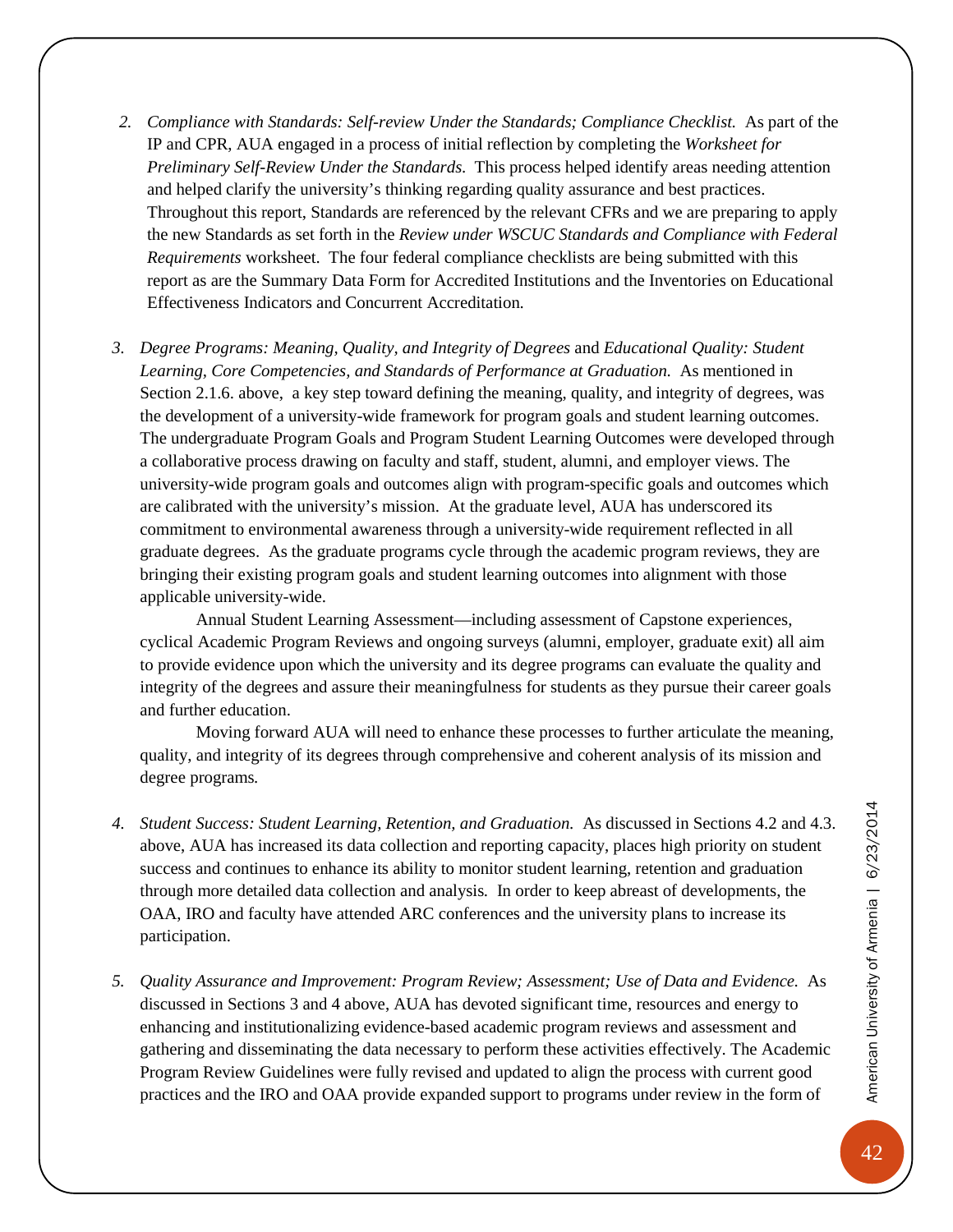- *2. Compliance with Standards: Self-review Under the Standards; Compliance Checklist.* As part of the IP and CPR, AUA engaged in a process of initial reflection by completing the *Worksheet for Preliminary Self-Review Under the Standards.* This process helped identify areas needing attention and helped clarify the university's thinking regarding quality assurance and best practices. Throughout this report, Standards are referenced by the relevant CFRs and we are preparing to apply the new Standards as set forth in the *Review under WSCUC Standards and Compliance with Federal Requirements* worksheet. The four federal compliance checklists are being submitted with this report as are the Summary Data Form for Accredited Institutions and the Inventories on Educational Effectiveness Indicators and Concurrent Accreditation.
- *3. Degree Programs: Meaning, Quality, and Integrity of Degrees* and *Educational Quality: Student*  Learning, Core Competencies, and Standards of Performance at Graduation. As mentioned in Section 2.1.6. above, a key step toward defining the meaning, quality, and integrity of degrees, was the development of a university-wide framework for program goals and student learning outcomes. The undergraduate Program Goals and Program Student Learning Outcomes were developed through a collaborative process drawing on faculty and staff, student, alumni, and employer views. The university-wide program goals and outcomes align with program-specific goals and outcomes which are calibrated with the university's mission. At the graduate level, AUA has underscored its commitment to environmental awareness through a university-wide requirement reflected in all graduate degrees. As the graduate programs cycle through the academic program reviews, they are bringing their existing program goals and student learning outcomes into alignment with those applicable university-wide.

Annual Student Learning Assessment—including assessment of Capstone experiences, cyclical Academic Program Reviews and ongoing surveys (alumni, employer, graduate exit) all aim to provide evidence upon which the university and its degree programs can evaluate the quality and integrity of the degrees and assure their meaningfulness for students as they pursue their career goals and further education.

Moving forward AUA will need to enhance these processes to further articulate the meaning, quality, and integrity of its degrees through comprehensive and coherent analysis of its mission and degree programs*.*

- *4. Student Success: Student Learning, Retention, and Graduation.* As discussed in Sections 4.2 and 4.3. above, AUA has increased its data collection and reporting capacity, places high priority on student success and continues to enhance its ability to monitor student learning, retention and graduation through more detailed data collection and analysis*.* In order to keep abreast of developments, the OAA, IRO and faculty have attended ARC conferences and the university plans to increase its participation.
- *5. Quality Assurance and Improvement: Program Review; Assessment; Use of Data and Evidence.* As discussed in Sections 3 and 4 above, AUA has devoted significant time, resources and energy to enhancing and institutionalizing evidence-based academic program reviews and assessment and gathering and disseminating the data necessary to perform these activities effectively. The Academic Program Review Guidelines were fully revised and updated to align the process with current good practices and the IRO and OAA provide expanded support to programs under review in the form of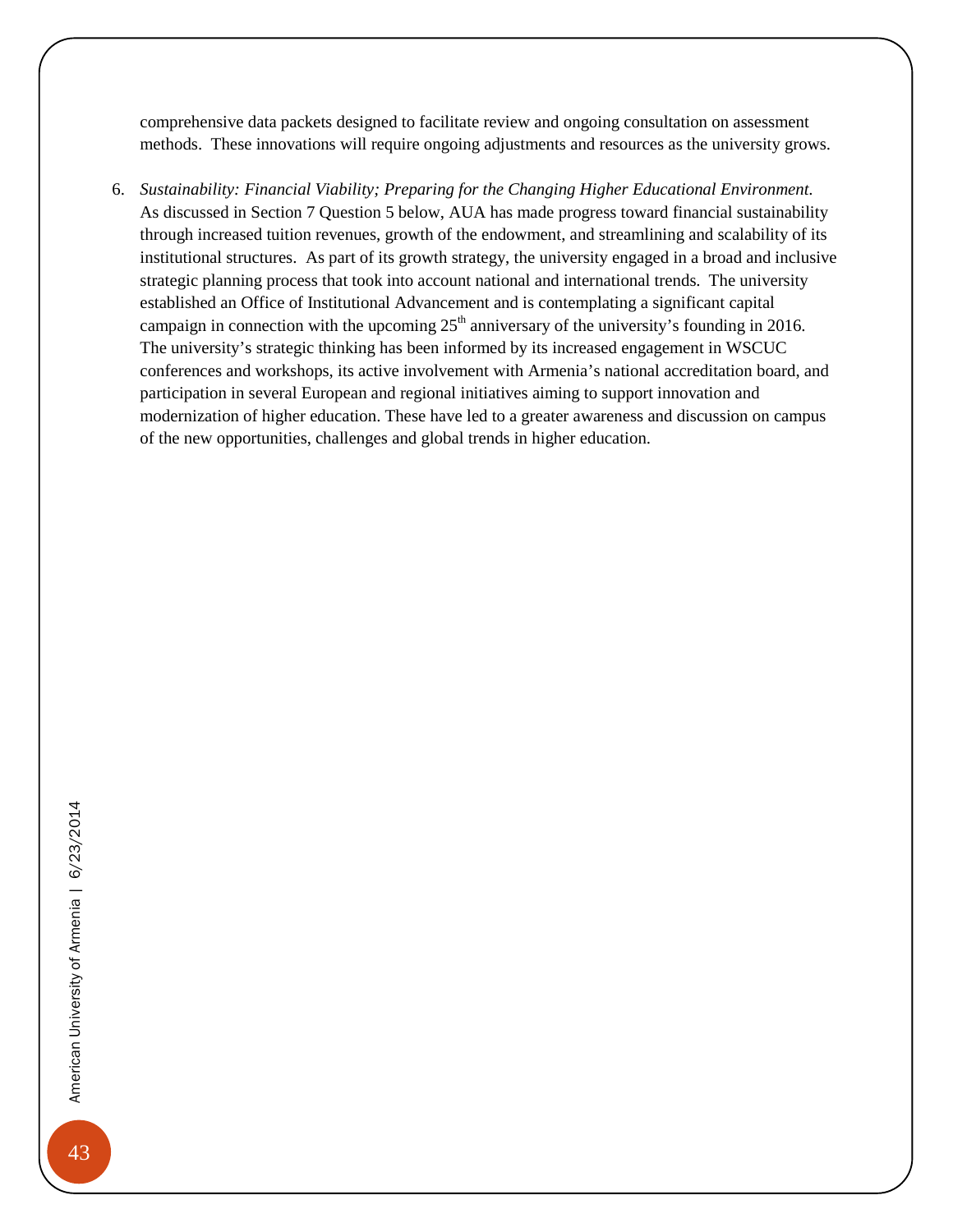comprehensive data packets designed to facilitate review and ongoing consultation on assessment methods. These innovations will require ongoing adjustments and resources as the university grows.

6. *Sustainability: Financial Viability; Preparing for the Changing Higher Educational Environment.*  As discussed in Section 7 Question 5 below, AUA has made progress toward financial sustainability through increased tuition revenues, growth of the endowment, and streamlining and scalability of its institutional structures. As part of its growth strategy, the university engaged in a broad and inclusive strategic planning process that took into account national and international trends. The university established an Office of Institutional Advancement and is contemplating a significant capital campaign in connection with the upcoming  $25<sup>th</sup>$  anniversary of the university's founding in 2016. The university's strategic thinking has been informed by its increased engagement in WSCUC conferences and workshops, its active involvement with Armenia's national accreditation board, and participation in several European and regional initiatives aiming to support innovation and modernization of higher education. These have led to a greater awareness and discussion on campus of the new opportunities, challenges and global trends in higher education.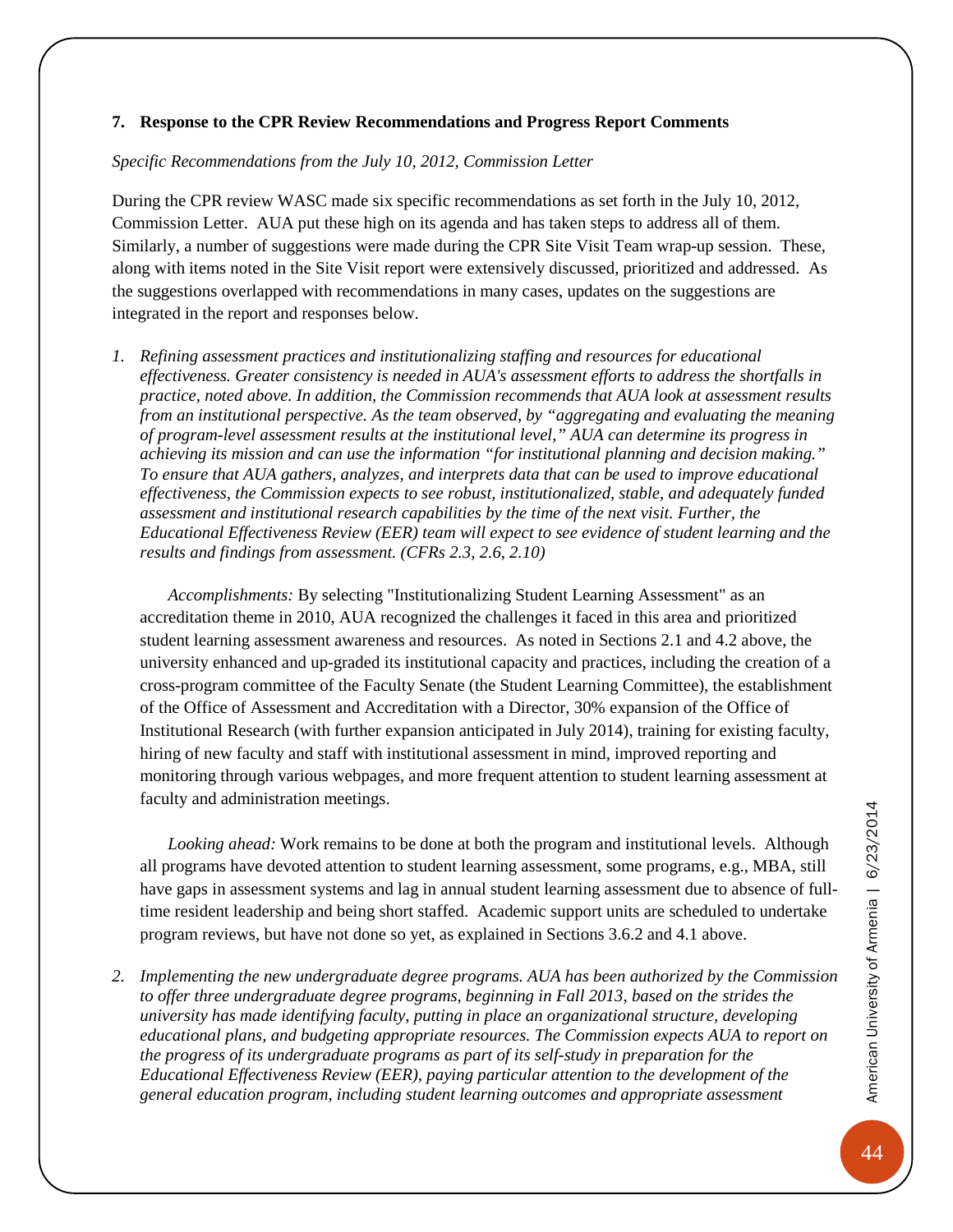#### <span id="page-47-0"></span>**7. Response to the CPR Review Recommendations and Progress Report Comments**

#### *Specific Recommendations from the July 10, 2012, Commission Letter*

During the CPR review WASC made six specific recommendations as set forth in the July 10, 2012, Commission Letter. AUA put these high on its agenda and has taken steps to address all of them. Similarly, a number of suggestions were made during the CPR Site Visit Team wrap-up session. These, along with items noted in the Site Visit report were extensively discussed, prioritized and addressed. As the suggestions overlapped with recommendations in many cases, updates on the suggestions are integrated in the report and responses below.

*1. Refining assessment practices and institutionalizing staffing and resources for educational effectiveness. Greater consistency is needed in AUA's assessment efforts to address the shortfalls in practice, noted above. In addition, the Commission recommends that AUA look at assessment results from an institutional perspective. As the team observed, by "aggregating and evaluating the meaning of program-level assessment results at the institutional level," AUA can determine its progress in achieving its mission and can use the information "for institutional planning and decision making." To ensure that AUA gathers, analyzes, and interprets data that can be used to improve educational effectiveness, the Commission expects to see robust, institutionalized, stable, and adequately funded assessment and institutional research capabilities by the time of the next visit. Further, the Educational Effectiveness Review (EER) team will expect to see evidence of student learning and the results and findings from assessment. (CFRs 2.3, 2.6, 2.10)*

*Accomplishments:* By selecting "Institutionalizing Student Learning Assessment" as an accreditation theme in 2010, AUA recognized the challenges it faced in this area and prioritized student learning assessment awareness and resources. As noted in Sections 2.1 and 4.2 above, the university enhanced and up-graded its institutional capacity and practices, including the creation of a cross-program committee of the Faculty Senate (the Student Learning Committee), the establishment of the Office of Assessment and Accreditation with a Director, 30% expansion of the Office of Institutional Research (with further expansion anticipated in July 2014), training for existing faculty, hiring of new faculty and staff with institutional assessment in mind, improved reporting and monitoring through various webpages, and more frequent attention to student learning assessment at faculty and administration meetings.

*Looking ahead:* Work remains to be done at both the program and institutional levels. Although all programs have devoted attention to student learning assessment, some programs, e.g., MBA, still have gaps in assessment systems and lag in annual student learning assessment due to absence of fulltime resident leadership and being short staffed. Academic support units are scheduled to undertake program reviews, but have not done so yet, as explained in Sections 3.6.2 and 4.1 above.

*2. Implementing the new undergraduate degree programs. AUA has been authorized by the Commission to offer three undergraduate degree programs, beginning in Fall 2013, based on the strides the university has made identifying faculty, putting in place an organizational structure, developing educational plans, and budgeting appropriate resources. The Commission expects AUA to report on the progress of its undergraduate programs as part of its self-study in preparation for the Educational Effectiveness Review (EER), paying particular attention to the development of the general education program, including student learning outcomes and appropriate assessment*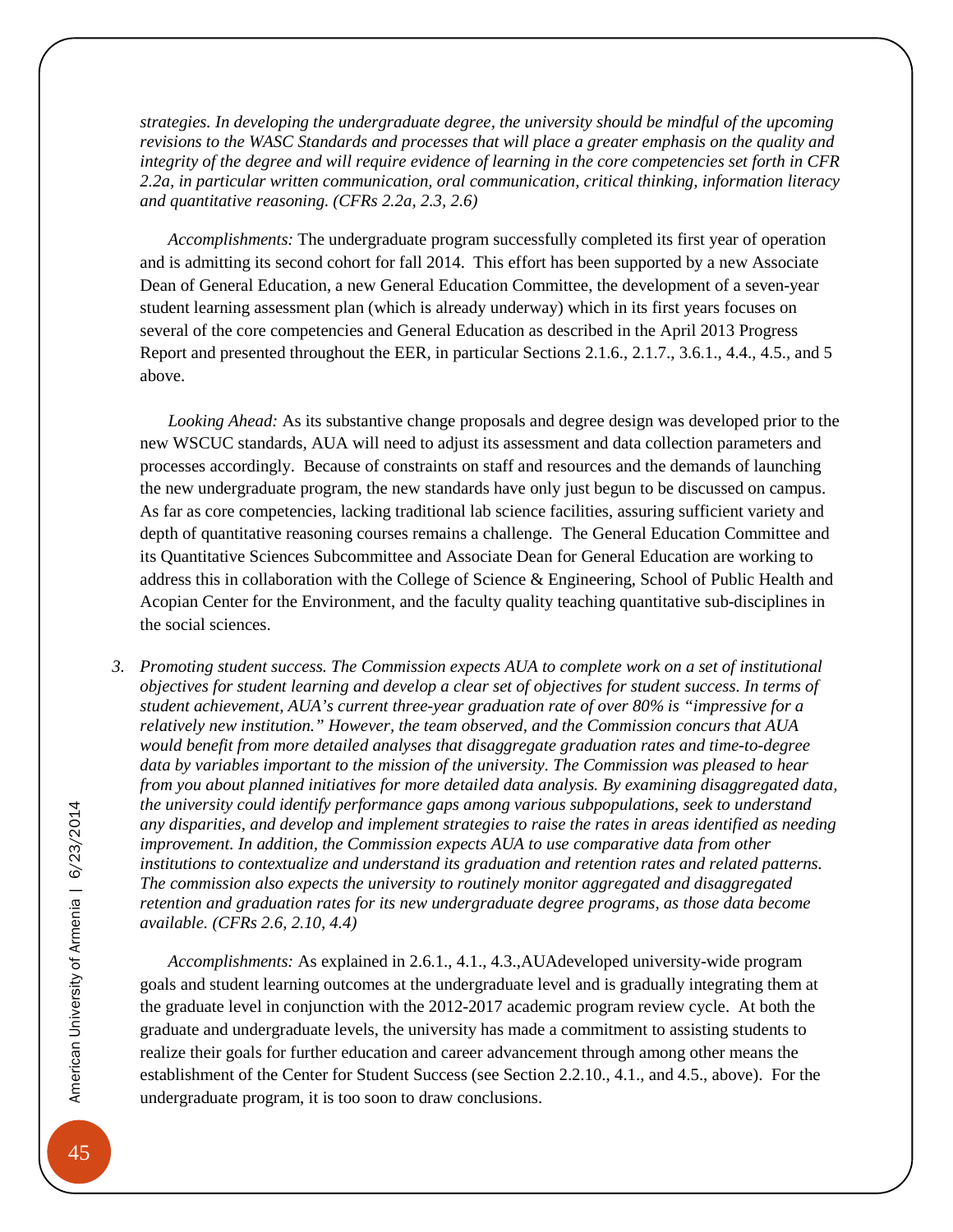*strategies. In developing the undergraduate degree, the university should be mindful of the upcoming revisions to the WASC Standards and processes that will place a greater emphasis on the quality and integrity of the degree and will require evidence of learning in the core competencies set forth in CFR 2.2a, in particular written communication, oral communication, critical thinking, information literacy and quantitative reasoning. (CFRs 2.2a, 2.3, 2.6)*

*Accomplishments:* The undergraduate program successfully completed its first year of operation and is admitting its second cohort for fall 2014. This effort has been supported by a new Associate Dean of General Education, a new General Education Committee, the development of a seven-year student learning assessment plan (which is already underway) which in its first years focuses on several of the core competencies and General Education as described in the April 2013 Progress Report and presented throughout the EER, in particular Sections 2.1.6., 2.1.7., 3.6.1., 4.4., 4.5., and 5 above.

*Looking Ahead:* As its substantive change proposals and degree design was developed prior to the new WSCUC standards, AUA will need to adjust its assessment and data collection parameters and processes accordingly. Because of constraints on staff and resources and the demands of launching the new undergraduate program, the new standards have only just begun to be discussed on campus. As far as core competencies, lacking traditional lab science facilities, assuring sufficient variety and depth of quantitative reasoning courses remains a challenge. The General Education Committee and its Quantitative Sciences Subcommittee and Associate Dean for General Education are working to address this in collaboration with the College of Science & Engineering, School of Public Health and Acopian Center for the Environment, and the faculty quality teaching quantitative sub-disciplines in the social sciences.

*3. Promoting student success. The Commission expects AUA to complete work on a set of institutional objectives for student learning and develop a clear set of objectives for student success. In terms of student achievement, AUA's current three-year graduation rate of over 80% is "impressive for a relatively new institution." However, the team observed, and the Commission concurs that AUA would benefit from more detailed analyses that disaggregate graduation rates and time-to-degree data by variables important to the mission of the university. The Commission was pleased to hear from you about planned initiatives for more detailed data analysis. By examining disaggregated data, the university could identify performance gaps among various subpopulations, seek to understand any disparities, and develop and implement strategies to raise the rates in areas identified as needing improvement. In addition, the Commission expects AUA to use comparative data from other institutions to contextualize and understand its graduation and retention rates and related patterns. The commission also expects the university to routinely monitor aggregated and disaggregated retention and graduation rates for its new undergraduate degree programs, as those data become available. (CFRs 2.6, 2.10, 4.4)*

*Accomplishments:* As explained in 2.6.1., 4.1., 4.3.,AUAdeveloped university-wide program goals and student learning outcomes at the undergraduate level and is gradually integrating them at the graduate level in conjunction with the 2012-2017 academic program review cycle. At both the graduate and undergraduate levels, the university has made a commitment to assisting students to realize their goals for further education and career advancement through among other means the establishment of the Center for Student Success (see Section 2.2.10., 4.1., and 4.5., above). For the undergraduate program, it is too soon to draw conclusions.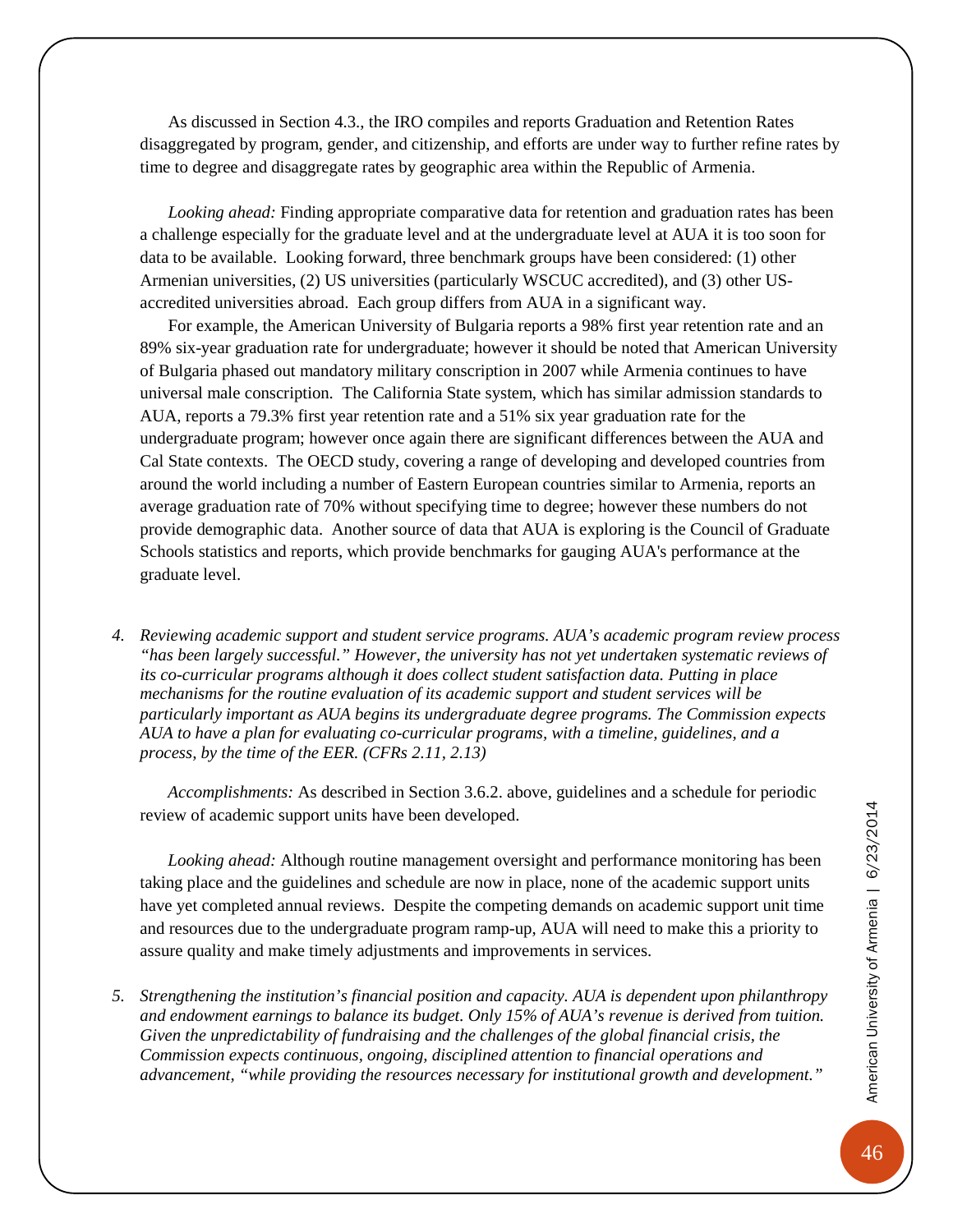As discussed in Section 4.3., the IRO compiles and reports Graduation and Retention Rates disaggregated by program, gender, and citizenship, and efforts are under way to further refine rates by time to degree and disaggregate rates by geographic area within the Republic of Armenia.

*Looking ahead:* Finding appropriate comparative data for retention and graduation rates has been a challenge especially for the graduate level and at the undergraduate level at AUA it is too soon for data to be available. Looking forward, three benchmark groups have been considered: (1) other Armenian universities, (2) US universities (particularly WSCUC accredited), and (3) other USaccredited universities abroad. Each group differs from AUA in a significant way.

For example, the American University of Bulgaria reports a 98% first year retention rate and an 89% six-year graduation rate for undergraduate; however it should be noted that American University of Bulgaria phased out mandatory military conscription in 2007 while Armenia continues to have universal male conscription. The California State system, which has similar admission standards to AUA, reports a 79.3% first year retention rate and a 51% six year graduation rate for the undergraduate program; however once again there are significant differences between the AUA and Cal State contexts. The OECD study, covering a range of developing and developed countries from around the world including a number of Eastern European countries similar to Armenia, reports an average graduation rate of 70% without specifying time to degree; however these numbers do not provide demographic data. Another source of data that AUA is exploring is the Council of Graduate Schools statistics and reports, which provide benchmarks for gauging AUA's performance at the graduate level.

*4. Reviewing academic support and student service programs. AUA's academic program review process "has been largely successful." However, the university has not yet undertaken systematic reviews of its co-curricular programs although it does collect student satisfaction data. Putting in place mechanisms for the routine evaluation of its academic support and student services will be particularly important as AUA begins its undergraduate degree programs. The Commission expects AUA to have a plan for evaluating co-curricular programs, with a timeline, guidelines, and a process, by the time of the EER. (CFRs 2.11, 2.13)*

*Accomplishments:* As described in Section 3.6.2. above, guidelines and a schedule for periodic review of academic support units have been developed.

*Looking ahead:* Although routine management oversight and performance monitoring has been taking place and the guidelines and schedule are now in place, none of the academic support units have yet completed annual reviews. Despite the competing demands on academic support unit time and resources due to the undergraduate program ramp-up, AUA will need to make this a priority to assure quality and make timely adjustments and improvements in services.

*5. Strengthening the institution's financial position and capacity. AUA is dependent upon philanthropy and endowment earnings to balance its budget. Only 15% of AUA's revenue is derived from tuition. Given the unpredictability of fundraising and the challenges of the global financial crisis, the Commission expects continuous, ongoing, disciplined attention to financial operations and advancement, "while providing the resources necessary for institutional growth and development."*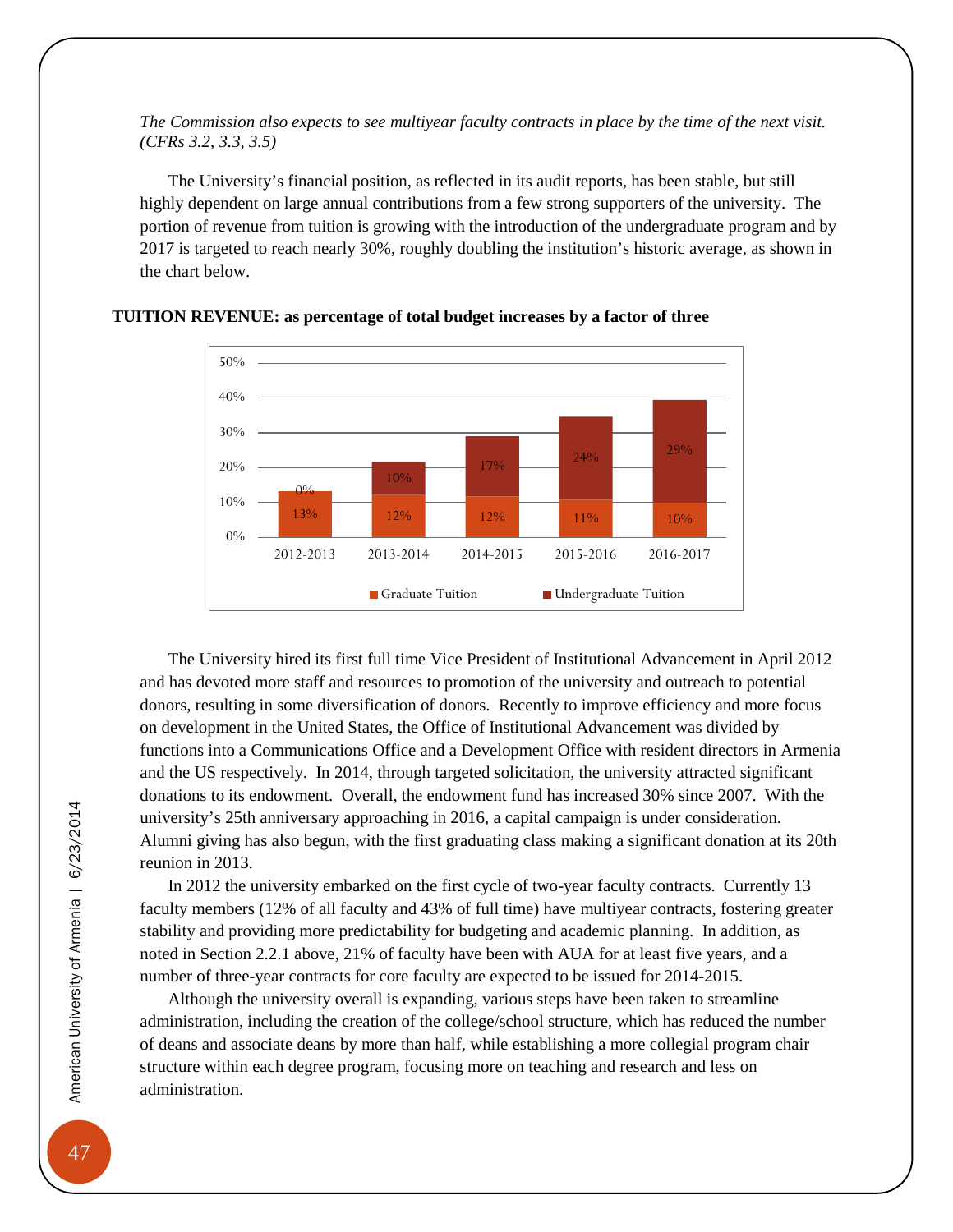*The Commission also expects to see multiyear faculty contracts in place by the time of the next visit. (CFRs 3.2, 3.3, 3.5)*

The University's financial position, as reflected in its audit reports, has been stable, but still highly dependent on large annual contributions from a few strong supporters of the university. The portion of revenue from tuition is growing with the introduction of the undergraduate program and by 2017 is targeted to reach nearly 30%, roughly doubling the institution's historic average, as shown in the chart below.



#### **TUITION REVENUE: as percentage of total budget increases by a factor of three**

The University hired its first full time Vice President of Institutional Advancement in April 2012 and has devoted more staff and resources to promotion of the university and outreach to potential donors, resulting in some diversification of donors. Recently to improve efficiency and more focus on development in the United States, the Office of Institutional Advancement was divided by functions into a Communications Office and a Development Office with resident directors in Armenia and the US respectively. In 2014, through targeted solicitation, the university attracted significant donations to its endowment. Overall, the endowment fund has increased 30% since 2007. With the university's 25th anniversary approaching in 2016, a capital campaign is under consideration. Alumni giving has also begun, with the first graduating class making a significant donation at its 20th reunion in 2013.

In 2012 the university embarked on the first cycle of two-year faculty contracts. Currently 13 faculty members (12% of all faculty and 43% of full time) have multiyear contracts, fostering greater stability and providing more predictability for budgeting and academic planning. In addition, as noted in Section 2.2.1 above, 21% of faculty have been with AUA for at least five years, and a number of three-year contracts for core faculty are expected to be issued for 2014-2015.

Although the university overall is expanding, various steps have been taken to streamline administration, including the creation of the college/school structure, which has reduced the number of deans and associate deans by more than half, while establishing a more collegial program chair structure within each degree program, focusing more on teaching and research and less on administration.